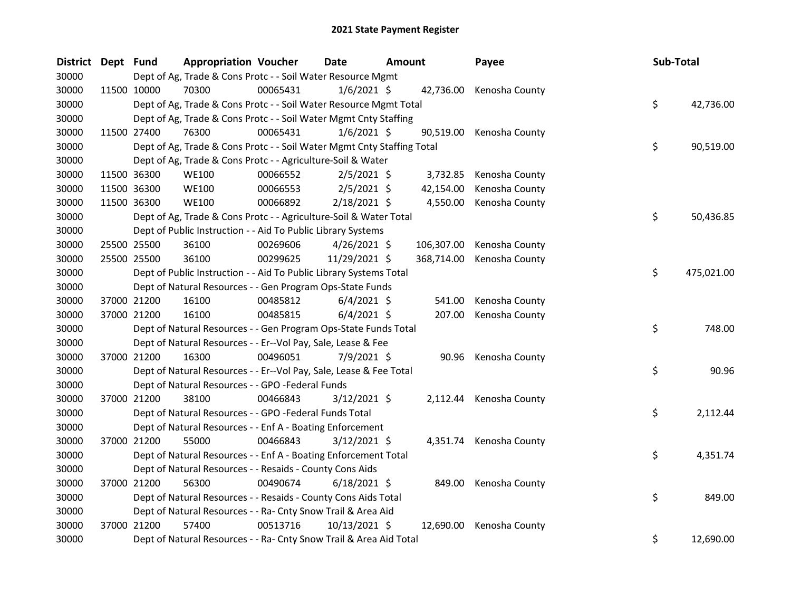| District Dept Fund |             | <b>Appropriation Voucher</b>                                           |          | Date            | Amount |            | Payee                    | Sub-Total |            |
|--------------------|-------------|------------------------------------------------------------------------|----------|-----------------|--------|------------|--------------------------|-----------|------------|
| 30000              |             | Dept of Ag, Trade & Cons Protc - - Soil Water Resource Mgmt            |          |                 |        |            |                          |           |            |
| 30000              | 11500 10000 | 70300                                                                  | 00065431 | $1/6/2021$ \$   |        |            | 42,736.00 Kenosha County |           |            |
| 30000              |             | Dept of Ag, Trade & Cons Protc - - Soil Water Resource Mgmt Total      |          |                 |        |            |                          | \$        | 42,736.00  |
| 30000              |             | Dept of Ag, Trade & Cons Protc - - Soil Water Mgmt Cnty Staffing       |          |                 |        |            |                          |           |            |
| 30000              | 11500 27400 | 76300                                                                  | 00065431 | $1/6/2021$ \$   |        | 90,519.00  | Kenosha County           |           |            |
| 30000              |             | Dept of Ag, Trade & Cons Protc - - Soil Water Mgmt Cnty Staffing Total |          |                 |        |            |                          | \$        | 90,519.00  |
| 30000              |             | Dept of Ag, Trade & Cons Protc - - Agriculture-Soil & Water            |          |                 |        |            |                          |           |            |
| 30000              | 11500 36300 | <b>WE100</b>                                                           | 00066552 | $2/5/2021$ \$   |        | 3,732.85   | Kenosha County           |           |            |
| 30000              | 11500 36300 | <b>WE100</b>                                                           | 00066553 | $2/5/2021$ \$   |        | 42,154.00  | Kenosha County           |           |            |
| 30000              | 11500 36300 | <b>WE100</b>                                                           | 00066892 | 2/18/2021 \$    |        | 4,550.00   | Kenosha County           |           |            |
| 30000              |             | Dept of Ag, Trade & Cons Protc - - Agriculture-Soil & Water Total      |          |                 |        |            |                          | \$        | 50,436.85  |
| 30000              |             | Dept of Public Instruction - - Aid To Public Library Systems           |          |                 |        |            |                          |           |            |
| 30000              | 25500 25500 | 36100                                                                  | 00269606 | $4/26/2021$ \$  |        | 106,307.00 | Kenosha County           |           |            |
| 30000              | 25500 25500 | 36100                                                                  | 00299625 | 11/29/2021 \$   |        | 368,714.00 | Kenosha County           |           |            |
| 30000              |             | Dept of Public Instruction - - Aid To Public Library Systems Total     |          |                 |        |            |                          | \$        | 475,021.00 |
| 30000              |             | Dept of Natural Resources - - Gen Program Ops-State Funds              |          |                 |        |            |                          |           |            |
| 30000              | 37000 21200 | 16100                                                                  | 00485812 | $6/4/2021$ \$   |        | 541.00     | Kenosha County           |           |            |
| 30000              | 37000 21200 | 16100                                                                  | 00485815 | $6/4/2021$ \$   |        | 207.00     | Kenosha County           |           |            |
| 30000              |             | Dept of Natural Resources - - Gen Program Ops-State Funds Total        |          |                 |        |            |                          | \$        | 748.00     |
| 30000              |             | Dept of Natural Resources - - Er--Vol Pay, Sale, Lease & Fee           |          |                 |        |            |                          |           |            |
| 30000              | 37000 21200 | 16300                                                                  | 00496051 | 7/9/2021 \$     |        |            | 90.96 Kenosha County     |           |            |
| 30000              |             | Dept of Natural Resources - - Er--Vol Pay, Sale, Lease & Fee Total     |          |                 |        |            |                          | \$        | 90.96      |
| 30000              |             | Dept of Natural Resources - - GPO -Federal Funds                       |          |                 |        |            |                          |           |            |
| 30000              | 37000 21200 | 38100                                                                  | 00466843 | $3/12/2021$ \$  |        |            | 2,112.44 Kenosha County  |           |            |
| 30000              |             | Dept of Natural Resources - - GPO -Federal Funds Total                 |          |                 |        |            |                          | \$        | 2,112.44   |
| 30000              |             | Dept of Natural Resources - - Enf A - Boating Enforcement              |          |                 |        |            |                          |           |            |
| 30000              | 37000 21200 | 55000                                                                  | 00466843 | $3/12/2021$ \$  |        |            | 4,351.74 Kenosha County  |           |            |
| 30000              |             | Dept of Natural Resources - - Enf A - Boating Enforcement Total        |          |                 |        |            |                          | \$        | 4,351.74   |
| 30000              |             | Dept of Natural Resources - - Resaids - County Cons Aids               |          |                 |        |            |                          |           |            |
| 30000              | 37000 21200 | 56300                                                                  | 00490674 | $6/18/2021$ \$  |        | 849.00     | Kenosha County           |           |            |
| 30000              |             | Dept of Natural Resources - - Resaids - County Cons Aids Total         |          |                 |        |            |                          | \$        | 849.00     |
| 30000              |             | Dept of Natural Resources - - Ra- Cnty Snow Trail & Area Aid           |          |                 |        |            |                          |           |            |
| 30000              | 37000 21200 | 57400                                                                  | 00513716 | $10/13/2021$ \$ |        | 12,690.00  | Kenosha County           |           |            |
| 30000              |             | Dept of Natural Resources - - Ra- Cnty Snow Trail & Area Aid Total     |          |                 |        |            |                          | \$        | 12,690.00  |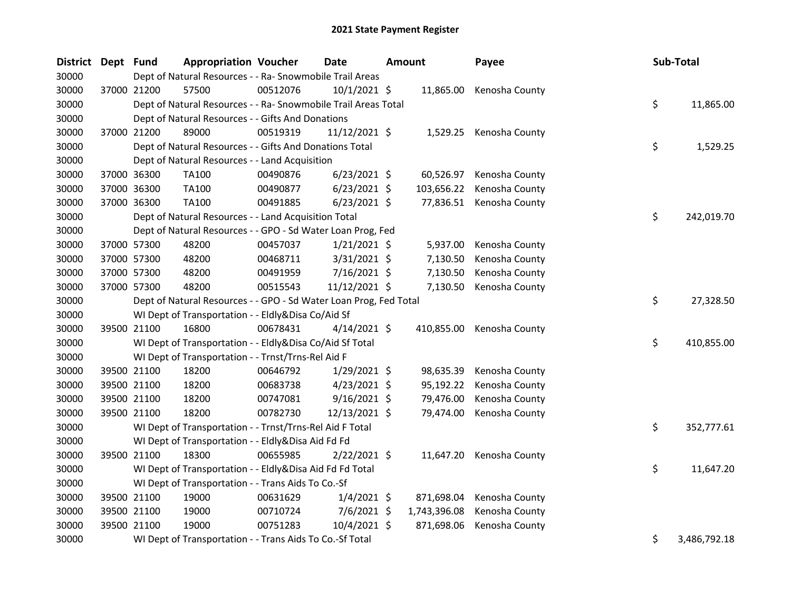| District Dept Fund |             | <b>Appropriation Voucher</b>                                      |          | <b>Date</b>    | <b>Amount</b> |              | Payee                     |    | Sub-Total    |
|--------------------|-------------|-------------------------------------------------------------------|----------|----------------|---------------|--------------|---------------------------|----|--------------|
| 30000              |             | Dept of Natural Resources - - Ra- Snowmobile Trail Areas          |          |                |               |              |                           |    |              |
| 30000              | 37000 21200 | 57500                                                             | 00512076 | $10/1/2021$ \$ |               | 11,865.00    | Kenosha County            |    |              |
| 30000              |             | Dept of Natural Resources - - Ra- Snowmobile Trail Areas Total    |          |                |               |              |                           | \$ | 11,865.00    |
| 30000              |             | Dept of Natural Resources - - Gifts And Donations                 |          |                |               |              |                           |    |              |
| 30000              | 37000 21200 | 89000                                                             | 00519319 | 11/12/2021 \$  |               |              | 1,529.25 Kenosha County   |    |              |
| 30000              |             | Dept of Natural Resources - - Gifts And Donations Total           |          |                |               |              |                           | \$ | 1,529.25     |
| 30000              |             | Dept of Natural Resources - - Land Acquisition                    |          |                |               |              |                           |    |              |
| 30000              | 37000 36300 | TA100                                                             | 00490876 | $6/23/2021$ \$ |               | 60,526.97    | Kenosha County            |    |              |
| 30000              | 37000 36300 | TA100                                                             | 00490877 | $6/23/2021$ \$ |               | 103,656.22   | Kenosha County            |    |              |
| 30000              | 37000 36300 | <b>TA100</b>                                                      | 00491885 | $6/23/2021$ \$ |               |              | 77,836.51 Kenosha County  |    |              |
| 30000              |             | Dept of Natural Resources - - Land Acquisition Total              |          |                |               |              |                           | \$ | 242,019.70   |
| 30000              |             | Dept of Natural Resources - - GPO - Sd Water Loan Prog, Fed       |          |                |               |              |                           |    |              |
| 30000              | 37000 57300 | 48200                                                             | 00457037 | $1/21/2021$ \$ |               | 5,937.00     | Kenosha County            |    |              |
| 30000              | 37000 57300 | 48200                                                             | 00468711 | 3/31/2021 \$   |               | 7,130.50     | Kenosha County            |    |              |
| 30000              | 37000 57300 | 48200                                                             | 00491959 | 7/16/2021 \$   |               | 7,130.50     | Kenosha County            |    |              |
| 30000              | 37000 57300 | 48200                                                             | 00515543 | 11/12/2021 \$  |               | 7,130.50     | Kenosha County            |    |              |
| 30000              |             | Dept of Natural Resources - - GPO - Sd Water Loan Prog, Fed Total |          |                |               |              |                           | \$ | 27,328.50    |
| 30000              |             | WI Dept of Transportation - - Eldly&Disa Co/Aid Sf                |          |                |               |              |                           |    |              |
| 30000              | 39500 21100 | 16800                                                             | 00678431 | $4/14/2021$ \$ |               |              | 410,855.00 Kenosha County |    |              |
| 30000              |             | WI Dept of Transportation - - Eldly&Disa Co/Aid Sf Total          |          |                |               |              |                           | \$ | 410,855.00   |
| 30000              |             | WI Dept of Transportation - - Trnst/Trns-Rel Aid F                |          |                |               |              |                           |    |              |
| 30000              | 39500 21100 | 18200                                                             | 00646792 | $1/29/2021$ \$ |               | 98,635.39    | Kenosha County            |    |              |
| 30000              | 39500 21100 | 18200                                                             | 00683738 | $4/23/2021$ \$ |               | 95,192.22    | Kenosha County            |    |              |
| 30000              | 39500 21100 | 18200                                                             | 00747081 | $9/16/2021$ \$ |               | 79,476.00    | Kenosha County            |    |              |
| 30000              | 39500 21100 | 18200                                                             | 00782730 | 12/13/2021 \$  |               | 79,474.00    | Kenosha County            |    |              |
| 30000              |             | WI Dept of Transportation - - Trnst/Trns-Rel Aid F Total          |          |                |               |              |                           | \$ | 352,777.61   |
| 30000              |             | WI Dept of Transportation - - Eldly&Disa Aid Fd Fd                |          |                |               |              |                           |    |              |
| 30000              | 39500 21100 | 18300                                                             | 00655985 | $2/22/2021$ \$ |               | 11,647.20    | Kenosha County            |    |              |
| 30000              |             | WI Dept of Transportation - - Eldly&Disa Aid Fd Fd Total          |          |                |               |              |                           | \$ | 11,647.20    |
| 30000              |             | WI Dept of Transportation - - Trans Aids To Co.-Sf                |          |                |               |              |                           |    |              |
| 30000              | 39500 21100 | 19000                                                             | 00631629 | $1/4/2021$ \$  |               | 871,698.04   | Kenosha County            |    |              |
| 30000              | 39500 21100 | 19000                                                             | 00710724 | $7/6/2021$ \$  |               | 1,743,396.08 | Kenosha County            |    |              |
| 30000              | 39500 21100 | 19000                                                             | 00751283 | 10/4/2021 \$   |               | 871,698.06   | Kenosha County            |    |              |
| 30000              |             | WI Dept of Transportation - - Trans Aids To Co.-Sf Total          |          |                |               |              |                           | \$ | 3,486,792.18 |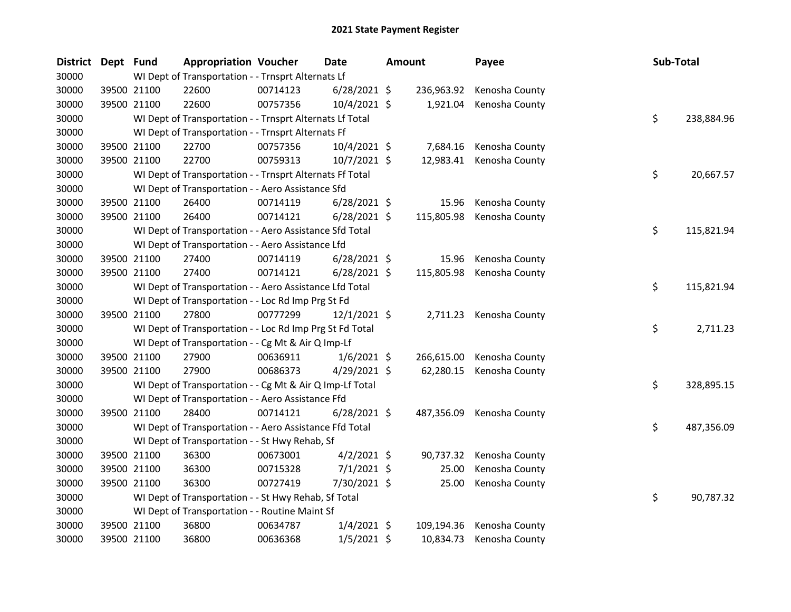| <b>District</b> | Dept Fund |             | <b>Appropriation Voucher</b>                             |          | <b>Date</b>    | <b>Amount</b> | Payee                     | Sub-Total |            |
|-----------------|-----------|-------------|----------------------------------------------------------|----------|----------------|---------------|---------------------------|-----------|------------|
| 30000           |           |             | WI Dept of Transportation - - Trnsprt Alternats Lf       |          |                |               |                           |           |            |
| 30000           |           | 39500 21100 | 22600                                                    | 00714123 | $6/28/2021$ \$ | 236,963.92    | Kenosha County            |           |            |
| 30000           |           | 39500 21100 | 22600                                                    | 00757356 | 10/4/2021 \$   | 1,921.04      | Kenosha County            |           |            |
| 30000           |           |             | WI Dept of Transportation - - Trnsprt Alternats Lf Total |          |                |               |                           | \$        | 238,884.96 |
| 30000           |           |             | WI Dept of Transportation - - Trnsprt Alternats Ff       |          |                |               |                           |           |            |
| 30000           |           | 39500 21100 | 22700                                                    | 00757356 | 10/4/2021 \$   | 7,684.16      | Kenosha County            |           |            |
| 30000           |           | 39500 21100 | 22700                                                    | 00759313 | 10/7/2021 \$   | 12,983.41     | Kenosha County            |           |            |
| 30000           |           |             | WI Dept of Transportation - - Trnsprt Alternats Ff Total |          |                |               |                           | \$        | 20,667.57  |
| 30000           |           |             | WI Dept of Transportation - - Aero Assistance Sfd        |          |                |               |                           |           |            |
| 30000           |           | 39500 21100 | 26400                                                    | 00714119 | $6/28/2021$ \$ | 15.96         | Kenosha County            |           |            |
| 30000           |           | 39500 21100 | 26400                                                    | 00714121 | $6/28/2021$ \$ | 115,805.98    | Kenosha County            |           |            |
| 30000           |           |             | WI Dept of Transportation - - Aero Assistance Sfd Total  |          |                |               |                           | \$        | 115,821.94 |
| 30000           |           |             | WI Dept of Transportation - - Aero Assistance Lfd        |          |                |               |                           |           |            |
| 30000           |           | 39500 21100 | 27400                                                    | 00714119 | $6/28/2021$ \$ | 15.96         | Kenosha County            |           |            |
| 30000           |           | 39500 21100 | 27400                                                    | 00714121 | $6/28/2021$ \$ | 115,805.98    | Kenosha County            |           |            |
| 30000           |           |             | WI Dept of Transportation - - Aero Assistance Lfd Total  |          |                |               |                           | \$        | 115,821.94 |
| 30000           |           |             | WI Dept of Transportation - - Loc Rd Imp Prg St Fd       |          |                |               |                           |           |            |
| 30000           |           | 39500 21100 | 27800                                                    | 00777299 | $12/1/2021$ \$ |               | 2,711.23 Kenosha County   |           |            |
| 30000           |           |             | WI Dept of Transportation - - Loc Rd Imp Prg St Fd Total |          |                |               |                           | \$        | 2,711.23   |
| 30000           |           |             | WI Dept of Transportation - - Cg Mt & Air Q Imp-Lf       |          |                |               |                           |           |            |
| 30000           |           | 39500 21100 | 27900                                                    | 00636911 | $1/6/2021$ \$  | 266,615.00    | Kenosha County            |           |            |
| 30000           |           | 39500 21100 | 27900                                                    | 00686373 | $4/29/2021$ \$ | 62,280.15     | Kenosha County            |           |            |
| 30000           |           |             | WI Dept of Transportation - - Cg Mt & Air Q Imp-Lf Total |          |                |               |                           | \$        | 328,895.15 |
| 30000           |           |             | WI Dept of Transportation - - Aero Assistance Ffd        |          |                |               |                           |           |            |
| 30000           |           | 39500 21100 | 28400                                                    | 00714121 | $6/28/2021$ \$ |               | 487,356.09 Kenosha County |           |            |
| 30000           |           |             | WI Dept of Transportation - - Aero Assistance Ffd Total  |          |                |               |                           | \$        | 487,356.09 |
| 30000           |           |             | WI Dept of Transportation - - St Hwy Rehab, Sf           |          |                |               |                           |           |            |
| 30000           |           | 39500 21100 | 36300                                                    | 00673001 | $4/2/2021$ \$  | 90,737.32     | Kenosha County            |           |            |
| 30000           |           | 39500 21100 | 36300                                                    | 00715328 | $7/1/2021$ \$  | 25.00         | Kenosha County            |           |            |
| 30000           |           | 39500 21100 | 36300                                                    | 00727419 | 7/30/2021 \$   | 25.00         | Kenosha County            |           |            |
| 30000           |           |             | WI Dept of Transportation - - St Hwy Rehab, Sf Total     |          |                |               |                           | \$        | 90,787.32  |
| 30000           |           |             | WI Dept of Transportation - - Routine Maint Sf           |          |                |               |                           |           |            |
| 30000           |           | 39500 21100 | 36800                                                    | 00634787 | $1/4/2021$ \$  | 109,194.36    | Kenosha County            |           |            |
| 30000           |           | 39500 21100 | 36800                                                    | 00636368 | $1/5/2021$ \$  | 10,834.73     | Kenosha County            |           |            |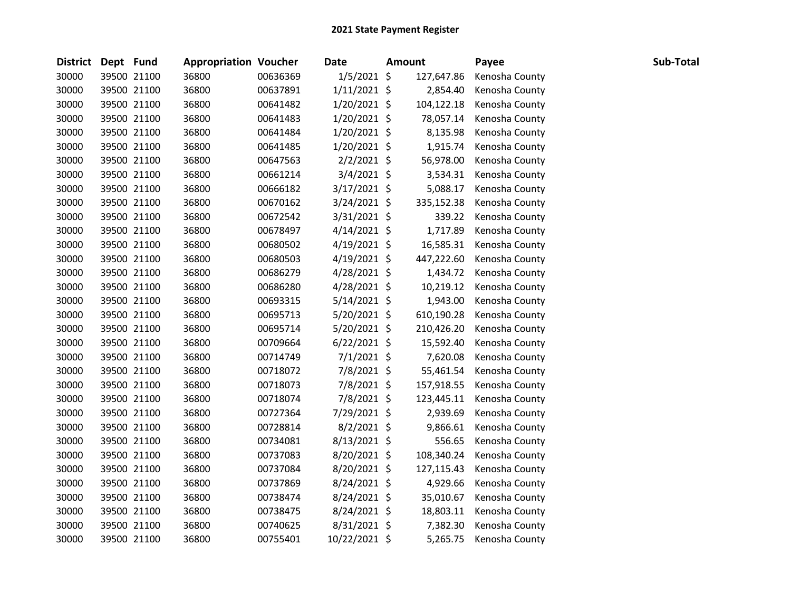| District Dept Fund |             | <b>Appropriation Voucher</b> |          | <b>Date</b>    | <b>Amount</b> | Payee          | Sub-Total |
|--------------------|-------------|------------------------------|----------|----------------|---------------|----------------|-----------|
| 30000              | 39500 21100 | 36800                        | 00636369 | $1/5/2021$ \$  | 127,647.86    | Kenosha County |           |
| 30000              | 39500 21100 | 36800                        | 00637891 | $1/11/2021$ \$ | 2,854.40      | Kenosha County |           |
| 30000              | 39500 21100 | 36800                        | 00641482 | 1/20/2021 \$   | 104,122.18    | Kenosha County |           |
| 30000              | 39500 21100 | 36800                        | 00641483 | $1/20/2021$ \$ | 78,057.14     | Kenosha County |           |
| 30000              | 39500 21100 | 36800                        | 00641484 | $1/20/2021$ \$ | 8,135.98      | Kenosha County |           |
| 30000              | 39500 21100 | 36800                        | 00641485 | $1/20/2021$ \$ | 1,915.74      | Kenosha County |           |
| 30000              | 39500 21100 | 36800                        | 00647563 | $2/2/2021$ \$  | 56,978.00     | Kenosha County |           |
| 30000              | 39500 21100 | 36800                        | 00661214 | $3/4/2021$ \$  | 3,534.31      | Kenosha County |           |
| 30000              | 39500 21100 | 36800                        | 00666182 | $3/17/2021$ \$ | 5,088.17      | Kenosha County |           |
| 30000              | 39500 21100 | 36800                        | 00670162 | $3/24/2021$ \$ | 335,152.38    | Kenosha County |           |
| 30000              | 39500 21100 | 36800                        | 00672542 | 3/31/2021 \$   | 339.22        | Kenosha County |           |
| 30000              | 39500 21100 | 36800                        | 00678497 | $4/14/2021$ \$ | 1,717.89      | Kenosha County |           |
| 30000              | 39500 21100 | 36800                        | 00680502 | $4/19/2021$ \$ | 16,585.31     | Kenosha County |           |
| 30000              | 39500 21100 | 36800                        | 00680503 | $4/19/2021$ \$ | 447,222.60    | Kenosha County |           |
| 30000              | 39500 21100 | 36800                        | 00686279 | $4/28/2021$ \$ | 1,434.72      | Kenosha County |           |
| 30000              | 39500 21100 | 36800                        | 00686280 | $4/28/2021$ \$ | 10,219.12     | Kenosha County |           |
| 30000              | 39500 21100 | 36800                        | 00693315 | $5/14/2021$ \$ | 1,943.00      | Kenosha County |           |
| 30000              | 39500 21100 | 36800                        | 00695713 | 5/20/2021 \$   | 610,190.28    | Kenosha County |           |
| 30000              | 39500 21100 | 36800                        | 00695714 | 5/20/2021 \$   | 210,426.20    | Kenosha County |           |
| 30000              | 39500 21100 | 36800                        | 00709664 | $6/22/2021$ \$ | 15,592.40     | Kenosha County |           |
| 30000              | 39500 21100 | 36800                        | 00714749 | $7/1/2021$ \$  | 7,620.08      | Kenosha County |           |
| 30000              | 39500 21100 | 36800                        | 00718072 | 7/8/2021 \$    | 55,461.54     | Kenosha County |           |
| 30000              | 39500 21100 | 36800                        | 00718073 | 7/8/2021 \$    | 157,918.55    | Kenosha County |           |
| 30000              | 39500 21100 | 36800                        | 00718074 | 7/8/2021 \$    | 123,445.11    | Kenosha County |           |
| 30000              | 39500 21100 | 36800                        | 00727364 | 7/29/2021 \$   | 2,939.69      | Kenosha County |           |
| 30000              | 39500 21100 | 36800                        | 00728814 | 8/2/2021 \$    | 9,866.61      | Kenosha County |           |
| 30000              | 39500 21100 | 36800                        | 00734081 | 8/13/2021 \$   | 556.65        | Kenosha County |           |
| 30000              | 39500 21100 | 36800                        | 00737083 | 8/20/2021 \$   | 108,340.24    | Kenosha County |           |
| 30000              | 39500 21100 | 36800                        | 00737084 | 8/20/2021 \$   | 127,115.43    | Kenosha County |           |
| 30000              | 39500 21100 | 36800                        | 00737869 | 8/24/2021 \$   | 4,929.66      | Kenosha County |           |
| 30000              | 39500 21100 | 36800                        | 00738474 | 8/24/2021 \$   | 35,010.67     | Kenosha County |           |
| 30000              | 39500 21100 | 36800                        | 00738475 | 8/24/2021 \$   | 18,803.11     | Kenosha County |           |
| 30000              | 39500 21100 | 36800                        | 00740625 | 8/31/2021 \$   | 7,382.30      | Kenosha County |           |
| 30000              | 39500 21100 | 36800                        | 00755401 | 10/22/2021 \$  | 5,265.75      | Kenosha County |           |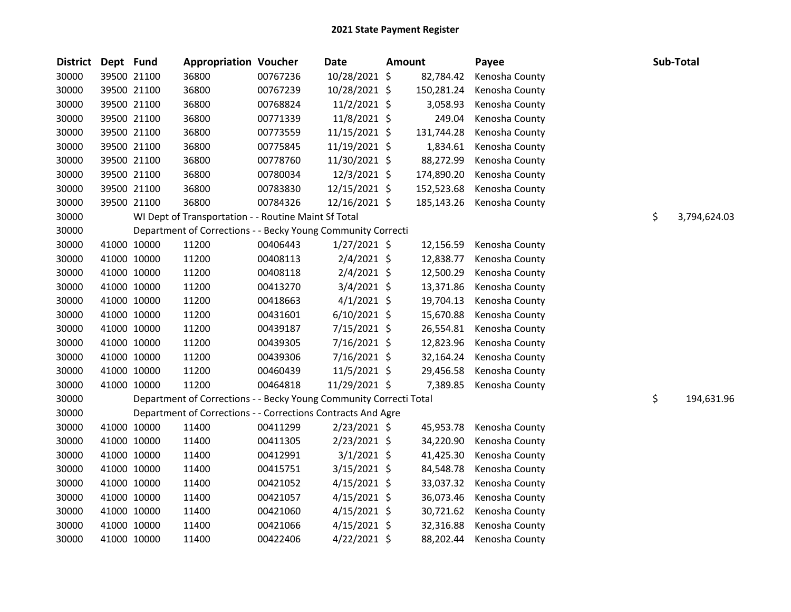| District Dept Fund |             | <b>Appropriation Voucher</b>                                       |          | <b>Date</b>    | <b>Amount</b> |            | Payee          | Sub-Total          |
|--------------------|-------------|--------------------------------------------------------------------|----------|----------------|---------------|------------|----------------|--------------------|
| 30000              | 39500 21100 | 36800                                                              | 00767236 | 10/28/2021 \$  |               | 82,784.42  | Kenosha County |                    |
| 30000              | 39500 21100 | 36800                                                              | 00767239 | 10/28/2021 \$  |               | 150,281.24 | Kenosha County |                    |
| 30000              | 39500 21100 | 36800                                                              | 00768824 | $11/2/2021$ \$ |               | 3,058.93   | Kenosha County |                    |
| 30000              | 39500 21100 | 36800                                                              | 00771339 | 11/8/2021 \$   |               | 249.04     | Kenosha County |                    |
| 30000              | 39500 21100 | 36800                                                              | 00773559 | 11/15/2021 \$  |               | 131,744.28 | Kenosha County |                    |
| 30000              | 39500 21100 | 36800                                                              | 00775845 | 11/19/2021 \$  |               | 1,834.61   | Kenosha County |                    |
| 30000              | 39500 21100 | 36800                                                              | 00778760 | 11/30/2021 \$  |               | 88,272.99  | Kenosha County |                    |
| 30000              | 39500 21100 | 36800                                                              | 00780034 | 12/3/2021 \$   |               | 174,890.20 | Kenosha County |                    |
| 30000              | 39500 21100 | 36800                                                              | 00783830 | 12/15/2021 \$  |               | 152,523.68 | Kenosha County |                    |
| 30000              | 39500 21100 | 36800                                                              | 00784326 | 12/16/2021 \$  |               | 185,143.26 | Kenosha County |                    |
| 30000              |             | WI Dept of Transportation - - Routine Maint Sf Total               |          |                |               |            |                | \$<br>3,794,624.03 |
| 30000              |             | Department of Corrections - - Becky Young Community Correcti       |          |                |               |            |                |                    |
| 30000              | 41000 10000 | 11200                                                              | 00406443 | $1/27/2021$ \$ |               | 12,156.59  | Kenosha County |                    |
| 30000              | 41000 10000 | 11200                                                              | 00408113 | $2/4/2021$ \$  |               | 12,838.77  | Kenosha County |                    |
| 30000              | 41000 10000 | 11200                                                              | 00408118 | 2/4/2021 \$    |               | 12,500.29  | Kenosha County |                    |
| 30000              | 41000 10000 | 11200                                                              | 00413270 | $3/4/2021$ \$  |               | 13,371.86  | Kenosha County |                    |
| 30000              | 41000 10000 | 11200                                                              | 00418663 | $4/1/2021$ \$  |               | 19,704.13  | Kenosha County |                    |
| 30000              | 41000 10000 | 11200                                                              | 00431601 | $6/10/2021$ \$ |               | 15,670.88  | Kenosha County |                    |
| 30000              | 41000 10000 | 11200                                                              | 00439187 | $7/15/2021$ \$ |               | 26,554.81  | Kenosha County |                    |
| 30000              | 41000 10000 | 11200                                                              | 00439305 | 7/16/2021 \$   |               | 12,823.96  | Kenosha County |                    |
| 30000              | 41000 10000 | 11200                                                              | 00439306 | $7/16/2021$ \$ |               | 32,164.24  | Kenosha County |                    |
| 30000              | 41000 10000 | 11200                                                              | 00460439 | $11/5/2021$ \$ |               | 29,456.58  | Kenosha County |                    |
| 30000              | 41000 10000 | 11200                                                              | 00464818 | 11/29/2021 \$  |               | 7,389.85   | Kenosha County |                    |
| 30000              |             | Department of Corrections - - Becky Young Community Correcti Total |          |                |               |            |                | \$<br>194,631.96   |
| 30000              |             | Department of Corrections - - Corrections Contracts And Agre       |          |                |               |            |                |                    |
| 30000              | 41000 10000 | 11400                                                              | 00411299 | $2/23/2021$ \$ |               | 45,953.78  | Kenosha County |                    |
| 30000              | 41000 10000 | 11400                                                              | 00411305 | $2/23/2021$ \$ |               | 34,220.90  | Kenosha County |                    |
| 30000              | 41000 10000 | 11400                                                              | 00412991 | $3/1/2021$ \$  |               | 41,425.30  | Kenosha County |                    |
| 30000              | 41000 10000 | 11400                                                              | 00415751 | $3/15/2021$ \$ |               | 84,548.78  | Kenosha County |                    |
| 30000              | 41000 10000 | 11400                                                              | 00421052 | $4/15/2021$ \$ |               | 33,037.32  | Kenosha County |                    |
| 30000              | 41000 10000 | 11400                                                              | 00421057 | $4/15/2021$ \$ |               | 36,073.46  | Kenosha County |                    |
| 30000              | 41000 10000 | 11400                                                              | 00421060 | $4/15/2021$ \$ |               | 30,721.62  | Kenosha County |                    |
| 30000              | 41000 10000 | 11400                                                              | 00421066 | $4/15/2021$ \$ |               | 32,316.88  | Kenosha County |                    |
| 30000              | 41000 10000 | 11400                                                              | 00422406 | 4/22/2021 \$   |               | 88,202.44  | Kenosha County |                    |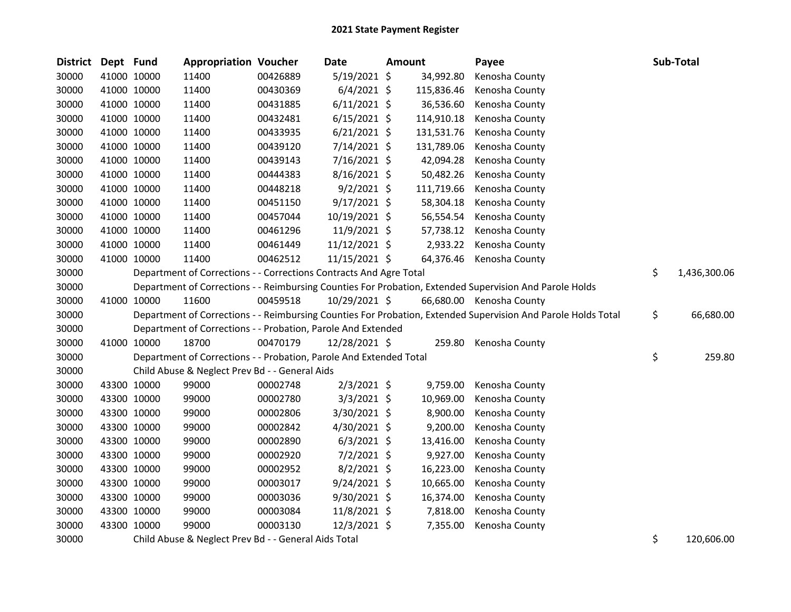| District Dept Fund |             | <b>Appropriation Voucher</b>                                       |          | Date           | Amount |            | Payee                                                                                                         | Sub-Total          |
|--------------------|-------------|--------------------------------------------------------------------|----------|----------------|--------|------------|---------------------------------------------------------------------------------------------------------------|--------------------|
| 30000              | 41000 10000 | 11400                                                              | 00426889 | $5/19/2021$ \$ |        | 34,992.80  | Kenosha County                                                                                                |                    |
| 30000              | 41000 10000 | 11400                                                              | 00430369 | $6/4/2021$ \$  |        | 115,836.46 | Kenosha County                                                                                                |                    |
| 30000              | 41000 10000 | 11400                                                              | 00431885 | $6/11/2021$ \$ |        | 36,536.60  | Kenosha County                                                                                                |                    |
| 30000              | 41000 10000 | 11400                                                              | 00432481 | $6/15/2021$ \$ |        | 114,910.18 | Kenosha County                                                                                                |                    |
| 30000              | 41000 10000 | 11400                                                              | 00433935 | $6/21/2021$ \$ |        | 131,531.76 | Kenosha County                                                                                                |                    |
| 30000              | 41000 10000 | 11400                                                              | 00439120 | 7/14/2021 \$   |        | 131,789.06 | Kenosha County                                                                                                |                    |
| 30000              | 41000 10000 | 11400                                                              | 00439143 | 7/16/2021 \$   |        | 42,094.28  | Kenosha County                                                                                                |                    |
| 30000              | 41000 10000 | 11400                                                              | 00444383 | $8/16/2021$ \$ |        | 50,482.26  | Kenosha County                                                                                                |                    |
| 30000              | 41000 10000 | 11400                                                              | 00448218 | $9/2/2021$ \$  |        | 111,719.66 | Kenosha County                                                                                                |                    |
| 30000              | 41000 10000 | 11400                                                              | 00451150 | $9/17/2021$ \$ |        | 58,304.18  | Kenosha County                                                                                                |                    |
| 30000              | 41000 10000 | 11400                                                              | 00457044 | 10/19/2021 \$  |        | 56,554.54  | Kenosha County                                                                                                |                    |
| 30000              | 41000 10000 | 11400                                                              | 00461296 | 11/9/2021 \$   |        | 57,738.12  | Kenosha County                                                                                                |                    |
| 30000              | 41000 10000 | 11400                                                              | 00461449 | 11/12/2021 \$  |        | 2,933.22   | Kenosha County                                                                                                |                    |
| 30000              | 41000 10000 | 11400                                                              | 00462512 | 11/15/2021 \$  |        | 64,376.46  | Kenosha County                                                                                                |                    |
| 30000              |             | Department of Corrections - - Corrections Contracts And Agre Total |          |                |        |            |                                                                                                               | \$<br>1,436,300.06 |
| 30000              |             |                                                                    |          |                |        |            | Department of Corrections - - Reimbursing Counties For Probation, Extended Supervision And Parole Holds       |                    |
| 30000              | 41000 10000 | 11600                                                              | 00459518 | 10/29/2021 \$  |        |            | 66,680.00 Kenosha County                                                                                      |                    |
| 30000              |             |                                                                    |          |                |        |            | Department of Corrections - - Reimbursing Counties For Probation, Extended Supervision And Parole Holds Total | \$<br>66,680.00    |
| 30000              |             | Department of Corrections - - Probation, Parole And Extended       |          |                |        |            |                                                                                                               |                    |
| 30000              | 41000 10000 | 18700                                                              | 00470179 | 12/28/2021 \$  |        | 259.80     | Kenosha County                                                                                                |                    |
| 30000              |             | Department of Corrections - - Probation, Parole And Extended Total |          |                |        |            |                                                                                                               | \$<br>259.80       |
| 30000              |             | Child Abuse & Neglect Prev Bd - - General Aids                     |          |                |        |            |                                                                                                               |                    |
| 30000              | 43300 10000 | 99000                                                              | 00002748 | $2/3/2021$ \$  |        | 9,759.00   | Kenosha County                                                                                                |                    |
| 30000              | 43300 10000 | 99000                                                              | 00002780 | $3/3/2021$ \$  |        | 10,969.00  | Kenosha County                                                                                                |                    |
| 30000              | 43300 10000 | 99000                                                              | 00002806 | 3/30/2021 \$   |        | 8,900.00   | Kenosha County                                                                                                |                    |
| 30000              | 43300 10000 | 99000                                                              | 00002842 | 4/30/2021 \$   |        | 9,200.00   | Kenosha County                                                                                                |                    |
| 30000              | 43300 10000 | 99000                                                              | 00002890 | $6/3/2021$ \$  |        | 13,416.00  | Kenosha County                                                                                                |                    |
| 30000              | 43300 10000 | 99000                                                              | 00002920 | $7/2/2021$ \$  |        | 9,927.00   | Kenosha County                                                                                                |                    |
| 30000              | 43300 10000 | 99000                                                              | 00002952 | $8/2/2021$ \$  |        | 16,223.00  | Kenosha County                                                                                                |                    |
| 30000              | 43300 10000 | 99000                                                              | 00003017 | $9/24/2021$ \$ |        | 10,665.00  | Kenosha County                                                                                                |                    |
| 30000              | 43300 10000 | 99000                                                              | 00003036 | 9/30/2021 \$   |        | 16,374.00  | Kenosha County                                                                                                |                    |
| 30000              | 43300 10000 | 99000                                                              | 00003084 | 11/8/2021 \$   |        | 7,818.00   | Kenosha County                                                                                                |                    |
| 30000              | 43300 10000 | 99000                                                              | 00003130 | 12/3/2021 \$   |        | 7,355.00   | Kenosha County                                                                                                |                    |
| 30000              |             | Child Abuse & Neglect Prev Bd - - General Aids Total               |          |                |        |            |                                                                                                               | \$<br>120,606.00   |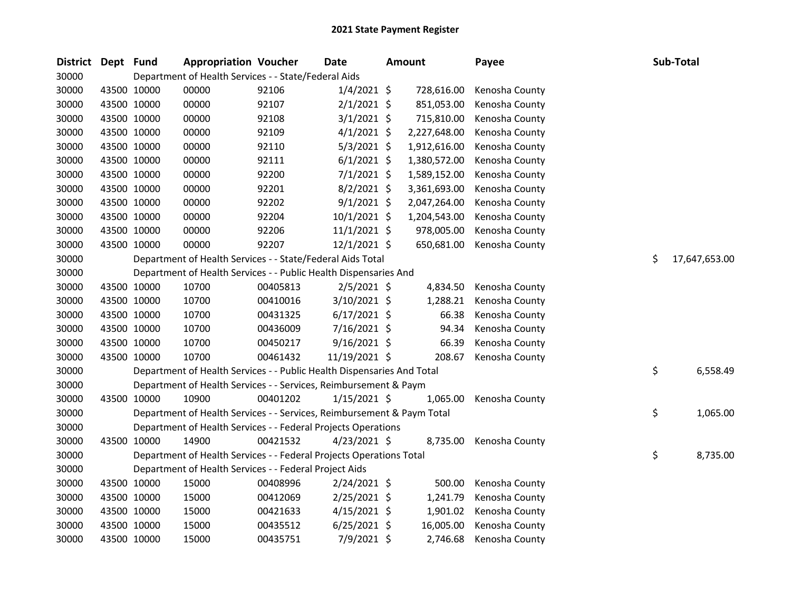| <b>District</b> | Dept Fund |             | <b>Appropriation Voucher</b>                                           |          | Date           | <b>Amount</b> | Payee          | Sub-Total           |
|-----------------|-----------|-------------|------------------------------------------------------------------------|----------|----------------|---------------|----------------|---------------------|
| 30000           |           |             | Department of Health Services - - State/Federal Aids                   |          |                |               |                |                     |
| 30000           |           | 43500 10000 | 00000                                                                  | 92106    | $1/4/2021$ \$  | 728,616.00    | Kenosha County |                     |
| 30000           |           | 43500 10000 | 00000                                                                  | 92107    | $2/1/2021$ \$  | 851,053.00    | Kenosha County |                     |
| 30000           |           | 43500 10000 | 00000                                                                  | 92108    | $3/1/2021$ \$  | 715,810.00    | Kenosha County |                     |
| 30000           |           | 43500 10000 | 00000                                                                  | 92109    | $4/1/2021$ \$  | 2,227,648.00  | Kenosha County |                     |
| 30000           |           | 43500 10000 | 00000                                                                  | 92110    | $5/3/2021$ \$  | 1,912,616.00  | Kenosha County |                     |
| 30000           |           | 43500 10000 | 00000                                                                  | 92111    | $6/1/2021$ \$  | 1,380,572.00  | Kenosha County |                     |
| 30000           |           | 43500 10000 | 00000                                                                  | 92200    | $7/1/2021$ \$  | 1,589,152.00  | Kenosha County |                     |
| 30000           |           | 43500 10000 | 00000                                                                  | 92201    | $8/2/2021$ \$  | 3,361,693.00  | Kenosha County |                     |
| 30000           |           | 43500 10000 | 00000                                                                  | 92202    | $9/1/2021$ \$  | 2,047,264.00  | Kenosha County |                     |
| 30000           |           | 43500 10000 | 00000                                                                  | 92204    | $10/1/2021$ \$ | 1,204,543.00  | Kenosha County |                     |
| 30000           |           | 43500 10000 | 00000                                                                  | 92206    | $11/1/2021$ \$ | 978,005.00    | Kenosha County |                     |
| 30000           |           | 43500 10000 | 00000                                                                  | 92207    | 12/1/2021 \$   | 650,681.00    | Kenosha County |                     |
| 30000           |           |             | Department of Health Services - - State/Federal Aids Total             |          |                |               |                | \$<br>17,647,653.00 |
| 30000           |           |             | Department of Health Services - - Public Health Dispensaries And       |          |                |               |                |                     |
| 30000           |           | 43500 10000 | 10700                                                                  | 00405813 | $2/5/2021$ \$  | 4,834.50      | Kenosha County |                     |
| 30000           |           | 43500 10000 | 10700                                                                  | 00410016 | 3/10/2021 \$   | 1,288.21      | Kenosha County |                     |
| 30000           |           | 43500 10000 | 10700                                                                  | 00431325 | $6/17/2021$ \$ | 66.38         | Kenosha County |                     |
| 30000           |           | 43500 10000 | 10700                                                                  | 00436009 | 7/16/2021 \$   | 94.34         | Kenosha County |                     |
| 30000           |           | 43500 10000 | 10700                                                                  | 00450217 | 9/16/2021 \$   | 66.39         | Kenosha County |                     |
| 30000           |           | 43500 10000 | 10700                                                                  | 00461432 | 11/19/2021 \$  | 208.67        | Kenosha County |                     |
| 30000           |           |             | Department of Health Services - - Public Health Dispensaries And Total |          |                |               |                | \$<br>6,558.49      |
| 30000           |           |             | Department of Health Services - - Services, Reimbursement & Paym       |          |                |               |                |                     |
| 30000           |           | 43500 10000 | 10900                                                                  | 00401202 | $1/15/2021$ \$ | 1,065.00      | Kenosha County |                     |
| 30000           |           |             | Department of Health Services - - Services, Reimbursement & Paym Total |          |                |               |                | \$<br>1,065.00      |
| 30000           |           |             | Department of Health Services - - Federal Projects Operations          |          |                |               |                |                     |
| 30000           |           | 43500 10000 | 14900                                                                  | 00421532 | $4/23/2021$ \$ | 8,735.00      | Kenosha County |                     |
| 30000           |           |             | Department of Health Services - - Federal Projects Operations Total    |          |                |               |                | \$<br>8,735.00      |
| 30000           |           |             | Department of Health Services - - Federal Project Aids                 |          |                |               |                |                     |
| 30000           |           | 43500 10000 | 15000                                                                  | 00408996 | $2/24/2021$ \$ | 500.00        | Kenosha County |                     |
| 30000           |           | 43500 10000 | 15000                                                                  | 00412069 | $2/25/2021$ \$ | 1,241.79      | Kenosha County |                     |
| 30000           |           | 43500 10000 | 15000                                                                  | 00421633 | $4/15/2021$ \$ | 1,901.02      | Kenosha County |                     |
| 30000           |           | 43500 10000 | 15000                                                                  | 00435512 | $6/25/2021$ \$ | 16,005.00     | Kenosha County |                     |
| 30000           |           | 43500 10000 | 15000                                                                  | 00435751 | 7/9/2021 \$    | 2,746.68      | Kenosha County |                     |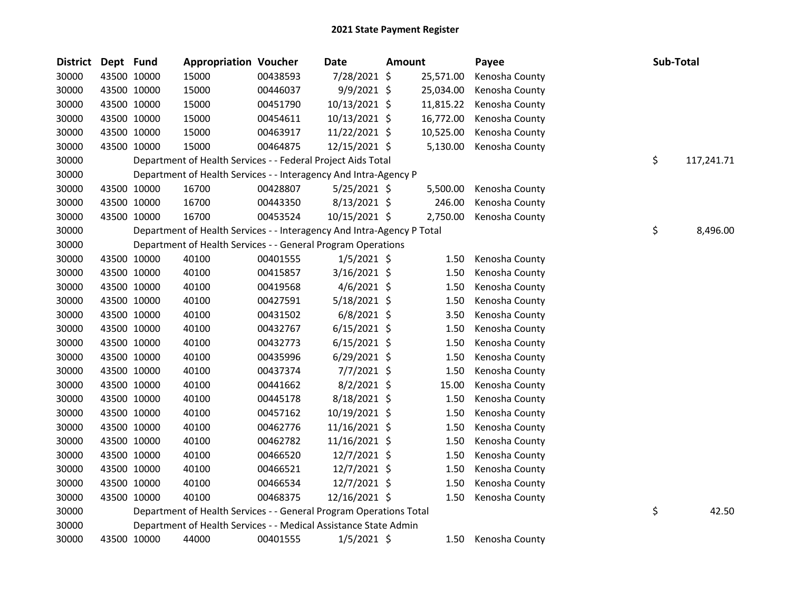| <b>District</b> | Dept Fund |             | <b>Appropriation Voucher</b>                                           |          | <b>Date</b>    | Amount |           | Payee          | Sub-Total |            |
|-----------------|-----------|-------------|------------------------------------------------------------------------|----------|----------------|--------|-----------|----------------|-----------|------------|
| 30000           |           | 43500 10000 | 15000                                                                  | 00438593 | 7/28/2021 \$   |        | 25,571.00 | Kenosha County |           |            |
| 30000           |           | 43500 10000 | 15000                                                                  | 00446037 | 9/9/2021 \$    |        | 25,034.00 | Kenosha County |           |            |
| 30000           |           | 43500 10000 | 15000                                                                  | 00451790 | 10/13/2021 \$  |        | 11,815.22 | Kenosha County |           |            |
| 30000           |           | 43500 10000 | 15000                                                                  | 00454611 | 10/13/2021 \$  |        | 16,772.00 | Kenosha County |           |            |
| 30000           |           | 43500 10000 | 15000                                                                  | 00463917 | 11/22/2021 \$  |        | 10,525.00 | Kenosha County |           |            |
| 30000           |           | 43500 10000 | 15000                                                                  | 00464875 | 12/15/2021 \$  |        | 5,130.00  | Kenosha County |           |            |
| 30000           |           |             | Department of Health Services - - Federal Project Aids Total           |          |                |        |           |                | \$        | 117,241.71 |
| 30000           |           |             | Department of Health Services - - Interagency And Intra-Agency P       |          |                |        |           |                |           |            |
| 30000           |           | 43500 10000 | 16700                                                                  | 00428807 | $5/25/2021$ \$ |        | 5,500.00  | Kenosha County |           |            |
| 30000           |           | 43500 10000 | 16700                                                                  | 00443350 | 8/13/2021 \$   |        | 246.00    | Kenosha County |           |            |
| 30000           |           | 43500 10000 | 16700                                                                  | 00453524 | 10/15/2021 \$  |        | 2,750.00  | Kenosha County |           |            |
| 30000           |           |             | Department of Health Services - - Interagency And Intra-Agency P Total |          |                |        |           |                | \$        | 8,496.00   |
| 30000           |           |             | Department of Health Services - - General Program Operations           |          |                |        |           |                |           |            |
| 30000           |           | 43500 10000 | 40100                                                                  | 00401555 | $1/5/2021$ \$  |        | 1.50      | Kenosha County |           |            |
| 30000           |           | 43500 10000 | 40100                                                                  | 00415857 | 3/16/2021 \$   |        | 1.50      | Kenosha County |           |            |
| 30000           |           | 43500 10000 | 40100                                                                  | 00419568 | 4/6/2021 \$    |        | 1.50      | Kenosha County |           |            |
| 30000           |           | 43500 10000 | 40100                                                                  | 00427591 | 5/18/2021 \$   |        | 1.50      | Kenosha County |           |            |
| 30000           |           | 43500 10000 | 40100                                                                  | 00431502 | $6/8/2021$ \$  |        | 3.50      | Kenosha County |           |            |
| 30000           |           | 43500 10000 | 40100                                                                  | 00432767 | $6/15/2021$ \$ |        | 1.50      | Kenosha County |           |            |
| 30000           |           | 43500 10000 | 40100                                                                  | 00432773 | $6/15/2021$ \$ |        | 1.50      | Kenosha County |           |            |
| 30000           |           | 43500 10000 | 40100                                                                  | 00435996 | $6/29/2021$ \$ |        | 1.50      | Kenosha County |           |            |
| 30000           |           | 43500 10000 | 40100                                                                  | 00437374 | 7/7/2021 \$    |        | 1.50      | Kenosha County |           |            |
| 30000           |           | 43500 10000 | 40100                                                                  | 00441662 | 8/2/2021 \$    |        | 15.00     | Kenosha County |           |            |
| 30000           |           | 43500 10000 | 40100                                                                  | 00445178 | 8/18/2021 \$   |        | 1.50      | Kenosha County |           |            |
| 30000           |           | 43500 10000 | 40100                                                                  | 00457162 | 10/19/2021 \$  |        | 1.50      | Kenosha County |           |            |
| 30000           |           | 43500 10000 | 40100                                                                  | 00462776 | 11/16/2021 \$  |        | 1.50      | Kenosha County |           |            |
| 30000           |           | 43500 10000 | 40100                                                                  | 00462782 | 11/16/2021 \$  |        | 1.50      | Kenosha County |           |            |
| 30000           |           | 43500 10000 | 40100                                                                  | 00466520 | 12/7/2021 \$   |        | 1.50      | Kenosha County |           |            |
| 30000           |           | 43500 10000 | 40100                                                                  | 00466521 | 12/7/2021 \$   |        | 1.50      | Kenosha County |           |            |
| 30000           |           | 43500 10000 | 40100                                                                  | 00466534 | 12/7/2021 \$   |        | 1.50      | Kenosha County |           |            |
| 30000           |           | 43500 10000 | 40100                                                                  | 00468375 | 12/16/2021 \$  |        | 1.50      | Kenosha County |           |            |
| 30000           |           |             | Department of Health Services - - General Program Operations Total     |          |                |        |           |                | \$        | 42.50      |
| 30000           |           |             | Department of Health Services - - Medical Assistance State Admin       |          |                |        |           |                |           |            |
| 30000           |           | 43500 10000 | 44000                                                                  | 00401555 | $1/5/2021$ \$  |        | 1.50      | Kenosha County |           |            |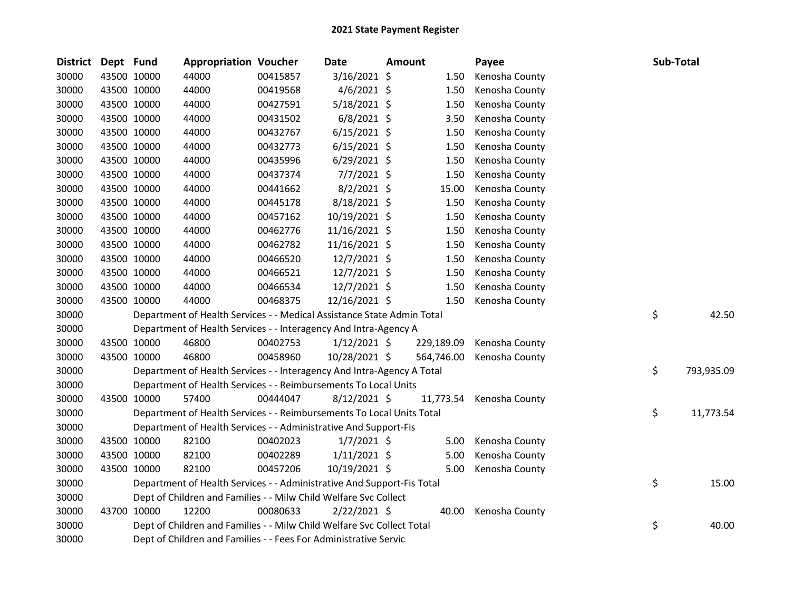| <b>District</b> | Dept Fund |             | <b>Appropriation Voucher</b>                                           |          | Date           | Amount |            | Payee          | Sub-Total        |
|-----------------|-----------|-------------|------------------------------------------------------------------------|----------|----------------|--------|------------|----------------|------------------|
| 30000           |           | 43500 10000 | 44000                                                                  | 00415857 | 3/16/2021 \$   |        | 1.50       | Kenosha County |                  |
| 30000           |           | 43500 10000 | 44000                                                                  | 00419568 | $4/6/2021$ \$  |        | 1.50       | Kenosha County |                  |
| 30000           |           | 43500 10000 | 44000                                                                  | 00427591 | $5/18/2021$ \$ |        | 1.50       | Kenosha County |                  |
| 30000           |           | 43500 10000 | 44000                                                                  | 00431502 | $6/8/2021$ \$  |        | 3.50       | Kenosha County |                  |
| 30000           |           | 43500 10000 | 44000                                                                  | 00432767 | $6/15/2021$ \$ |        | 1.50       | Kenosha County |                  |
| 30000           |           | 43500 10000 | 44000                                                                  | 00432773 | $6/15/2021$ \$ |        | 1.50       | Kenosha County |                  |
| 30000           |           | 43500 10000 | 44000                                                                  | 00435996 | $6/29/2021$ \$ |        | 1.50       | Kenosha County |                  |
| 30000           |           | 43500 10000 | 44000                                                                  | 00437374 | $7/7/2021$ \$  |        | 1.50       | Kenosha County |                  |
| 30000           |           | 43500 10000 | 44000                                                                  | 00441662 | $8/2/2021$ \$  |        | 15.00      | Kenosha County |                  |
| 30000           |           | 43500 10000 | 44000                                                                  | 00445178 | 8/18/2021 \$   |        | 1.50       | Kenosha County |                  |
| 30000           |           | 43500 10000 | 44000                                                                  | 00457162 | 10/19/2021 \$  |        | 1.50       | Kenosha County |                  |
| 30000           |           | 43500 10000 | 44000                                                                  | 00462776 | 11/16/2021 \$  |        | 1.50       | Kenosha County |                  |
| 30000           |           | 43500 10000 | 44000                                                                  | 00462782 | 11/16/2021 \$  |        | 1.50       | Kenosha County |                  |
| 30000           |           | 43500 10000 | 44000                                                                  | 00466520 | 12/7/2021 \$   |        | 1.50       | Kenosha County |                  |
| 30000           |           | 43500 10000 | 44000                                                                  | 00466521 | 12/7/2021 \$   |        | 1.50       | Kenosha County |                  |
| 30000           |           | 43500 10000 | 44000                                                                  | 00466534 | 12/7/2021 \$   |        | 1.50       | Kenosha County |                  |
| 30000           |           | 43500 10000 | 44000                                                                  | 00468375 | 12/16/2021 \$  |        | 1.50       | Kenosha County |                  |
| 30000           |           |             | Department of Health Services - - Medical Assistance State Admin Total |          |                |        |            |                | \$<br>42.50      |
| 30000           |           |             | Department of Health Services - - Interagency And Intra-Agency A       |          |                |        |            |                |                  |
| 30000           |           | 43500 10000 | 46800                                                                  | 00402753 | $1/12/2021$ \$ |        | 229,189.09 | Kenosha County |                  |
| 30000           |           | 43500 10000 | 46800                                                                  | 00458960 | 10/28/2021 \$  |        | 564,746.00 | Kenosha County |                  |
| 30000           |           |             | Department of Health Services - - Interagency And Intra-Agency A Total |          |                |        |            |                | \$<br>793,935.09 |
| 30000           |           |             | Department of Health Services - - Reimbursements To Local Units        |          |                |        |            |                |                  |
| 30000           |           | 43500 10000 | 57400                                                                  | 00444047 | $8/12/2021$ \$ |        | 11,773.54  | Kenosha County |                  |
| 30000           |           |             | Department of Health Services - - Reimbursements To Local Units Total  |          |                |        |            |                | \$<br>11,773.54  |
| 30000           |           |             | Department of Health Services - - Administrative And Support-Fis       |          |                |        |            |                |                  |
| 30000           |           | 43500 10000 | 82100                                                                  | 00402023 | $1/7/2021$ \$  |        | 5.00       | Kenosha County |                  |
| 30000           |           | 43500 10000 | 82100                                                                  | 00402289 | $1/11/2021$ \$ |        | 5.00       | Kenosha County |                  |
| 30000           |           | 43500 10000 | 82100                                                                  | 00457206 | 10/19/2021 \$  |        | 5.00       | Kenosha County |                  |
| 30000           |           |             | Department of Health Services - - Administrative And Support-Fis Total |          |                |        |            |                | \$<br>15.00      |
| 30000           |           |             | Dept of Children and Families - - Milw Child Welfare Svc Collect       |          |                |        |            |                |                  |
| 30000           |           | 43700 10000 | 12200                                                                  | 00080633 | $2/22/2021$ \$ |        | 40.00      | Kenosha County |                  |
| 30000           |           |             | Dept of Children and Families - - Milw Child Welfare Svc Collect Total |          |                |        |            |                | \$<br>40.00      |
| 30000           |           |             | Dept of Children and Families - - Fees For Administrative Servic       |          |                |        |            |                |                  |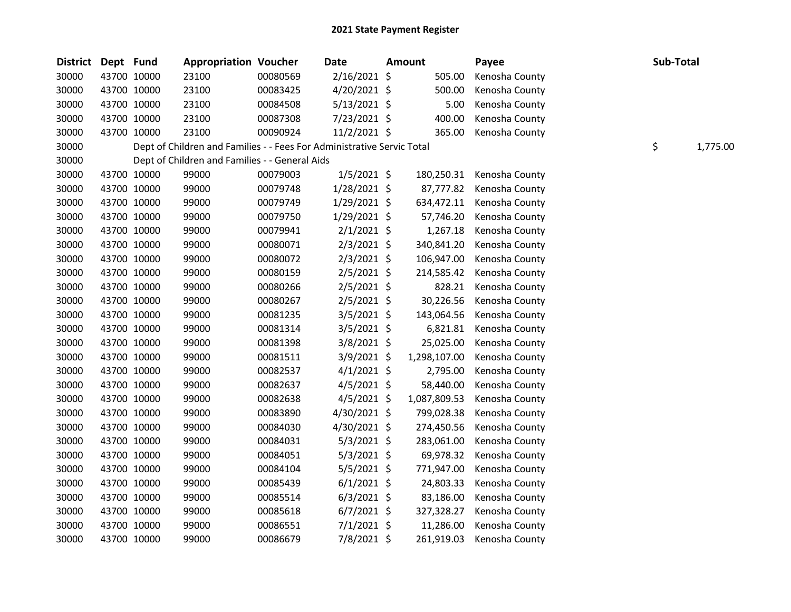| <b>District</b> | Dept Fund |             | <b>Appropriation Voucher</b>                                           |          | <b>Date</b>    | <b>Amount</b> | Payee          | Sub-Total |          |
|-----------------|-----------|-------------|------------------------------------------------------------------------|----------|----------------|---------------|----------------|-----------|----------|
| 30000           |           | 43700 10000 | 23100                                                                  | 00080569 | $2/16/2021$ \$ | 505.00        | Kenosha County |           |          |
| 30000           |           | 43700 10000 | 23100                                                                  | 00083425 | 4/20/2021 \$   | 500.00        | Kenosha County |           |          |
| 30000           |           | 43700 10000 | 23100                                                                  | 00084508 | $5/13/2021$ \$ | 5.00          | Kenosha County |           |          |
| 30000           |           | 43700 10000 | 23100                                                                  | 00087308 | 7/23/2021 \$   | 400.00        | Kenosha County |           |          |
| 30000           |           | 43700 10000 | 23100                                                                  | 00090924 | $11/2/2021$ \$ | 365.00        | Kenosha County |           |          |
| 30000           |           |             | Dept of Children and Families - - Fees For Administrative Servic Total |          |                |               |                | \$        | 1,775.00 |
| 30000           |           |             | Dept of Children and Families - - General Aids                         |          |                |               |                |           |          |
| 30000           |           | 43700 10000 | 99000                                                                  | 00079003 | $1/5/2021$ \$  | 180,250.31    | Kenosha County |           |          |
| 30000           |           | 43700 10000 | 99000                                                                  | 00079748 | 1/28/2021 \$   | 87,777.82     | Kenosha County |           |          |
| 30000           |           | 43700 10000 | 99000                                                                  | 00079749 | $1/29/2021$ \$ | 634,472.11    | Kenosha County |           |          |
| 30000           |           | 43700 10000 | 99000                                                                  | 00079750 | 1/29/2021 \$   | 57,746.20     | Kenosha County |           |          |
| 30000           |           | 43700 10000 | 99000                                                                  | 00079941 | $2/1/2021$ \$  | 1,267.18      | Kenosha County |           |          |
| 30000           |           | 43700 10000 | 99000                                                                  | 00080071 | $2/3/2021$ \$  | 340,841.20    | Kenosha County |           |          |
| 30000           |           | 43700 10000 | 99000                                                                  | 00080072 | $2/3/2021$ \$  | 106,947.00    | Kenosha County |           |          |
| 30000           |           | 43700 10000 | 99000                                                                  | 00080159 | $2/5/2021$ \$  | 214,585.42    | Kenosha County |           |          |
| 30000           |           | 43700 10000 | 99000                                                                  | 00080266 | $2/5/2021$ \$  | 828.21        | Kenosha County |           |          |
| 30000           |           | 43700 10000 | 99000                                                                  | 00080267 | $2/5/2021$ \$  | 30,226.56     | Kenosha County |           |          |
| 30000           |           | 43700 10000 | 99000                                                                  | 00081235 | $3/5/2021$ \$  | 143,064.56    | Kenosha County |           |          |
| 30000           |           | 43700 10000 | 99000                                                                  | 00081314 | $3/5/2021$ \$  | 6,821.81      | Kenosha County |           |          |
| 30000           |           | 43700 10000 | 99000                                                                  | 00081398 | $3/8/2021$ \$  | 25,025.00     | Kenosha County |           |          |
| 30000           |           | 43700 10000 | 99000                                                                  | 00081511 | $3/9/2021$ \$  | 1,298,107.00  | Kenosha County |           |          |
| 30000           |           | 43700 10000 | 99000                                                                  | 00082537 | $4/1/2021$ \$  | 2,795.00      | Kenosha County |           |          |
| 30000           |           | 43700 10000 | 99000                                                                  | 00082637 | $4/5/2021$ \$  | 58,440.00     | Kenosha County |           |          |
| 30000           |           | 43700 10000 | 99000                                                                  | 00082638 | $4/5/2021$ \$  | 1,087,809.53  | Kenosha County |           |          |
| 30000           |           | 43700 10000 | 99000                                                                  | 00083890 | 4/30/2021 \$   | 799,028.38    | Kenosha County |           |          |
| 30000           |           | 43700 10000 | 99000                                                                  | 00084030 | 4/30/2021 \$   | 274,450.56    | Kenosha County |           |          |
| 30000           |           | 43700 10000 | 99000                                                                  | 00084031 | $5/3/2021$ \$  | 283,061.00    | Kenosha County |           |          |
| 30000           |           | 43700 10000 | 99000                                                                  | 00084051 | $5/3/2021$ \$  | 69,978.32     | Kenosha County |           |          |
| 30000           |           | 43700 10000 | 99000                                                                  | 00084104 | $5/5/2021$ \$  | 771,947.00    | Kenosha County |           |          |
| 30000           |           | 43700 10000 | 99000                                                                  | 00085439 | $6/1/2021$ \$  | 24,803.33     | Kenosha County |           |          |
| 30000           |           | 43700 10000 | 99000                                                                  | 00085514 | $6/3/2021$ \$  | 83,186.00     | Kenosha County |           |          |
| 30000           |           | 43700 10000 | 99000                                                                  | 00085618 | $6/7/2021$ \$  | 327,328.27    | Kenosha County |           |          |
| 30000           |           | 43700 10000 | 99000                                                                  | 00086551 | $7/1/2021$ \$  | 11,286.00     | Kenosha County |           |          |
| 30000           |           | 43700 10000 | 99000                                                                  | 00086679 | 7/8/2021 \$    | 261,919.03    | Kenosha County |           |          |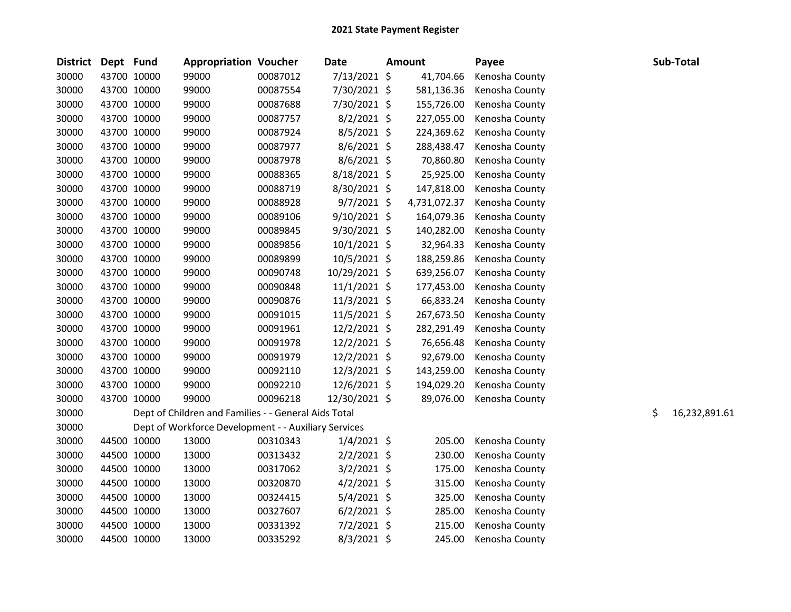| District Dept Fund |             | <b>Appropriation Voucher</b>                         |          | <b>Date</b>    | <b>Amount</b> | Payee          | Sub-Total           |
|--------------------|-------------|------------------------------------------------------|----------|----------------|---------------|----------------|---------------------|
| 30000              | 43700 10000 | 99000                                                | 00087012 | $7/13/2021$ \$ | 41,704.66     | Kenosha County |                     |
| 30000              | 43700 10000 | 99000                                                | 00087554 | 7/30/2021 \$   | 581,136.36    | Kenosha County |                     |
| 30000              | 43700 10000 | 99000                                                | 00087688 | 7/30/2021 \$   | 155,726.00    | Kenosha County |                     |
| 30000              | 43700 10000 | 99000                                                | 00087757 | $8/2/2021$ \$  | 227,055.00    | Kenosha County |                     |
| 30000              | 43700 10000 | 99000                                                | 00087924 | $8/5/2021$ \$  | 224,369.62    | Kenosha County |                     |
| 30000              | 43700 10000 | 99000                                                | 00087977 | $8/6/2021$ \$  | 288,438.47    | Kenosha County |                     |
| 30000              | 43700 10000 | 99000                                                | 00087978 | $8/6/2021$ \$  | 70,860.80     | Kenosha County |                     |
| 30000              | 43700 10000 | 99000                                                | 00088365 | 8/18/2021 \$   | 25,925.00     | Kenosha County |                     |
| 30000              | 43700 10000 | 99000                                                | 00088719 | 8/30/2021 \$   | 147,818.00    | Kenosha County |                     |
| 30000              | 43700 10000 | 99000                                                | 00088928 | $9/7/2021$ \$  | 4,731,072.37  | Kenosha County |                     |
| 30000              | 43700 10000 | 99000                                                | 00089106 | $9/10/2021$ \$ | 164,079.36    | Kenosha County |                     |
| 30000              | 43700 10000 | 99000                                                | 00089845 | 9/30/2021 \$   | 140,282.00    | Kenosha County |                     |
| 30000              | 43700 10000 | 99000                                                | 00089856 | $10/1/2021$ \$ | 32,964.33     | Kenosha County |                     |
| 30000              | 43700 10000 | 99000                                                | 00089899 | 10/5/2021 \$   | 188,259.86    | Kenosha County |                     |
| 30000              | 43700 10000 | 99000                                                | 00090748 | 10/29/2021 \$  | 639,256.07    | Kenosha County |                     |
| 30000              | 43700 10000 | 99000                                                | 00090848 | $11/1/2021$ \$ | 177,453.00    | Kenosha County |                     |
| 30000              | 43700 10000 | 99000                                                | 00090876 | $11/3/2021$ \$ | 66,833.24     | Kenosha County |                     |
| 30000              | 43700 10000 | 99000                                                | 00091015 | 11/5/2021 \$   | 267,673.50    | Kenosha County |                     |
| 30000              | 43700 10000 | 99000                                                | 00091961 | $12/2/2021$ \$ | 282,291.49    | Kenosha County |                     |
| 30000              | 43700 10000 | 99000                                                | 00091978 | 12/2/2021 \$   | 76,656.48     | Kenosha County |                     |
| 30000              | 43700 10000 | 99000                                                | 00091979 | 12/2/2021 \$   | 92,679.00     | Kenosha County |                     |
| 30000              | 43700 10000 | 99000                                                | 00092110 | 12/3/2021 \$   | 143,259.00    | Kenosha County |                     |
| 30000              | 43700 10000 | 99000                                                | 00092210 | 12/6/2021 \$   | 194,029.20    | Kenosha County |                     |
| 30000              | 43700 10000 | 99000                                                | 00096218 | 12/30/2021 \$  | 89,076.00     | Kenosha County |                     |
| 30000              |             | Dept of Children and Families - - General Aids Total |          |                |               |                | \$<br>16,232,891.61 |
| 30000              |             | Dept of Workforce Development - - Auxiliary Services |          |                |               |                |                     |
| 30000              | 44500 10000 | 13000                                                | 00310343 | $1/4/2021$ \$  | 205.00        | Kenosha County |                     |
| 30000              | 44500 10000 | 13000                                                | 00313432 | $2/2/2021$ \$  | 230.00        | Kenosha County |                     |
| 30000              | 44500 10000 | 13000                                                | 00317062 | $3/2/2021$ \$  | 175.00        | Kenosha County |                     |
| 30000              | 44500 10000 | 13000                                                | 00320870 | $4/2/2021$ \$  | 315.00        | Kenosha County |                     |
| 30000              | 44500 10000 | 13000                                                | 00324415 | $5/4/2021$ \$  | 325.00        | Kenosha County |                     |
| 30000              | 44500 10000 | 13000                                                | 00327607 | $6/2/2021$ \$  | 285.00        | Kenosha County |                     |
| 30000              | 44500 10000 | 13000                                                | 00331392 | $7/2/2021$ \$  | 215.00        | Kenosha County |                     |
| 30000              | 44500 10000 | 13000                                                | 00335292 | 8/3/2021 \$    | 245.00        | Kenosha County |                     |
|                    |             |                                                      |          |                |               |                |                     |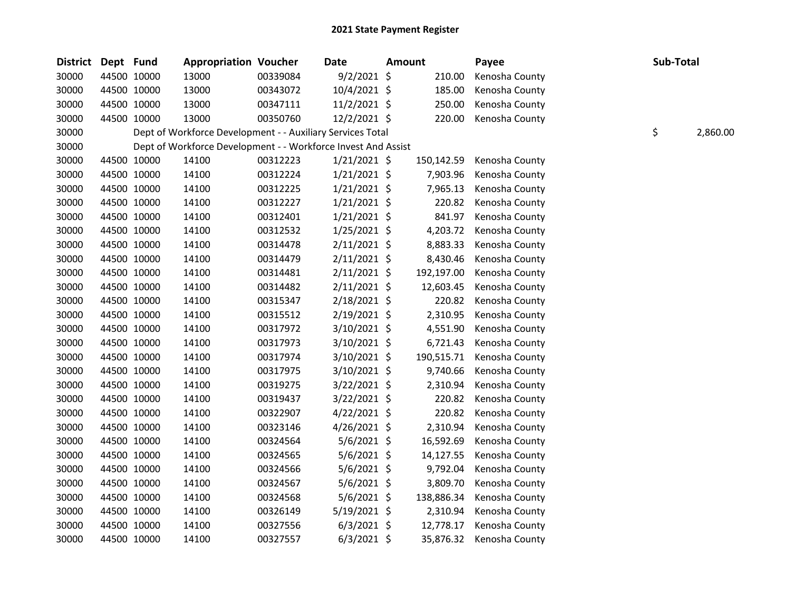| <b>District</b> | Dept Fund |             | <b>Appropriation Voucher</b>                                  |          | Date           | <b>Amount</b> | Payee          | Sub-Total |          |
|-----------------|-----------|-------------|---------------------------------------------------------------|----------|----------------|---------------|----------------|-----------|----------|
| 30000           |           | 44500 10000 | 13000                                                         | 00339084 | $9/2/2021$ \$  | 210.00        | Kenosha County |           |          |
| 30000           |           | 44500 10000 | 13000                                                         | 00343072 | 10/4/2021 \$   | 185.00        | Kenosha County |           |          |
| 30000           |           | 44500 10000 | 13000                                                         | 00347111 | 11/2/2021 \$   | 250.00        | Kenosha County |           |          |
| 30000           |           | 44500 10000 | 13000                                                         | 00350760 | $12/2/2021$ \$ | 220.00        | Kenosha County |           |          |
| 30000           |           |             | Dept of Workforce Development - - Auxiliary Services Total    |          |                |               |                | \$        | 2,860.00 |
| 30000           |           |             | Dept of Workforce Development - - Workforce Invest And Assist |          |                |               |                |           |          |
| 30000           |           | 44500 10000 | 14100                                                         | 00312223 | $1/21/2021$ \$ | 150,142.59    | Kenosha County |           |          |
| 30000           |           | 44500 10000 | 14100                                                         | 00312224 | $1/21/2021$ \$ | 7,903.96      | Kenosha County |           |          |
| 30000           |           | 44500 10000 | 14100                                                         | 00312225 | $1/21/2021$ \$ | 7,965.13      | Kenosha County |           |          |
| 30000           |           | 44500 10000 | 14100                                                         | 00312227 | $1/21/2021$ \$ | 220.82        | Kenosha County |           |          |
| 30000           |           | 44500 10000 | 14100                                                         | 00312401 | $1/21/2021$ \$ | 841.97        | Kenosha County |           |          |
| 30000           |           | 44500 10000 | 14100                                                         | 00312532 | $1/25/2021$ \$ | 4,203.72      | Kenosha County |           |          |
| 30000           |           | 44500 10000 | 14100                                                         | 00314478 | $2/11/2021$ \$ | 8,883.33      | Kenosha County |           |          |
| 30000           |           | 44500 10000 | 14100                                                         | 00314479 | $2/11/2021$ \$ | 8,430.46      | Kenosha County |           |          |
| 30000           |           | 44500 10000 | 14100                                                         | 00314481 | $2/11/2021$ \$ | 192,197.00    | Kenosha County |           |          |
| 30000           |           | 44500 10000 | 14100                                                         | 00314482 | $2/11/2021$ \$ | 12,603.45     | Kenosha County |           |          |
| 30000           |           | 44500 10000 | 14100                                                         | 00315347 | 2/18/2021 \$   | 220.82        | Kenosha County |           |          |
| 30000           |           | 44500 10000 | 14100                                                         | 00315512 | $2/19/2021$ \$ | 2,310.95      | Kenosha County |           |          |
| 30000           |           | 44500 10000 | 14100                                                         | 00317972 | $3/10/2021$ \$ | 4,551.90      | Kenosha County |           |          |
| 30000           |           | 44500 10000 | 14100                                                         | 00317973 | $3/10/2021$ \$ | 6,721.43      | Kenosha County |           |          |
| 30000           |           | 44500 10000 | 14100                                                         | 00317974 | $3/10/2021$ \$ | 190,515.71    | Kenosha County |           |          |
| 30000           |           | 44500 10000 | 14100                                                         | 00317975 | $3/10/2021$ \$ | 9,740.66      | Kenosha County |           |          |
| 30000           |           | 44500 10000 | 14100                                                         | 00319275 | $3/22/2021$ \$ | 2,310.94      | Kenosha County |           |          |
| 30000           |           | 44500 10000 | 14100                                                         | 00319437 | $3/22/2021$ \$ | 220.82        | Kenosha County |           |          |
| 30000           |           | 44500 10000 | 14100                                                         | 00322907 | $4/22/2021$ \$ | 220.82        | Kenosha County |           |          |
| 30000           |           | 44500 10000 | 14100                                                         | 00323146 | $4/26/2021$ \$ | 2,310.94      | Kenosha County |           |          |
| 30000           |           | 44500 10000 | 14100                                                         | 00324564 | $5/6/2021$ \$  | 16,592.69     | Kenosha County |           |          |
| 30000           |           | 44500 10000 | 14100                                                         | 00324565 | $5/6/2021$ \$  | 14,127.55     | Kenosha County |           |          |
| 30000           |           | 44500 10000 | 14100                                                         | 00324566 | $5/6/2021$ \$  | 9,792.04      | Kenosha County |           |          |
| 30000           |           | 44500 10000 | 14100                                                         | 00324567 | $5/6/2021$ \$  | 3,809.70      | Kenosha County |           |          |
| 30000           |           | 44500 10000 | 14100                                                         | 00324568 | $5/6/2021$ \$  | 138,886.34    | Kenosha County |           |          |
| 30000           |           | 44500 10000 | 14100                                                         | 00326149 | 5/19/2021 \$   | 2,310.94      | Kenosha County |           |          |
| 30000           |           | 44500 10000 | 14100                                                         | 00327556 | $6/3/2021$ \$  | 12,778.17     | Kenosha County |           |          |
| 30000           |           | 44500 10000 | 14100                                                         | 00327557 | $6/3/2021$ \$  | 35,876.32     | Kenosha County |           |          |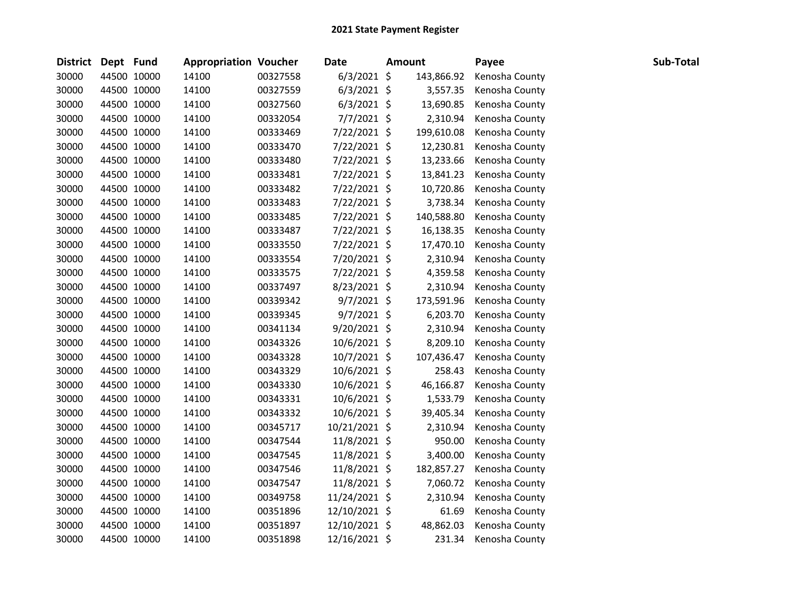| District Dept Fund |             | <b>Appropriation Voucher</b> |          | <b>Date</b>   | <b>Amount</b> | Payee          | Sub-Total |
|--------------------|-------------|------------------------------|----------|---------------|---------------|----------------|-----------|
| 30000              | 44500 10000 | 14100                        | 00327558 | $6/3/2021$ \$ | 143,866.92    | Kenosha County |           |
| 30000              | 44500 10000 | 14100                        | 00327559 | $6/3/2021$ \$ | 3,557.35      | Kenosha County |           |
| 30000              | 44500 10000 | 14100                        | 00327560 | $6/3/2021$ \$ | 13,690.85     | Kenosha County |           |
| 30000              | 44500 10000 | 14100                        | 00332054 | $7/7/2021$ \$ | 2,310.94      | Kenosha County |           |
| 30000              | 44500 10000 | 14100                        | 00333469 | 7/22/2021 \$  | 199,610.08    | Kenosha County |           |
| 30000              | 44500 10000 | 14100                        | 00333470 | 7/22/2021 \$  | 12,230.81     | Kenosha County |           |
| 30000              | 44500 10000 | 14100                        | 00333480 | 7/22/2021 \$  | 13,233.66     | Kenosha County |           |
| 30000              | 44500 10000 | 14100                        | 00333481 | 7/22/2021 \$  | 13,841.23     | Kenosha County |           |
| 30000              | 44500 10000 | 14100                        | 00333482 | 7/22/2021 \$  | 10,720.86     | Kenosha County |           |
| 30000              | 44500 10000 | 14100                        | 00333483 | 7/22/2021 \$  | 3,738.34      | Kenosha County |           |
| 30000              | 44500 10000 | 14100                        | 00333485 | 7/22/2021 \$  | 140,588.80    | Kenosha County |           |
| 30000              | 44500 10000 | 14100                        | 00333487 | 7/22/2021 \$  | 16,138.35     | Kenosha County |           |
| 30000              | 44500 10000 | 14100                        | 00333550 | 7/22/2021 \$  | 17,470.10     | Kenosha County |           |
| 30000              | 44500 10000 | 14100                        | 00333554 | 7/20/2021 \$  | 2,310.94      | Kenosha County |           |
| 30000              | 44500 10000 | 14100                        | 00333575 | 7/22/2021 \$  | 4,359.58      | Kenosha County |           |
| 30000              | 44500 10000 | 14100                        | 00337497 | 8/23/2021 \$  | 2,310.94      | Kenosha County |           |
| 30000              | 44500 10000 | 14100                        | 00339342 | $9/7/2021$ \$ | 173,591.96    | Kenosha County |           |
| 30000              | 44500 10000 | 14100                        | 00339345 | $9/7/2021$ \$ | 6,203.70      | Kenosha County |           |
| 30000              | 44500 10000 | 14100                        | 00341134 | 9/20/2021 \$  | 2,310.94      | Kenosha County |           |
| 30000              | 44500 10000 | 14100                        | 00343326 | 10/6/2021 \$  | 8,209.10      | Kenosha County |           |
| 30000              | 44500 10000 | 14100                        | 00343328 | 10/7/2021 \$  | 107,436.47    | Kenosha County |           |
| 30000              | 44500 10000 | 14100                        | 00343329 | 10/6/2021 \$  | 258.43        | Kenosha County |           |
| 30000              | 44500 10000 | 14100                        | 00343330 | 10/6/2021 \$  | 46,166.87     | Kenosha County |           |
| 30000              | 44500 10000 | 14100                        | 00343331 | 10/6/2021 \$  | 1,533.79      | Kenosha County |           |
| 30000              | 44500 10000 | 14100                        | 00343332 | 10/6/2021 \$  | 39,405.34     | Kenosha County |           |
| 30000              | 44500 10000 | 14100                        | 00345717 | 10/21/2021 \$ | 2,310.94      | Kenosha County |           |
| 30000              | 44500 10000 | 14100                        | 00347544 | 11/8/2021 \$  | 950.00        | Kenosha County |           |
| 30000              | 44500 10000 | 14100                        | 00347545 | 11/8/2021 \$  | 3,400.00      | Kenosha County |           |
| 30000              | 44500 10000 | 14100                        | 00347546 | 11/8/2021 \$  | 182,857.27    | Kenosha County |           |
| 30000              | 44500 10000 | 14100                        | 00347547 | 11/8/2021 \$  | 7,060.72      | Kenosha County |           |
| 30000              | 44500 10000 | 14100                        | 00349758 | 11/24/2021 \$ | 2,310.94      | Kenosha County |           |
| 30000              | 44500 10000 | 14100                        | 00351896 | 12/10/2021 \$ | 61.69         | Kenosha County |           |
| 30000              | 44500 10000 | 14100                        | 00351897 | 12/10/2021 \$ | 48,862.03     | Kenosha County |           |
| 30000              | 44500 10000 | 14100                        | 00351898 | 12/16/2021 \$ | 231.34        | Kenosha County |           |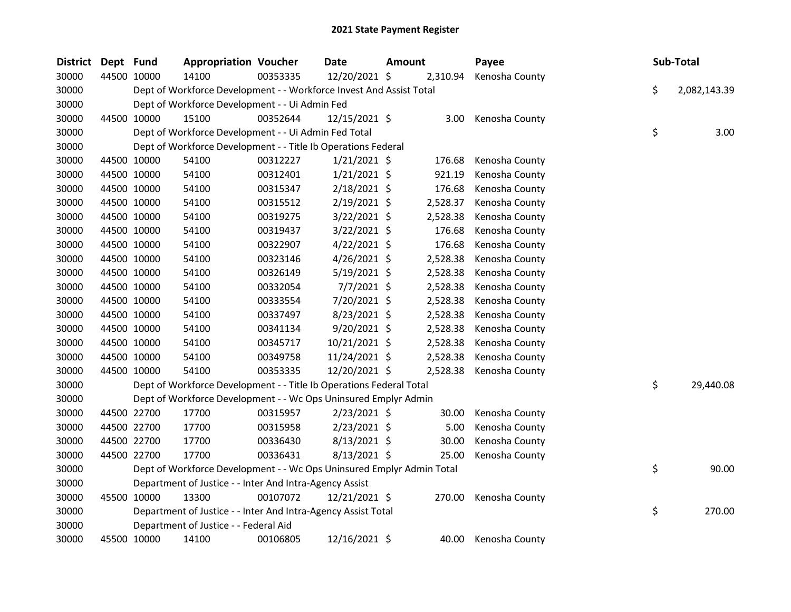| District | Dept Fund |             | <b>Appropriation Voucher</b>                                          |          | Date           | <b>Amount</b> |          | Payee          | Sub-Total          |
|----------|-----------|-------------|-----------------------------------------------------------------------|----------|----------------|---------------|----------|----------------|--------------------|
| 30000    |           | 44500 10000 | 14100                                                                 | 00353335 | 12/20/2021 \$  |               | 2,310.94 | Kenosha County |                    |
| 30000    |           |             | Dept of Workforce Development - - Workforce Invest And Assist Total   |          |                |               |          |                | \$<br>2,082,143.39 |
| 30000    |           |             | Dept of Workforce Development - - Ui Admin Fed                        |          |                |               |          |                |                    |
| 30000    |           | 44500 10000 | 15100                                                                 | 00352644 | 12/15/2021 \$  |               | 3.00     | Kenosha County |                    |
| 30000    |           |             | Dept of Workforce Development - - Ui Admin Fed Total                  |          |                |               |          |                | \$<br>3.00         |
| 30000    |           |             | Dept of Workforce Development - - Title Ib Operations Federal         |          |                |               |          |                |                    |
| 30000    |           | 44500 10000 | 54100                                                                 | 00312227 | $1/21/2021$ \$ |               | 176.68   | Kenosha County |                    |
| 30000    |           | 44500 10000 | 54100                                                                 | 00312401 | $1/21/2021$ \$ |               | 921.19   | Kenosha County |                    |
| 30000    |           | 44500 10000 | 54100                                                                 | 00315347 | 2/18/2021 \$   |               | 176.68   | Kenosha County |                    |
| 30000    |           | 44500 10000 | 54100                                                                 | 00315512 | $2/19/2021$ \$ |               | 2,528.37 | Kenosha County |                    |
| 30000    |           | 44500 10000 | 54100                                                                 | 00319275 | 3/22/2021 \$   |               | 2,528.38 | Kenosha County |                    |
| 30000    |           | 44500 10000 | 54100                                                                 | 00319437 | 3/22/2021 \$   |               | 176.68   | Kenosha County |                    |
| 30000    |           | 44500 10000 | 54100                                                                 | 00322907 | $4/22/2021$ \$ |               | 176.68   | Kenosha County |                    |
| 30000    |           | 44500 10000 | 54100                                                                 | 00323146 | $4/26/2021$ \$ |               | 2,528.38 | Kenosha County |                    |
| 30000    |           | 44500 10000 | 54100                                                                 | 00326149 | 5/19/2021 \$   |               | 2,528.38 | Kenosha County |                    |
| 30000    |           | 44500 10000 | 54100                                                                 | 00332054 | $7/7/2021$ \$  |               | 2,528.38 | Kenosha County |                    |
| 30000    |           | 44500 10000 | 54100                                                                 | 00333554 | 7/20/2021 \$   |               | 2,528.38 | Kenosha County |                    |
| 30000    |           | 44500 10000 | 54100                                                                 | 00337497 | $8/23/2021$ \$ |               | 2,528.38 | Kenosha County |                    |
| 30000    |           | 44500 10000 | 54100                                                                 | 00341134 | 9/20/2021 \$   |               | 2,528.38 | Kenosha County |                    |
| 30000    |           | 44500 10000 | 54100                                                                 | 00345717 | 10/21/2021 \$  |               | 2,528.38 | Kenosha County |                    |
| 30000    |           | 44500 10000 | 54100                                                                 | 00349758 | 11/24/2021 \$  |               | 2,528.38 | Kenosha County |                    |
| 30000    |           | 44500 10000 | 54100                                                                 | 00353335 | 12/20/2021 \$  |               | 2,528.38 | Kenosha County |                    |
| 30000    |           |             | Dept of Workforce Development - - Title Ib Operations Federal Total   |          |                |               |          |                | \$<br>29,440.08    |
| 30000    |           |             | Dept of Workforce Development - - Wc Ops Uninsured Emplyr Admin       |          |                |               |          |                |                    |
| 30000    |           | 44500 22700 | 17700                                                                 | 00315957 | $2/23/2021$ \$ |               | 30.00    | Kenosha County |                    |
| 30000    |           | 44500 22700 | 17700                                                                 | 00315958 | $2/23/2021$ \$ |               | 5.00     | Kenosha County |                    |
| 30000    |           | 44500 22700 | 17700                                                                 | 00336430 | 8/13/2021 \$   |               | 30.00    | Kenosha County |                    |
| 30000    |           | 44500 22700 | 17700                                                                 | 00336431 | 8/13/2021 \$   |               | 25.00    | Kenosha County |                    |
| 30000    |           |             | Dept of Workforce Development - - Wc Ops Uninsured Emplyr Admin Total |          |                |               |          |                | \$<br>90.00        |
| 30000    |           |             | Department of Justice - - Inter And Intra-Agency Assist               |          |                |               |          |                |                    |
| 30000    |           | 45500 10000 | 13300                                                                 | 00107072 | 12/21/2021 \$  |               | 270.00   | Kenosha County |                    |
| 30000    |           |             | Department of Justice - - Inter And Intra-Agency Assist Total         |          |                |               |          |                | \$<br>270.00       |
| 30000    |           |             | Department of Justice - - Federal Aid                                 |          |                |               |          |                |                    |
| 30000    |           | 45500 10000 | 14100                                                                 | 00106805 | 12/16/2021 \$  |               | 40.00    | Kenosha County |                    |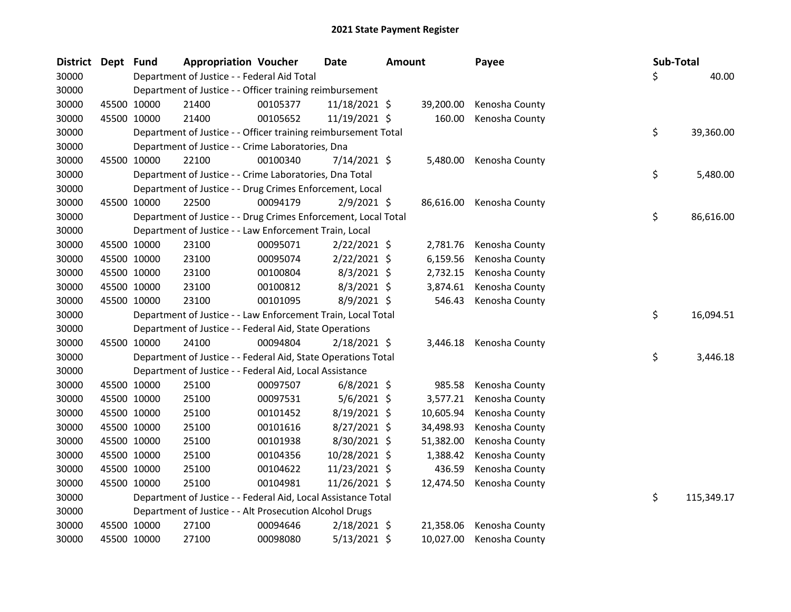| <b>District</b> | Dept Fund |             | <b>Appropriation Voucher</b>                                   | <b>Date</b> |                | <b>Amount</b> |           | Payee          | Sub-Total |            |
|-----------------|-----------|-------------|----------------------------------------------------------------|-------------|----------------|---------------|-----------|----------------|-----------|------------|
| 30000           |           |             | Department of Justice - - Federal Aid Total                    |             |                |               |           |                | \$        | 40.00      |
| 30000           |           |             | Department of Justice - - Officer training reimbursement       |             |                |               |           |                |           |            |
| 30000           |           | 45500 10000 | 21400                                                          | 00105377    | 11/18/2021 \$  |               | 39,200.00 | Kenosha County |           |            |
| 30000           |           | 45500 10000 | 21400                                                          | 00105652    | 11/19/2021 \$  |               | 160.00    | Kenosha County |           |            |
| 30000           |           |             | Department of Justice - - Officer training reimbursement Total |             |                |               |           |                | \$        | 39,360.00  |
| 30000           |           |             | Department of Justice - - Crime Laboratories, Dna              |             |                |               |           |                |           |            |
| 30000           |           | 45500 10000 | 22100                                                          | 00100340    | 7/14/2021 \$   |               | 5,480.00  | Kenosha County |           |            |
| 30000           |           |             | Department of Justice - - Crime Laboratories, Dna Total        |             |                |               |           |                | \$        | 5,480.00   |
| 30000           |           |             | Department of Justice - - Drug Crimes Enforcement, Local       |             |                |               |           |                |           |            |
| 30000           |           | 45500 10000 | 22500                                                          | 00094179    | $2/9/2021$ \$  |               | 86,616.00 | Kenosha County |           |            |
| 30000           |           |             | Department of Justice - - Drug Crimes Enforcement, Local Total |             |                |               |           |                | \$        | 86,616.00  |
| 30000           |           |             | Department of Justice - - Law Enforcement Train, Local         |             |                |               |           |                |           |            |
| 30000           |           | 45500 10000 | 23100                                                          | 00095071    | $2/22/2021$ \$ |               | 2,781.76  | Kenosha County |           |            |
| 30000           |           | 45500 10000 | 23100                                                          | 00095074    | $2/22/2021$ \$ |               | 6,159.56  | Kenosha County |           |            |
| 30000           |           | 45500 10000 | 23100                                                          | 00100804    | $8/3/2021$ \$  |               | 2,732.15  | Kenosha County |           |            |
| 30000           |           | 45500 10000 | 23100                                                          | 00100812    | $8/3/2021$ \$  |               | 3,874.61  | Kenosha County |           |            |
| 30000           |           | 45500 10000 | 23100                                                          | 00101095    | 8/9/2021 \$    |               | 546.43    | Kenosha County |           |            |
| 30000           |           |             | Department of Justice - - Law Enforcement Train, Local Total   |             |                |               |           |                | \$        | 16,094.51  |
| 30000           |           |             | Department of Justice - - Federal Aid, State Operations        |             |                |               |           |                |           |            |
| 30000           |           | 45500 10000 | 24100                                                          | 00094804    | $2/18/2021$ \$ |               | 3,446.18  | Kenosha County |           |            |
| 30000           |           |             | Department of Justice - - Federal Aid, State Operations Total  |             |                |               |           |                | \$        | 3,446.18   |
| 30000           |           |             | Department of Justice - - Federal Aid, Local Assistance        |             |                |               |           |                |           |            |
| 30000           |           | 45500 10000 | 25100                                                          | 00097507    | $6/8/2021$ \$  |               | 985.58    | Kenosha County |           |            |
| 30000           |           | 45500 10000 | 25100                                                          | 00097531    | 5/6/2021 \$    |               | 3,577.21  | Kenosha County |           |            |
| 30000           |           | 45500 10000 | 25100                                                          | 00101452    | 8/19/2021 \$   |               | 10,605.94 | Kenosha County |           |            |
| 30000           |           | 45500 10000 | 25100                                                          | 00101616    | 8/27/2021 \$   |               | 34,498.93 | Kenosha County |           |            |
| 30000           |           | 45500 10000 | 25100                                                          | 00101938    | 8/30/2021 \$   |               | 51,382.00 | Kenosha County |           |            |
| 30000           |           | 45500 10000 | 25100                                                          | 00104356    | 10/28/2021 \$  |               | 1,388.42  | Kenosha County |           |            |
| 30000           |           | 45500 10000 | 25100                                                          | 00104622    | 11/23/2021 \$  |               | 436.59    | Kenosha County |           |            |
| 30000           |           | 45500 10000 | 25100                                                          | 00104981    | 11/26/2021 \$  |               | 12,474.50 | Kenosha County |           |            |
| 30000           |           |             | Department of Justice - - Federal Aid, Local Assistance Total  |             |                |               |           |                | \$        | 115,349.17 |
| 30000           |           |             | Department of Justice - - Alt Prosecution Alcohol Drugs        |             |                |               |           |                |           |            |
| 30000           |           | 45500 10000 | 27100                                                          | 00094646    | $2/18/2021$ \$ |               | 21,358.06 | Kenosha County |           |            |
| 30000           |           | 45500 10000 | 27100                                                          | 00098080    | 5/13/2021 \$   |               | 10,027.00 | Kenosha County |           |            |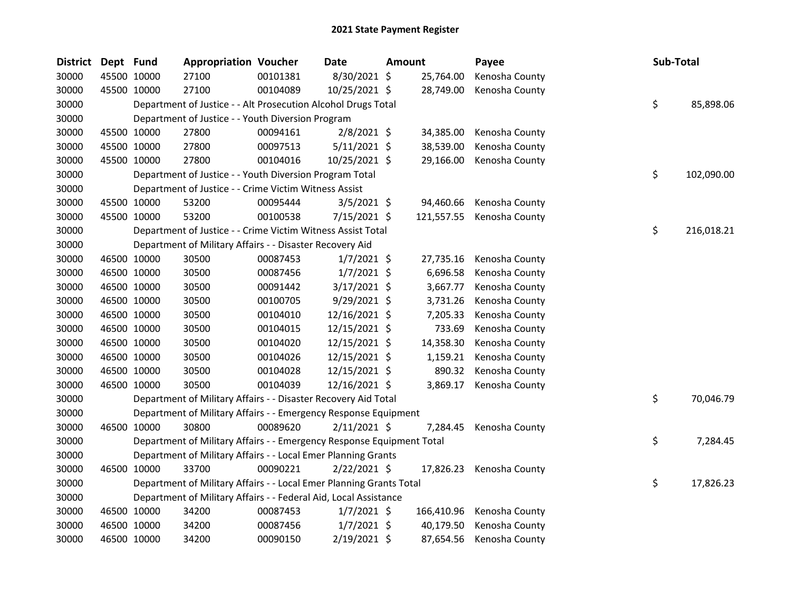| <b>District</b> | Dept Fund |             | <b>Appropriation Voucher</b>                                          |          | Date           | Amount |            | Payee                    | Sub-Total |            |
|-----------------|-----------|-------------|-----------------------------------------------------------------------|----------|----------------|--------|------------|--------------------------|-----------|------------|
| 30000           |           | 45500 10000 | 27100                                                                 | 00101381 | 8/30/2021 \$   |        | 25,764.00  | Kenosha County           |           |            |
| 30000           |           | 45500 10000 | 27100                                                                 | 00104089 | 10/25/2021 \$  |        | 28,749.00  | Kenosha County           |           |            |
| 30000           |           |             | Department of Justice - - Alt Prosecution Alcohol Drugs Total         |          |                |        |            |                          | \$        | 85,898.06  |
| 30000           |           |             | Department of Justice - - Youth Diversion Program                     |          |                |        |            |                          |           |            |
| 30000           |           | 45500 10000 | 27800                                                                 | 00094161 | $2/8/2021$ \$  |        | 34,385.00  | Kenosha County           |           |            |
| 30000           |           | 45500 10000 | 27800                                                                 | 00097513 | $5/11/2021$ \$ |        | 38,539.00  | Kenosha County           |           |            |
| 30000           |           | 45500 10000 | 27800                                                                 | 00104016 | 10/25/2021 \$  |        | 29,166.00  | Kenosha County           |           |            |
| 30000           |           |             | Department of Justice - - Youth Diversion Program Total               |          |                |        |            |                          | \$        | 102,090.00 |
| 30000           |           |             | Department of Justice - - Crime Victim Witness Assist                 |          |                |        |            |                          |           |            |
| 30000           |           | 45500 10000 | 53200                                                                 | 00095444 | 3/5/2021 \$    |        | 94,460.66  | Kenosha County           |           |            |
| 30000           |           | 45500 10000 | 53200                                                                 | 00100538 | $7/15/2021$ \$ |        | 121,557.55 | Kenosha County           |           |            |
| 30000           |           |             | Department of Justice - - Crime Victim Witness Assist Total           |          |                |        |            |                          | \$        | 216,018.21 |
| 30000           |           |             | Department of Military Affairs - - Disaster Recovery Aid              |          |                |        |            |                          |           |            |
| 30000           |           | 46500 10000 | 30500                                                                 | 00087453 | $1/7/2021$ \$  |        | 27,735.16  | Kenosha County           |           |            |
| 30000           |           | 46500 10000 | 30500                                                                 | 00087456 | $1/7/2021$ \$  |        | 6,696.58   | Kenosha County           |           |            |
| 30000           |           | 46500 10000 | 30500                                                                 | 00091442 | 3/17/2021 \$   |        | 3,667.77   | Kenosha County           |           |            |
| 30000           |           | 46500 10000 | 30500                                                                 | 00100705 | 9/29/2021 \$   |        | 3,731.26   | Kenosha County           |           |            |
| 30000           |           | 46500 10000 | 30500                                                                 | 00104010 | 12/16/2021 \$  |        | 7,205.33   | Kenosha County           |           |            |
| 30000           |           | 46500 10000 | 30500                                                                 | 00104015 | 12/15/2021 \$  |        | 733.69     | Kenosha County           |           |            |
| 30000           |           | 46500 10000 | 30500                                                                 | 00104020 | 12/15/2021 \$  |        | 14,358.30  | Kenosha County           |           |            |
| 30000           |           | 46500 10000 | 30500                                                                 | 00104026 | 12/15/2021 \$  |        | 1,159.21   | Kenosha County           |           |            |
| 30000           |           | 46500 10000 | 30500                                                                 | 00104028 | 12/15/2021 \$  |        | 890.32     | Kenosha County           |           |            |
| 30000           |           | 46500 10000 | 30500                                                                 | 00104039 | 12/16/2021 \$  |        | 3,869.17   | Kenosha County           |           |            |
| 30000           |           |             | Department of Military Affairs - - Disaster Recovery Aid Total        |          |                |        |            |                          | \$        | 70,046.79  |
| 30000           |           |             | Department of Military Affairs - - Emergency Response Equipment       |          |                |        |            |                          |           |            |
| 30000           |           | 46500 10000 | 30800                                                                 | 00089620 | $2/11/2021$ \$ |        | 7,284.45   | Kenosha County           |           |            |
| 30000           |           |             | Department of Military Affairs - - Emergency Response Equipment Total |          |                |        |            |                          | \$        | 7,284.45   |
| 30000           |           |             | Department of Military Affairs - - Local Emer Planning Grants         |          |                |        |            |                          |           |            |
| 30000           |           | 46500 10000 | 33700                                                                 | 00090221 | $2/22/2021$ \$ |        |            | 17,826.23 Kenosha County |           |            |
| 30000           |           |             | Department of Military Affairs - - Local Emer Planning Grants Total   |          |                |        |            |                          | \$        | 17,826.23  |
| 30000           |           |             | Department of Military Affairs - - Federal Aid, Local Assistance      |          |                |        |            |                          |           |            |
| 30000           |           | 46500 10000 | 34200                                                                 | 00087453 | $1/7/2021$ \$  |        | 166,410.96 | Kenosha County           |           |            |
| 30000           |           | 46500 10000 | 34200                                                                 | 00087456 | $1/7/2021$ \$  |        | 40,179.50  | Kenosha County           |           |            |
| 30000           |           | 46500 10000 | 34200                                                                 | 00090150 | 2/19/2021 \$   |        | 87,654.56  | Kenosha County           |           |            |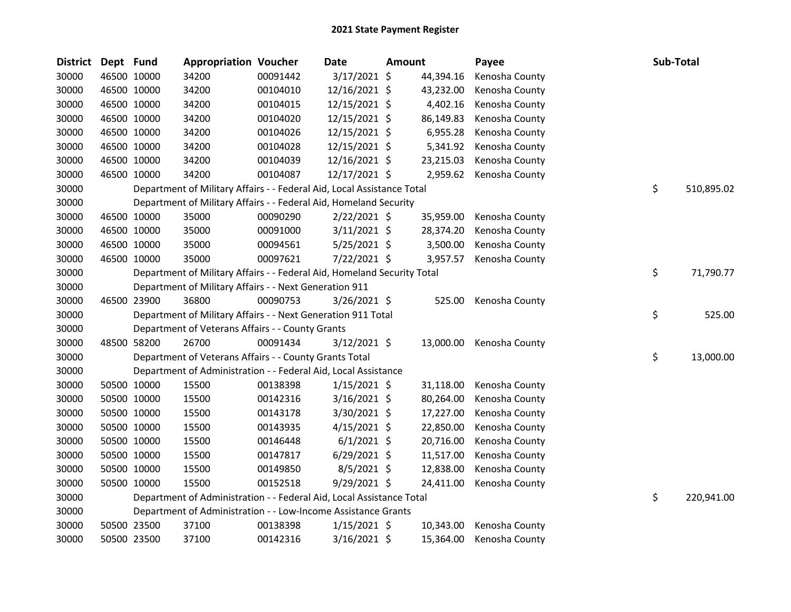| <b>District</b> | Dept Fund |             | <b>Appropriation Voucher</b>                                            |          | <b>Date</b>    | <b>Amount</b> |           | Payee          | Sub-Total        |
|-----------------|-----------|-------------|-------------------------------------------------------------------------|----------|----------------|---------------|-----------|----------------|------------------|
| 30000           |           | 46500 10000 | 34200                                                                   | 00091442 | 3/17/2021 \$   |               | 44,394.16 | Kenosha County |                  |
| 30000           |           | 46500 10000 | 34200                                                                   | 00104010 | 12/16/2021 \$  |               | 43,232.00 | Kenosha County |                  |
| 30000           |           | 46500 10000 | 34200                                                                   | 00104015 | 12/15/2021 \$  |               | 4,402.16  | Kenosha County |                  |
| 30000           |           | 46500 10000 | 34200                                                                   | 00104020 | 12/15/2021 \$  |               | 86,149.83 | Kenosha County |                  |
| 30000           |           | 46500 10000 | 34200                                                                   | 00104026 | 12/15/2021 \$  |               | 6,955.28  | Kenosha County |                  |
| 30000           |           | 46500 10000 | 34200                                                                   | 00104028 | 12/15/2021 \$  |               | 5,341.92  | Kenosha County |                  |
| 30000           |           | 46500 10000 | 34200                                                                   | 00104039 | 12/16/2021 \$  |               | 23,215.03 | Kenosha County |                  |
| 30000           |           | 46500 10000 | 34200                                                                   | 00104087 | 12/17/2021 \$  |               | 2,959.62  | Kenosha County |                  |
| 30000           |           |             | Department of Military Affairs - - Federal Aid, Local Assistance Total  |          |                |               |           |                | \$<br>510,895.02 |
| 30000           |           |             | Department of Military Affairs - - Federal Aid, Homeland Security       |          |                |               |           |                |                  |
| 30000           |           | 46500 10000 | 35000                                                                   | 00090290 | $2/22/2021$ \$ |               | 35,959.00 | Kenosha County |                  |
| 30000           |           | 46500 10000 | 35000                                                                   | 00091000 | $3/11/2021$ \$ |               | 28,374.20 | Kenosha County |                  |
| 30000           |           | 46500 10000 | 35000                                                                   | 00094561 | $5/25/2021$ \$ |               | 3,500.00  | Kenosha County |                  |
| 30000           |           | 46500 10000 | 35000                                                                   | 00097621 | 7/22/2021 \$   |               | 3,957.57  | Kenosha County |                  |
| 30000           |           |             | Department of Military Affairs - - Federal Aid, Homeland Security Total |          |                |               |           |                | \$<br>71,790.77  |
| 30000           |           |             | Department of Military Affairs - - Next Generation 911                  |          |                |               |           |                |                  |
| 30000           |           | 46500 23900 | 36800                                                                   | 00090753 | $3/26/2021$ \$ |               | 525.00    | Kenosha County |                  |
| 30000           |           |             | Department of Military Affairs - - Next Generation 911 Total            |          |                |               |           |                | \$<br>525.00     |
| 30000           |           |             | Department of Veterans Affairs - - County Grants                        |          |                |               |           |                |                  |
| 30000           |           | 48500 58200 | 26700                                                                   | 00091434 | $3/12/2021$ \$ |               | 13,000.00 | Kenosha County |                  |
| 30000           |           |             | Department of Veterans Affairs - - County Grants Total                  |          |                |               |           |                | \$<br>13,000.00  |
| 30000           |           |             | Department of Administration - - Federal Aid, Local Assistance          |          |                |               |           |                |                  |
| 30000           |           | 50500 10000 | 15500                                                                   | 00138398 | $1/15/2021$ \$ |               | 31,118.00 | Kenosha County |                  |
| 30000           |           | 50500 10000 | 15500                                                                   | 00142316 | $3/16/2021$ \$ |               | 80,264.00 | Kenosha County |                  |
| 30000           |           | 50500 10000 | 15500                                                                   | 00143178 | $3/30/2021$ \$ |               | 17,227.00 | Kenosha County |                  |
| 30000           |           | 50500 10000 | 15500                                                                   | 00143935 | $4/15/2021$ \$ |               | 22,850.00 | Kenosha County |                  |
| 30000           |           | 50500 10000 | 15500                                                                   | 00146448 | $6/1/2021$ \$  |               | 20,716.00 | Kenosha County |                  |
| 30000           |           | 50500 10000 | 15500                                                                   | 00147817 | $6/29/2021$ \$ |               | 11,517.00 | Kenosha County |                  |
| 30000           |           | 50500 10000 | 15500                                                                   | 00149850 | 8/5/2021 \$    |               | 12,838.00 | Kenosha County |                  |
| 30000           |           | 50500 10000 | 15500                                                                   | 00152518 | $9/29/2021$ \$ |               | 24,411.00 | Kenosha County |                  |
| 30000           |           |             | Department of Administration - - Federal Aid, Local Assistance Total    |          |                |               |           |                | \$<br>220,941.00 |
| 30000           |           |             | Department of Administration - - Low-Income Assistance Grants           |          |                |               |           |                |                  |
| 30000           |           | 50500 23500 | 37100                                                                   | 00138398 | $1/15/2021$ \$ |               | 10,343.00 | Kenosha County |                  |
| 30000           |           | 50500 23500 | 37100                                                                   | 00142316 | 3/16/2021 \$   |               | 15,364.00 | Kenosha County |                  |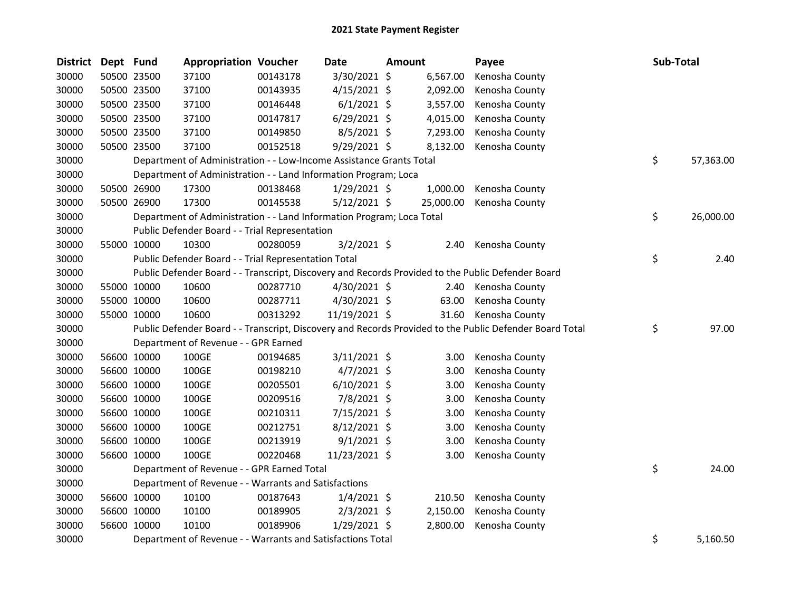| <b>District</b> | Dept Fund |             | <b>Appropriation Voucher</b>                                          |          | <b>Date</b>    | <b>Amount</b> |           | Payee                                                                                                   | Sub-Total       |
|-----------------|-----------|-------------|-----------------------------------------------------------------------|----------|----------------|---------------|-----------|---------------------------------------------------------------------------------------------------------|-----------------|
| 30000           |           | 50500 23500 | 37100                                                                 | 00143178 | 3/30/2021 \$   |               | 6,567.00  | Kenosha County                                                                                          |                 |
| 30000           |           | 50500 23500 | 37100                                                                 | 00143935 | $4/15/2021$ \$ |               | 2,092.00  | Kenosha County                                                                                          |                 |
| 30000           |           | 50500 23500 | 37100                                                                 | 00146448 | $6/1/2021$ \$  |               | 3,557.00  | Kenosha County                                                                                          |                 |
| 30000           |           | 50500 23500 | 37100                                                                 | 00147817 | $6/29/2021$ \$ |               | 4,015.00  | Kenosha County                                                                                          |                 |
| 30000           |           | 50500 23500 | 37100                                                                 | 00149850 | $8/5/2021$ \$  |               | 7,293.00  | Kenosha County                                                                                          |                 |
| 30000           |           | 50500 23500 | 37100                                                                 | 00152518 | 9/29/2021 \$   |               | 8,132.00  | Kenosha County                                                                                          |                 |
| 30000           |           |             | Department of Administration - - Low-Income Assistance Grants Total   |          |                |               |           |                                                                                                         | \$<br>57,363.00 |
| 30000           |           |             | Department of Administration - - Land Information Program; Loca       |          |                |               |           |                                                                                                         |                 |
| 30000           |           | 50500 26900 | 17300                                                                 | 00138468 | 1/29/2021 \$   |               | 1,000.00  | Kenosha County                                                                                          |                 |
| 30000           |           | 50500 26900 | 17300                                                                 | 00145538 | $5/12/2021$ \$ |               | 25,000.00 | Kenosha County                                                                                          |                 |
| 30000           |           |             | Department of Administration - - Land Information Program; Loca Total |          |                |               |           |                                                                                                         | \$<br>26,000.00 |
| 30000           |           |             | Public Defender Board - - Trial Representation                        |          |                |               |           |                                                                                                         |                 |
| 30000           |           | 55000 10000 | 10300                                                                 | 00280059 | $3/2/2021$ \$  |               | 2.40      | Kenosha County                                                                                          |                 |
| 30000           |           |             | Public Defender Board - - Trial Representation Total                  |          |                |               |           |                                                                                                         | \$<br>2.40      |
| 30000           |           |             |                                                                       |          |                |               |           | Public Defender Board - - Transcript, Discovery and Records Provided to the Public Defender Board       |                 |
| 30000           |           | 55000 10000 | 10600                                                                 | 00287710 | $4/30/2021$ \$ |               |           | 2.40 Kenosha County                                                                                     |                 |
| 30000           |           | 55000 10000 | 10600                                                                 | 00287711 | 4/30/2021 \$   |               | 63.00     | Kenosha County                                                                                          |                 |
| 30000           |           | 55000 10000 | 10600                                                                 | 00313292 | 11/19/2021 \$  |               | 31.60     | Kenosha County                                                                                          |                 |
| 30000           |           |             |                                                                       |          |                |               |           | Public Defender Board - - Transcript, Discovery and Records Provided to the Public Defender Board Total | \$<br>97.00     |
| 30000           |           |             | Department of Revenue - - GPR Earned                                  |          |                |               |           |                                                                                                         |                 |
| 30000           |           | 56600 10000 | 100GE                                                                 | 00194685 | $3/11/2021$ \$ |               | 3.00      | Kenosha County                                                                                          |                 |
| 30000           |           | 56600 10000 | 100GE                                                                 | 00198210 | $4/7/2021$ \$  |               | 3.00      | Kenosha County                                                                                          |                 |
| 30000           |           | 56600 10000 | 100GE                                                                 | 00205501 | $6/10/2021$ \$ |               | 3.00      | Kenosha County                                                                                          |                 |
| 30000           |           | 56600 10000 | 100GE                                                                 | 00209516 | 7/8/2021 \$    |               | 3.00      | Kenosha County                                                                                          |                 |
| 30000           |           | 56600 10000 | 100GE                                                                 | 00210311 | 7/15/2021 \$   |               | 3.00      | Kenosha County                                                                                          |                 |
| 30000           |           | 56600 10000 | 100GE                                                                 | 00212751 | $8/12/2021$ \$ |               | 3.00      | Kenosha County                                                                                          |                 |
| 30000           |           | 56600 10000 | 100GE                                                                 | 00213919 | $9/1/2021$ \$  |               | 3.00      | Kenosha County                                                                                          |                 |
| 30000           |           | 56600 10000 | 100GE                                                                 | 00220468 | 11/23/2021 \$  |               | 3.00      | Kenosha County                                                                                          |                 |
| 30000           |           |             | Department of Revenue - - GPR Earned Total                            |          |                |               |           |                                                                                                         | \$<br>24.00     |
| 30000           |           |             | Department of Revenue - - Warrants and Satisfactions                  |          |                |               |           |                                                                                                         |                 |
| 30000           |           | 56600 10000 | 10100                                                                 | 00187643 | $1/4/2021$ \$  |               | 210.50    | Kenosha County                                                                                          |                 |
| 30000           |           | 56600 10000 | 10100                                                                 | 00189905 | $2/3/2021$ \$  |               | 2,150.00  | Kenosha County                                                                                          |                 |
| 30000           |           | 56600 10000 | 10100                                                                 | 00189906 | $1/29/2021$ \$ |               | 2,800.00  | Kenosha County                                                                                          |                 |
| 30000           |           |             | Department of Revenue - - Warrants and Satisfactions Total            |          |                |               |           |                                                                                                         | \$<br>5,160.50  |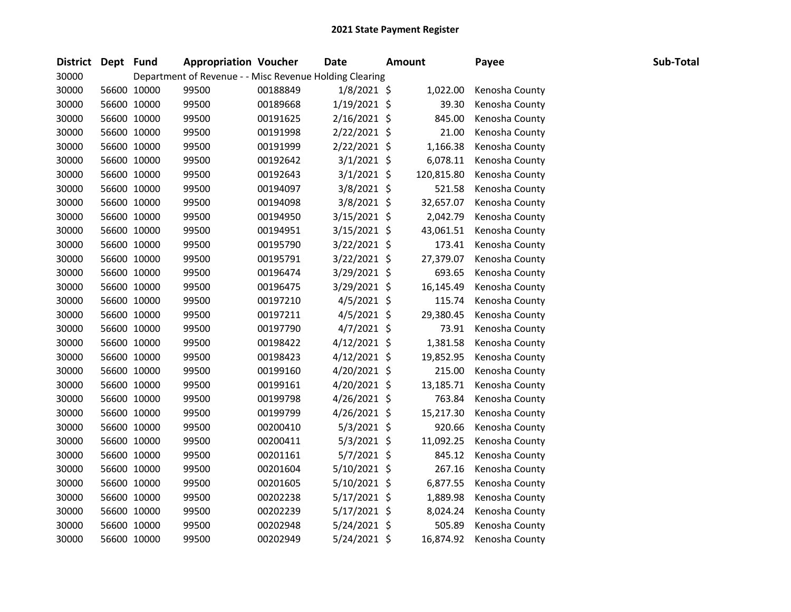| <b>District</b> | Dept Fund |             |       | <b>Appropriation Voucher</b>                            | <b>Date</b>    | <b>Amount</b> | Payee          | Sub-Total |
|-----------------|-----------|-------------|-------|---------------------------------------------------------|----------------|---------------|----------------|-----------|
| 30000           |           |             |       | Department of Revenue - - Misc Revenue Holding Clearing |                |               |                |           |
| 30000           |           | 56600 10000 | 99500 | 00188849                                                | $1/8/2021$ \$  | 1,022.00      | Kenosha County |           |
| 30000           |           | 56600 10000 | 99500 | 00189668                                                | $1/19/2021$ \$ | 39.30         | Kenosha County |           |
| 30000           |           | 56600 10000 | 99500 | 00191625                                                | $2/16/2021$ \$ | 845.00        | Kenosha County |           |
| 30000           |           | 56600 10000 | 99500 | 00191998                                                | $2/22/2021$ \$ | 21.00         | Kenosha County |           |
| 30000           |           | 56600 10000 | 99500 | 00191999                                                | $2/22/2021$ \$ | 1,166.38      | Kenosha County |           |
| 30000           |           | 56600 10000 | 99500 | 00192642                                                | $3/1/2021$ \$  | 6,078.11      | Kenosha County |           |
| 30000           |           | 56600 10000 | 99500 | 00192643                                                | $3/1/2021$ \$  | 120,815.80    | Kenosha County |           |
| 30000           |           | 56600 10000 | 99500 | 00194097                                                | $3/8/2021$ \$  | 521.58        | Kenosha County |           |
| 30000           |           | 56600 10000 | 99500 | 00194098                                                | 3/8/2021 \$    | 32,657.07     | Kenosha County |           |
| 30000           |           | 56600 10000 | 99500 | 00194950                                                | 3/15/2021 \$   | 2,042.79      | Kenosha County |           |
| 30000           |           | 56600 10000 | 99500 | 00194951                                                | $3/15/2021$ \$ | 43,061.51     | Kenosha County |           |
| 30000           |           | 56600 10000 | 99500 | 00195790                                                | 3/22/2021 \$   | 173.41        | Kenosha County |           |
| 30000           |           | 56600 10000 | 99500 | 00195791                                                | 3/22/2021 \$   | 27,379.07     | Kenosha County |           |
| 30000           |           | 56600 10000 | 99500 | 00196474                                                | 3/29/2021 \$   | 693.65        | Kenosha County |           |
| 30000           |           | 56600 10000 | 99500 | 00196475                                                | 3/29/2021 \$   | 16,145.49     | Kenosha County |           |
| 30000           |           | 56600 10000 | 99500 | 00197210                                                | $4/5/2021$ \$  | 115.74        | Kenosha County |           |
| 30000           |           | 56600 10000 | 99500 | 00197211                                                | $4/5/2021$ \$  | 29,380.45     | Kenosha County |           |
| 30000           |           | 56600 10000 | 99500 | 00197790                                                | $4/7/2021$ \$  | 73.91         | Kenosha County |           |
| 30000           |           | 56600 10000 | 99500 | 00198422                                                | $4/12/2021$ \$ | 1,381.58      | Kenosha County |           |
| 30000           |           | 56600 10000 | 99500 | 00198423                                                | $4/12/2021$ \$ | 19,852.95     | Kenosha County |           |
| 30000           |           | 56600 10000 | 99500 | 00199160                                                | $4/20/2021$ \$ | 215.00        | Kenosha County |           |
| 30000           |           | 56600 10000 | 99500 | 00199161                                                | 4/20/2021 \$   | 13,185.71     | Kenosha County |           |
| 30000           |           | 56600 10000 | 99500 | 00199798                                                | $4/26/2021$ \$ | 763.84        | Kenosha County |           |
| 30000           |           | 56600 10000 | 99500 | 00199799                                                | 4/26/2021 \$   | 15,217.30     | Kenosha County |           |
| 30000           |           | 56600 10000 | 99500 | 00200410                                                | $5/3/2021$ \$  | 920.66        | Kenosha County |           |
| 30000           |           | 56600 10000 | 99500 | 00200411                                                | $5/3/2021$ \$  | 11,092.25     | Kenosha County |           |
| 30000           |           | 56600 10000 | 99500 | 00201161                                                | 5/7/2021 \$    | 845.12        | Kenosha County |           |
| 30000           |           | 56600 10000 | 99500 | 00201604                                                | 5/10/2021 \$   | 267.16        | Kenosha County |           |
| 30000           |           | 56600 10000 | 99500 | 00201605                                                | $5/10/2021$ \$ | 6,877.55      | Kenosha County |           |
| 30000           |           | 56600 10000 | 99500 | 00202238                                                | 5/17/2021 \$   | 1,889.98      | Kenosha County |           |
| 30000           |           | 56600 10000 | 99500 | 00202239                                                | $5/17/2021$ \$ | 8,024.24      | Kenosha County |           |
| 30000           |           | 56600 10000 | 99500 | 00202948                                                | 5/24/2021 \$   | 505.89        | Kenosha County |           |
| 30000           |           | 56600 10000 | 99500 | 00202949                                                | 5/24/2021 \$   | 16,874.92     | Kenosha County |           |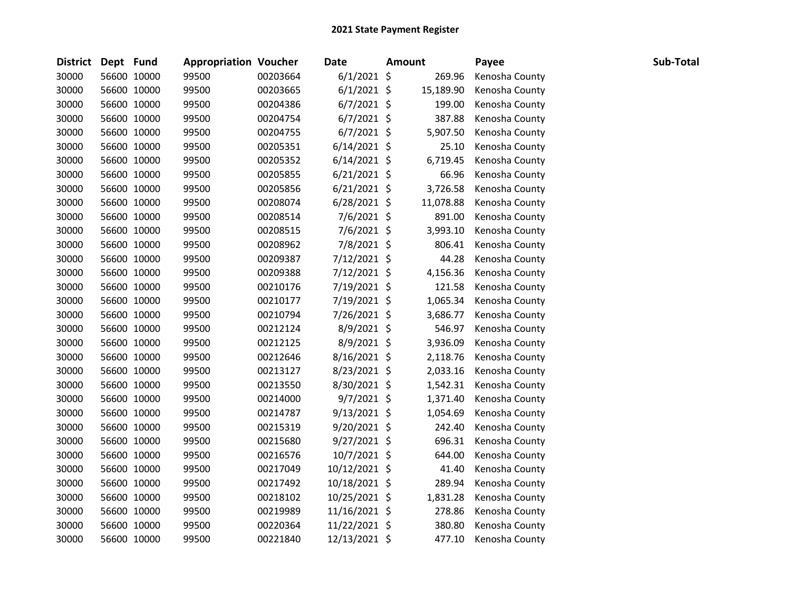| District Dept Fund |             | <b>Appropriation Voucher</b> |          | Date           | <b>Amount</b> | Payee          | Sub-Total |
|--------------------|-------------|------------------------------|----------|----------------|---------------|----------------|-----------|
| 30000              | 56600 10000 | 99500                        | 00203664 | $6/1/2021$ \$  | 269.96        | Kenosha County |           |
| 30000              | 56600 10000 | 99500                        | 00203665 | $6/1/2021$ \$  | 15,189.90     | Kenosha County |           |
| 30000              | 56600 10000 | 99500                        | 00204386 | $6/7/2021$ \$  | 199.00        | Kenosha County |           |
| 30000              | 56600 10000 | 99500                        | 00204754 | $6/7/2021$ \$  | 387.88        | Kenosha County |           |
| 30000              | 56600 10000 | 99500                        | 00204755 | $6/7/2021$ \$  | 5,907.50      | Kenosha County |           |
| 30000              | 56600 10000 | 99500                        | 00205351 | $6/14/2021$ \$ | 25.10         | Kenosha County |           |
| 30000              | 56600 10000 | 99500                        | 00205352 | $6/14/2021$ \$ | 6,719.45      | Kenosha County |           |
| 30000              | 56600 10000 | 99500                        | 00205855 | $6/21/2021$ \$ | 66.96         | Kenosha County |           |
| 30000              | 56600 10000 | 99500                        | 00205856 | $6/21/2021$ \$ | 3,726.58      | Kenosha County |           |
| 30000              | 56600 10000 | 99500                        | 00208074 | $6/28/2021$ \$ | 11,078.88     | Kenosha County |           |
| 30000              | 56600 10000 | 99500                        | 00208514 | 7/6/2021 \$    | 891.00        | Kenosha County |           |
| 30000              | 56600 10000 | 99500                        | 00208515 | 7/6/2021 \$    | 3,993.10      | Kenosha County |           |
| 30000              | 56600 10000 | 99500                        | 00208962 | 7/8/2021 \$    | 806.41        | Kenosha County |           |
| 30000              | 56600 10000 | 99500                        | 00209387 | 7/12/2021 \$   | 44.28         | Kenosha County |           |
| 30000              | 56600 10000 | 99500                        | 00209388 | 7/12/2021 \$   | 4,156.36      | Kenosha County |           |
| 30000              | 56600 10000 | 99500                        | 00210176 | 7/19/2021 \$   | 121.58        | Kenosha County |           |
| 30000              | 56600 10000 | 99500                        | 00210177 | 7/19/2021 \$   | 1,065.34      | Kenosha County |           |
| 30000              | 56600 10000 | 99500                        | 00210794 | 7/26/2021 \$   | 3,686.77      | Kenosha County |           |
| 30000              | 56600 10000 | 99500                        | 00212124 | 8/9/2021 \$    | 546.97        | Kenosha County |           |
| 30000              | 56600 10000 | 99500                        | 00212125 | 8/9/2021 \$    | 3,936.09      | Kenosha County |           |
| 30000              | 56600 10000 | 99500                        | 00212646 | $8/16/2021$ \$ | 2,118.76      | Kenosha County |           |
| 30000              | 56600 10000 | 99500                        | 00213127 | 8/23/2021 \$   | 2,033.16      | Kenosha County |           |
| 30000              | 56600 10000 | 99500                        | 00213550 | 8/30/2021 \$   | 1,542.31      | Kenosha County |           |
| 30000              | 56600 10000 | 99500                        | 00214000 | $9/7/2021$ \$  | 1,371.40      | Kenosha County |           |
| 30000              | 56600 10000 | 99500                        | 00214787 | $9/13/2021$ \$ | 1,054.69      | Kenosha County |           |
| 30000              | 56600 10000 | 99500                        | 00215319 | $9/20/2021$ \$ | 242.40        | Kenosha County |           |
| 30000              | 56600 10000 | 99500                        | 00215680 | $9/27/2021$ \$ | 696.31        | Kenosha County |           |
| 30000              | 56600 10000 | 99500                        | 00216576 | 10/7/2021 \$   | 644.00        | Kenosha County |           |
| 30000              | 56600 10000 | 99500                        | 00217049 | 10/12/2021 \$  | 41.40         | Kenosha County |           |
| 30000              | 56600 10000 | 99500                        | 00217492 | 10/18/2021 \$  | 289.94        | Kenosha County |           |
| 30000              | 56600 10000 | 99500                        | 00218102 | 10/25/2021 \$  | 1,831.28      | Kenosha County |           |
| 30000              | 56600 10000 | 99500                        | 00219989 | 11/16/2021 \$  | 278.86        | Kenosha County |           |
| 30000              | 56600 10000 | 99500                        | 00220364 | 11/22/2021 \$  | 380.80        | Kenosha County |           |
| 30000              | 56600 10000 | 99500                        | 00221840 | 12/13/2021 \$  | 477.10        | Kenosha County |           |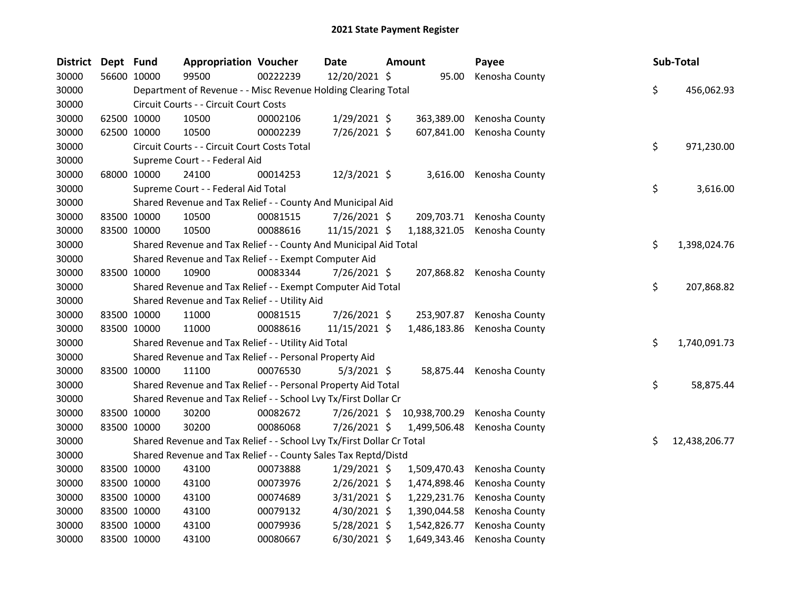| <b>District</b> | Dept Fund   |             | <b>Appropriation Voucher</b>                                          |          | Date           | Amount |               | Payee                     | Sub-Total           |
|-----------------|-------------|-------------|-----------------------------------------------------------------------|----------|----------------|--------|---------------|---------------------------|---------------------|
| 30000           |             | 56600 10000 | 99500                                                                 | 00222239 | 12/20/2021 \$  |        | 95.00         | Kenosha County            |                     |
| 30000           |             |             | Department of Revenue - - Misc Revenue Holding Clearing Total         |          |                |        |               |                           | \$<br>456,062.93    |
| 30000           |             |             | Circuit Courts - - Circuit Court Costs                                |          |                |        |               |                           |                     |
| 30000           |             | 62500 10000 | 10500                                                                 | 00002106 | $1/29/2021$ \$ |        | 363,389.00    | Kenosha County            |                     |
| 30000           |             | 62500 10000 | 10500                                                                 | 00002239 | 7/26/2021 \$   |        | 607,841.00    | Kenosha County            |                     |
| 30000           |             |             | Circuit Courts - - Circuit Court Costs Total                          |          |                |        |               |                           | \$<br>971,230.00    |
| 30000           |             |             | Supreme Court - - Federal Aid                                         |          |                |        |               |                           |                     |
| 30000           |             | 68000 10000 | 24100                                                                 | 00014253 | 12/3/2021 \$   |        | 3,616.00      | Kenosha County            |                     |
| 30000           |             |             | Supreme Court - - Federal Aid Total                                   |          |                |        |               |                           | \$<br>3,616.00      |
| 30000           |             |             | Shared Revenue and Tax Relief - - County And Municipal Aid            |          |                |        |               |                           |                     |
| 30000           |             | 83500 10000 | 10500                                                                 | 00081515 | 7/26/2021 \$   |        | 209,703.71    | Kenosha County            |                     |
| 30000           |             | 83500 10000 | 10500                                                                 | 00088616 | 11/15/2021 \$  |        | 1,188,321.05  | Kenosha County            |                     |
| 30000           |             |             | Shared Revenue and Tax Relief - - County And Municipal Aid Total      |          |                |        |               |                           | \$<br>1,398,024.76  |
| 30000           |             |             | Shared Revenue and Tax Relief - - Exempt Computer Aid                 |          |                |        |               |                           |                     |
| 30000           | 83500 10000 |             | 10900                                                                 | 00083344 | 7/26/2021 \$   |        |               | 207,868.82 Kenosha County |                     |
| 30000           |             |             | Shared Revenue and Tax Relief - - Exempt Computer Aid Total           |          |                |        |               |                           | \$<br>207,868.82    |
| 30000           |             |             | Shared Revenue and Tax Relief - - Utility Aid                         |          |                |        |               |                           |                     |
| 30000           |             | 83500 10000 | 11000                                                                 | 00081515 | 7/26/2021 \$   |        | 253,907.87    | Kenosha County            |                     |
| 30000           |             | 83500 10000 | 11000                                                                 | 00088616 | 11/15/2021 \$  |        | 1,486,183.86  | Kenosha County            |                     |
| 30000           |             |             | Shared Revenue and Tax Relief - - Utility Aid Total                   |          |                |        |               |                           | \$<br>1,740,091.73  |
| 30000           |             |             | Shared Revenue and Tax Relief - - Personal Property Aid               |          |                |        |               |                           |                     |
| 30000           |             | 83500 10000 | 11100                                                                 | 00076530 | $5/3/2021$ \$  |        | 58,875.44     | Kenosha County            |                     |
| 30000           |             |             | Shared Revenue and Tax Relief - - Personal Property Aid Total         |          |                |        |               |                           | \$<br>58,875.44     |
| 30000           |             |             | Shared Revenue and Tax Relief - - School Lvy Tx/First Dollar Cr       |          |                |        |               |                           |                     |
| 30000           |             | 83500 10000 | 30200                                                                 | 00082672 | $7/26/2021$ \$ |        | 10,938,700.29 | Kenosha County            |                     |
| 30000           |             | 83500 10000 | 30200                                                                 | 00086068 | 7/26/2021 \$   |        | 1,499,506.48  | Kenosha County            |                     |
| 30000           |             |             | Shared Revenue and Tax Relief - - School Lvy Tx/First Dollar Cr Total |          |                |        |               |                           | \$<br>12,438,206.77 |
| 30000           |             |             | Shared Revenue and Tax Relief - - County Sales Tax Reptd/Distd        |          |                |        |               |                           |                     |
| 30000           |             | 83500 10000 | 43100                                                                 | 00073888 | $1/29/2021$ \$ |        | 1,509,470.43  | Kenosha County            |                     |
| 30000           |             | 83500 10000 | 43100                                                                 | 00073976 | 2/26/2021 \$   |        | 1,474,898.46  | Kenosha County            |                     |
| 30000           |             | 83500 10000 | 43100                                                                 | 00074689 | $3/31/2021$ \$ |        | 1,229,231.76  | Kenosha County            |                     |
| 30000           |             | 83500 10000 | 43100                                                                 | 00079132 | 4/30/2021 \$   |        | 1,390,044.58  | Kenosha County            |                     |
| 30000           |             | 83500 10000 | 43100                                                                 | 00079936 | 5/28/2021 \$   |        | 1,542,826.77  | Kenosha County            |                     |
| 30000           | 83500 10000 |             | 43100                                                                 | 00080667 | 6/30/2021 \$   |        | 1,649,343.46  | Kenosha County            |                     |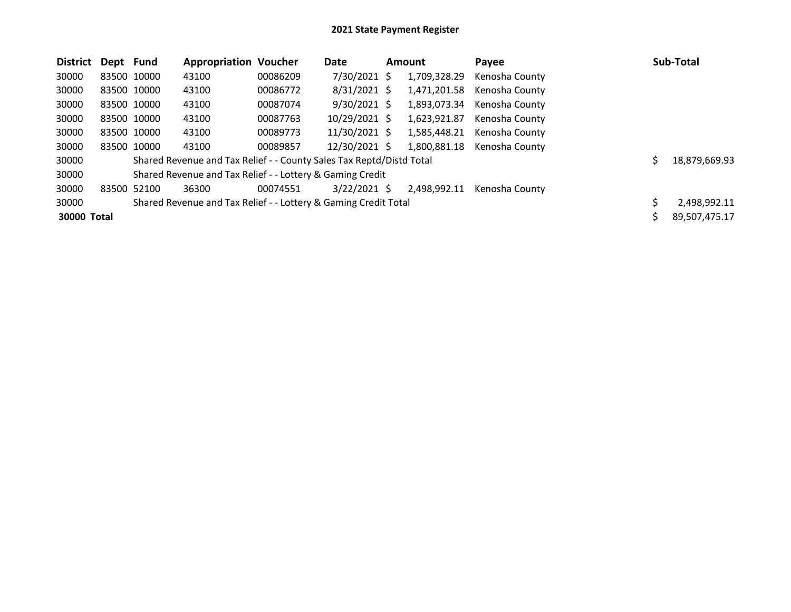| <b>District</b> | Dept Fund   |             | <b>Appropriation Voucher</b>                                         |          | Date           | <b>Amount</b> |              | Payee          | Sub-Total     |
|-----------------|-------------|-------------|----------------------------------------------------------------------|----------|----------------|---------------|--------------|----------------|---------------|
| 30000           |             | 83500 10000 | 43100                                                                | 00086209 | 7/30/2021 \$   |               | 1,709,328.29 | Kenosha County |               |
| 30000           |             | 83500 10000 | 43100                                                                | 00086772 | $8/31/2021$ \$ |               | 1,471,201.58 | Kenosha County |               |
| 30000           |             | 83500 10000 | 43100                                                                | 00087074 | $9/30/2021$ \$ |               | 1,893,073.34 | Kenosha County |               |
| 30000           |             | 83500 10000 | 43100                                                                | 00087763 | 10/29/2021 \$  |               | 1,623,921.87 | Kenosha County |               |
| 30000           |             | 83500 10000 | 43100                                                                | 00089773 | 11/30/2021 \$  |               | 1,585,448.21 | Kenosha County |               |
| 30000           |             | 83500 10000 | 43100                                                                | 00089857 | 12/30/2021 \$  |               | 1,800,881.18 | Kenosha County |               |
| 30000           |             |             | Shared Revenue and Tax Relief - - County Sales Tax Reptd/Distd Total |          |                |               |              |                | 18,879,669.93 |
| 30000           |             |             | Shared Revenue and Tax Relief - - Lottery & Gaming Credit            |          |                |               |              |                |               |
| 30000           | 83500 52100 |             | 36300                                                                | 00074551 | $3/22/2021$ \$ |               | 2.498.992.11 | Kenosha County |               |
| 30000           |             |             | Shared Revenue and Tax Relief - - Lottery & Gaming Credit Total      |          |                |               |              |                | 2,498,992.11  |
| 30000 Total     |             |             |                                                                      |          |                |               |              |                | 89,507,475.17 |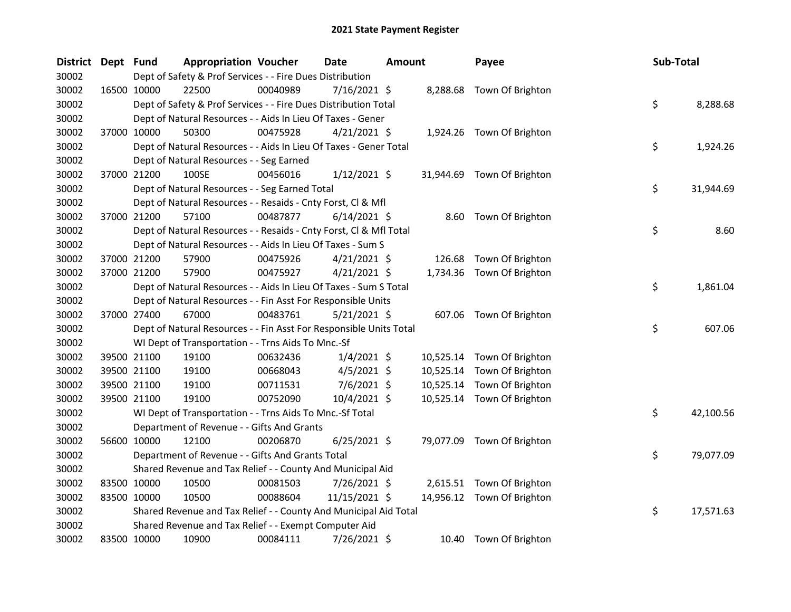| <b>District</b> | Dept Fund |                                                                    | <b>Appropriation Voucher</b> | <b>Date</b>    | Amount    | Payee                      | Sub-Total       |
|-----------------|-----------|--------------------------------------------------------------------|------------------------------|----------------|-----------|----------------------------|-----------------|
| 30002           |           | Dept of Safety & Prof Services - - Fire Dues Distribution          |                              |                |           |                            |                 |
| 30002           |           | 22500<br>16500 10000                                               | 00040989                     | 7/16/2021 \$   |           | 8,288.68 Town Of Brighton  |                 |
| 30002           |           | Dept of Safety & Prof Services - - Fire Dues Distribution Total    |                              |                |           |                            | \$<br>8,288.68  |
| 30002           |           | Dept of Natural Resources - - Aids In Lieu Of Taxes - Gener        |                              |                |           |                            |                 |
| 30002           |           | 37000 10000<br>50300                                               | 00475928                     | $4/21/2021$ \$ |           | 1,924.26 Town Of Brighton  |                 |
| 30002           |           | Dept of Natural Resources - - Aids In Lieu Of Taxes - Gener Total  |                              |                |           |                            | \$<br>1,924.26  |
| 30002           |           | Dept of Natural Resources - - Seg Earned                           |                              |                |           |                            |                 |
| 30002           |           | 37000 21200<br>100SE                                               | 00456016                     | $1/12/2021$ \$ |           | 31,944.69 Town Of Brighton |                 |
| 30002           |           | Dept of Natural Resources - - Seg Earned Total                     |                              |                |           |                            | \$<br>31,944.69 |
| 30002           |           | Dept of Natural Resources - - Resaids - Cnty Forst, Cl & Mfl       |                              |                |           |                            |                 |
| 30002           |           | 37000 21200<br>57100                                               | 00487877                     | $6/14/2021$ \$ |           | 8.60 Town Of Brighton      |                 |
| 30002           |           | Dept of Natural Resources - - Resaids - Cnty Forst, Cl & Mfl Total |                              |                |           |                            | \$<br>8.60      |
| 30002           |           | Dept of Natural Resources - - Aids In Lieu Of Taxes - Sum S        |                              |                |           |                            |                 |
| 30002           |           | 37000 21200<br>57900                                               | 00475926                     | $4/21/2021$ \$ | 126.68    | Town Of Brighton           |                 |
| 30002           |           | 37000 21200<br>57900                                               | 00475927                     | 4/21/2021 \$   | 1,734.36  | Town Of Brighton           |                 |
| 30002           |           | Dept of Natural Resources - - Aids In Lieu Of Taxes - Sum S Total  |                              |                |           |                            | \$<br>1,861.04  |
| 30002           |           | Dept of Natural Resources - - Fin Asst For Responsible Units       |                              |                |           |                            |                 |
| 30002           |           | 37000 27400<br>67000                                               | 00483761                     | $5/21/2021$ \$ |           | 607.06 Town Of Brighton    |                 |
| 30002           |           | Dept of Natural Resources - - Fin Asst For Responsible Units Total |                              |                |           |                            | \$<br>607.06    |
| 30002           |           | WI Dept of Transportation - - Trns Aids To Mnc.-Sf                 |                              |                |           |                            |                 |
| 30002           |           | 19100<br>39500 21100                                               | 00632436                     | $1/4/2021$ \$  | 10,525.14 | Town Of Brighton           |                 |
| 30002           |           | 39500 21100<br>19100                                               | 00668043                     | $4/5/2021$ \$  | 10,525.14 | Town Of Brighton           |                 |
| 30002           |           | 39500 21100<br>19100                                               | 00711531                     | 7/6/2021 \$    | 10,525.14 | Town Of Brighton           |                 |
| 30002           |           | 39500 21100<br>19100                                               | 00752090                     | 10/4/2021 \$   |           | 10,525.14 Town Of Brighton |                 |
| 30002           |           | WI Dept of Transportation - - Trns Aids To Mnc.-Sf Total           |                              |                |           |                            | \$<br>42,100.56 |
| 30002           |           | Department of Revenue - - Gifts And Grants                         |                              |                |           |                            |                 |
| 30002           |           | 56600 10000<br>12100                                               | 00206870                     | $6/25/2021$ \$ |           | 79,077.09 Town Of Brighton |                 |
| 30002           |           | Department of Revenue - - Gifts And Grants Total                   |                              |                |           |                            | \$<br>79,077.09 |
| 30002           |           | Shared Revenue and Tax Relief - - County And Municipal Aid         |                              |                |           |                            |                 |
| 30002           |           | 83500 10000<br>10500                                               | 00081503                     | 7/26/2021 \$   |           | 2,615.51 Town Of Brighton  |                 |
| 30002           |           | 83500 10000<br>10500                                               | 00088604                     | 11/15/2021 \$  |           | 14,956.12 Town Of Brighton |                 |
| 30002           |           | Shared Revenue and Tax Relief - - County And Municipal Aid Total   |                              |                |           |                            | \$<br>17,571.63 |
| 30002           |           | Shared Revenue and Tax Relief - - Exempt Computer Aid              |                              |                |           |                            |                 |
| 30002           |           | 83500 10000<br>10900                                               | 00084111                     | 7/26/2021 \$   |           | 10.40 Town Of Brighton     |                 |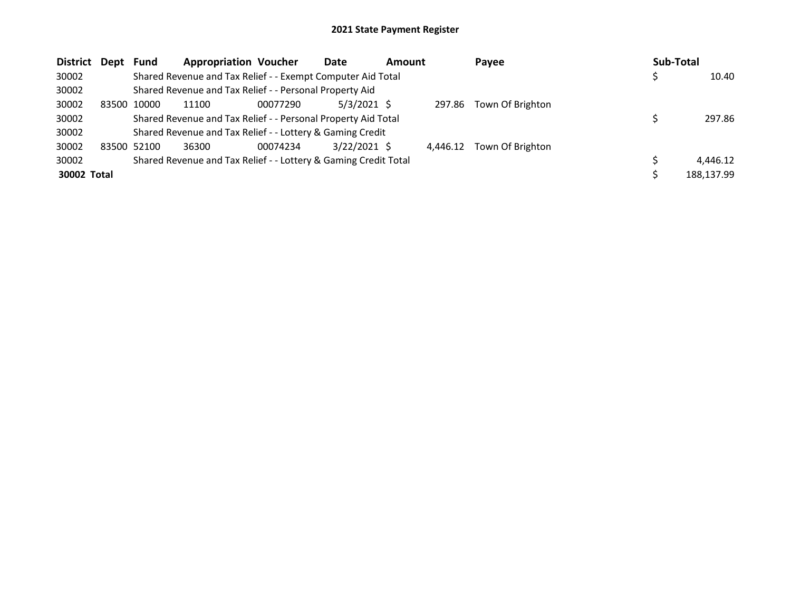| District Dept |       | <b>Fund</b> | <b>Appropriation Voucher</b>                                    |          | Date           | <b>Amount</b> |          | Payee            | Sub-Total |            |
|---------------|-------|-------------|-----------------------------------------------------------------|----------|----------------|---------------|----------|------------------|-----------|------------|
| 30002         |       |             | Shared Revenue and Tax Relief - - Exempt Computer Aid Total     |          |                |               |          |                  |           | 10.40      |
| 30002         |       |             | Shared Revenue and Tax Relief - - Personal Property Aid         |          |                |               |          |                  |           |            |
| 30002         | 83500 | 10000       | 11100                                                           | 00077290 | $5/3/2021$ \$  |               | 297.86   | Town Of Brighton |           |            |
| 30002         |       |             | Shared Revenue and Tax Relief - - Personal Property Aid Total   |          |                |               |          |                  |           | 297.86     |
| 30002         |       |             | Shared Revenue and Tax Relief - - Lottery & Gaming Credit       |          |                |               |          |                  |           |            |
| 30002         |       | 83500 52100 | 36300                                                           | 00074234 | $3/22/2021$ \$ |               | 4.446.12 | Town Of Brighton |           |            |
| 30002         |       |             | Shared Revenue and Tax Relief - - Lottery & Gaming Credit Total |          |                |               |          |                  |           | 4.446.12   |
| 30002 Total   |       |             |                                                                 |          |                |               |          |                  |           | 188.137.99 |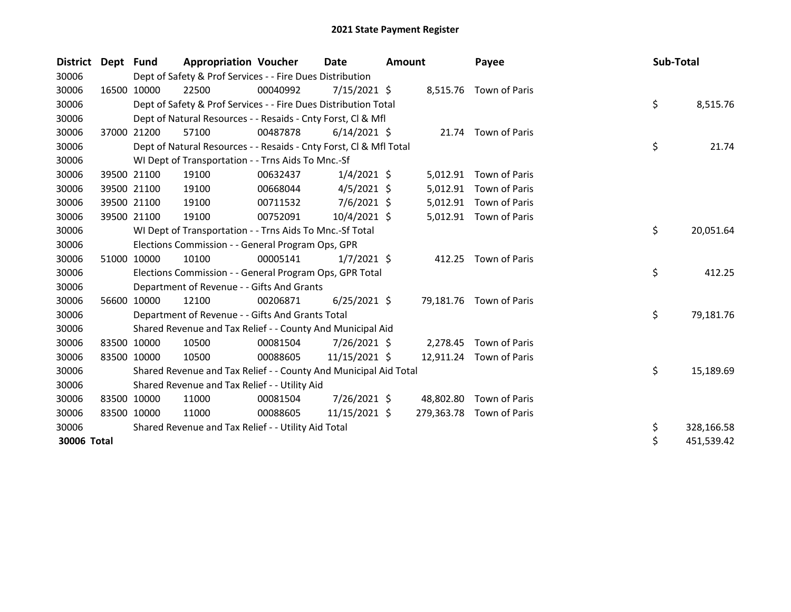| District Dept |       | Fund        | <b>Appropriation Voucher</b>                                       |          | <b>Date</b>    | <b>Amount</b> |            | Payee                   | Sub-Total |            |
|---------------|-------|-------------|--------------------------------------------------------------------|----------|----------------|---------------|------------|-------------------------|-----------|------------|
| 30006         |       |             | Dept of Safety & Prof Services - - Fire Dues Distribution          |          |                |               |            |                         |           |            |
| 30006         |       | 16500 10000 | 22500                                                              | 00040992 | $7/15/2021$ \$ |               |            | 8,515.76 Town of Paris  |           |            |
| 30006         |       |             | Dept of Safety & Prof Services - - Fire Dues Distribution Total    |          |                |               |            |                         | \$        | 8,515.76   |
| 30006         |       |             | Dept of Natural Resources - - Resaids - Cnty Forst, CI & Mfl       |          |                |               |            |                         |           |            |
| 30006         |       | 37000 21200 | 57100                                                              | 00487878 | $6/14/2021$ \$ |               |            | 21.74 Town of Paris     |           |            |
| 30006         |       |             | Dept of Natural Resources - - Resaids - Cnty Forst, Cl & Mfl Total |          |                |               |            |                         | \$        | 21.74      |
| 30006         |       |             | WI Dept of Transportation - - Trns Aids To Mnc.-Sf                 |          |                |               |            |                         |           |            |
| 30006         |       | 39500 21100 | 19100                                                              | 00632437 | $1/4/2021$ \$  |               | 5,012.91   | Town of Paris           |           |            |
| 30006         |       | 39500 21100 | 19100                                                              | 00668044 | $4/5/2021$ \$  |               | 5,012.91   | Town of Paris           |           |            |
| 30006         |       | 39500 21100 | 19100                                                              | 00711532 | $7/6/2021$ \$  |               | 5,012.91   | Town of Paris           |           |            |
| 30006         |       | 39500 21100 | 19100                                                              | 00752091 | 10/4/2021 \$   |               |            | 5,012.91 Town of Paris  |           |            |
| 30006         |       |             | WI Dept of Transportation - - Trns Aids To Mnc.-Sf Total           |          |                |               |            |                         | \$        | 20,051.64  |
| 30006         |       |             | Elections Commission - - General Program Ops, GPR                  |          |                |               |            |                         |           |            |
| 30006         | 51000 | 10000       | 10100                                                              | 00005141 | $1/7/2021$ \$  |               |            | 412.25 Town of Paris    |           |            |
| 30006         |       |             | Elections Commission - - General Program Ops, GPR Total            |          |                |               |            |                         | \$        | 412.25     |
| 30006         |       |             | Department of Revenue - - Gifts And Grants                         |          |                |               |            |                         |           |            |
| 30006         | 56600 | 10000       | 12100                                                              | 00206871 | $6/25/2021$ \$ |               | 79,181.76  | Town of Paris           |           |            |
| 30006         |       |             | Department of Revenue - - Gifts And Grants Total                   |          |                |               |            |                         | \$        | 79,181.76  |
| 30006         |       |             | Shared Revenue and Tax Relief - - County And Municipal Aid         |          |                |               |            |                         |           |            |
| 30006         |       | 83500 10000 | 10500                                                              | 00081504 | 7/26/2021 \$   |               |            | 2,278.45 Town of Paris  |           |            |
| 30006         |       | 83500 10000 | 10500                                                              | 00088605 | 11/15/2021 \$  |               |            | 12,911.24 Town of Paris |           |            |
| 30006         |       |             | Shared Revenue and Tax Relief - - County And Municipal Aid Total   |          |                |               |            |                         | \$        | 15,189.69  |
| 30006         |       |             | Shared Revenue and Tax Relief - - Utility Aid                      |          |                |               |            |                         |           |            |
| 30006         |       | 83500 10000 | 11000                                                              | 00081504 | 7/26/2021 \$   |               | 48,802.80  | Town of Paris           |           |            |
| 30006         |       | 83500 10000 | 11000                                                              | 00088605 | 11/15/2021 \$  |               | 279,363.78 | Town of Paris           |           |            |
| 30006         |       |             | Shared Revenue and Tax Relief - - Utility Aid Total                |          |                |               |            |                         | \$        | 328,166.58 |
| 30006 Total   |       |             |                                                                    |          |                |               |            |                         | \$        | 451,539.42 |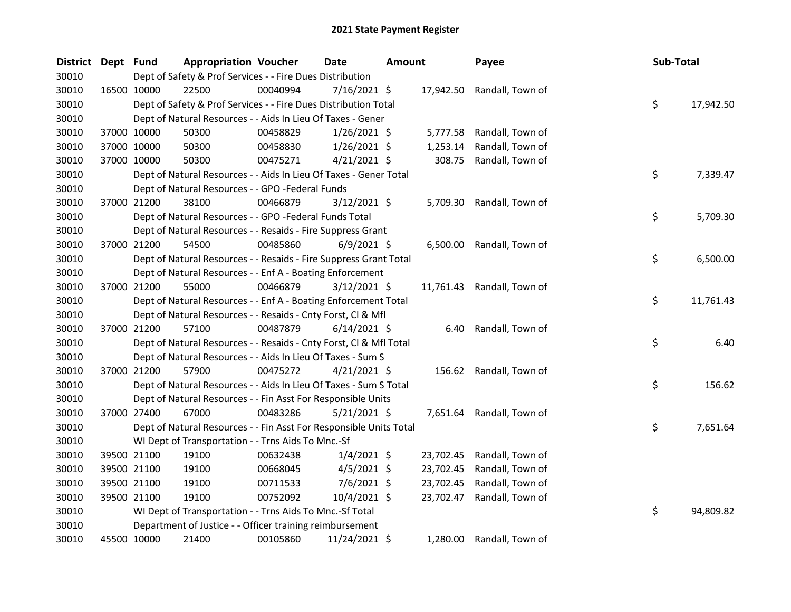| District Dept Fund |             |             | <b>Appropriation Voucher</b>                                       |          | Date           | <b>Amount</b> |           | Payee                      | Sub-Total |           |
|--------------------|-------------|-------------|--------------------------------------------------------------------|----------|----------------|---------------|-----------|----------------------------|-----------|-----------|
| 30010              |             |             | Dept of Safety & Prof Services - - Fire Dues Distribution          |          |                |               |           |                            |           |           |
| 30010              |             | 16500 10000 | 22500                                                              | 00040994 | 7/16/2021 \$   |               | 17,942.50 | Randall, Town of           |           |           |
| 30010              |             |             | Dept of Safety & Prof Services - - Fire Dues Distribution Total    |          |                |               |           |                            | \$        | 17,942.50 |
| 30010              |             |             | Dept of Natural Resources - - Aids In Lieu Of Taxes - Gener        |          |                |               |           |                            |           |           |
| 30010              |             | 37000 10000 | 50300                                                              | 00458829 | $1/26/2021$ \$ |               | 5,777.58  | Randall, Town of           |           |           |
| 30010              | 37000 10000 |             | 50300                                                              | 00458830 | $1/26/2021$ \$ |               | 1,253.14  | Randall, Town of           |           |           |
| 30010              |             | 37000 10000 | 50300                                                              | 00475271 | $4/21/2021$ \$ |               | 308.75    | Randall, Town of           |           |           |
| 30010              |             |             | Dept of Natural Resources - - Aids In Lieu Of Taxes - Gener Total  |          |                |               |           |                            | \$        | 7,339.47  |
| 30010              |             |             | Dept of Natural Resources - - GPO -Federal Funds                   |          |                |               |           |                            |           |           |
| 30010              | 37000 21200 |             | 38100                                                              | 00466879 | $3/12/2021$ \$ |               | 5,709.30  | Randall, Town of           |           |           |
| 30010              |             |             | Dept of Natural Resources - - GPO -Federal Funds Total             |          |                |               |           |                            | \$        | 5,709.30  |
| 30010              |             |             | Dept of Natural Resources - - Resaids - Fire Suppress Grant        |          |                |               |           |                            |           |           |
| 30010              | 37000 21200 |             | 54500                                                              | 00485860 | $6/9/2021$ \$  |               |           | 6,500.00 Randall, Town of  |           |           |
| 30010              |             |             | Dept of Natural Resources - - Resaids - Fire Suppress Grant Total  |          |                |               |           |                            | \$        | 6,500.00  |
| 30010              |             |             | Dept of Natural Resources - - Enf A - Boating Enforcement          |          |                |               |           |                            |           |           |
| 30010              |             | 37000 21200 | 55000                                                              | 00466879 | $3/12/2021$ \$ |               |           | 11,761.43 Randall, Town of |           |           |
| 30010              |             |             | Dept of Natural Resources - - Enf A - Boating Enforcement Total    |          |                |               |           |                            | \$        | 11,761.43 |
| 30010              |             |             | Dept of Natural Resources - - Resaids - Cnty Forst, Cl & Mfl       |          |                |               |           |                            |           |           |
| 30010              |             | 37000 21200 | 57100                                                              | 00487879 | $6/14/2021$ \$ |               | 6.40      | Randall, Town of           |           |           |
| 30010              |             |             | Dept of Natural Resources - - Resaids - Cnty Forst, Cl & Mfl Total |          |                |               |           |                            | \$        | 6.40      |
| 30010              |             |             | Dept of Natural Resources - - Aids In Lieu Of Taxes - Sum S        |          |                |               |           |                            |           |           |
| 30010              |             | 37000 21200 | 57900                                                              | 00475272 | $4/21/2021$ \$ |               | 156.62    | Randall, Town of           |           |           |
| 30010              |             |             | Dept of Natural Resources - - Aids In Lieu Of Taxes - Sum S Total  |          |                |               |           |                            | \$        | 156.62    |
| 30010              |             |             | Dept of Natural Resources - - Fin Asst For Responsible Units       |          |                |               |           |                            |           |           |
| 30010              | 37000 27400 |             | 67000                                                              | 00483286 | 5/21/2021 \$   |               | 7,651.64  | Randall, Town of           |           |           |
| 30010              |             |             | Dept of Natural Resources - - Fin Asst For Responsible Units Total |          |                |               |           |                            | \$        | 7,651.64  |
| 30010              |             |             | WI Dept of Transportation - - Trns Aids To Mnc.-Sf                 |          |                |               |           |                            |           |           |
| 30010              |             | 39500 21100 | 19100                                                              | 00632438 | $1/4/2021$ \$  |               | 23,702.45 | Randall, Town of           |           |           |
| 30010              | 39500 21100 |             | 19100                                                              | 00668045 | $4/5/2021$ \$  |               | 23,702.45 | Randall, Town of           |           |           |
| 30010              | 39500 21100 |             | 19100                                                              | 00711533 | $7/6/2021$ \$  |               | 23,702.45 | Randall, Town of           |           |           |
| 30010              |             | 39500 21100 | 19100                                                              | 00752092 | 10/4/2021 \$   |               | 23,702.47 | Randall, Town of           |           |           |
| 30010              |             |             | WI Dept of Transportation - - Trns Aids To Mnc.-Sf Total           |          |                |               |           |                            | \$        | 94,809.82 |
| 30010              |             |             | Department of Justice - - Officer training reimbursement           |          |                |               |           |                            |           |           |
| 30010              | 45500 10000 |             | 21400                                                              | 00105860 | 11/24/2021 \$  |               |           | 1,280.00 Randall, Town of  |           |           |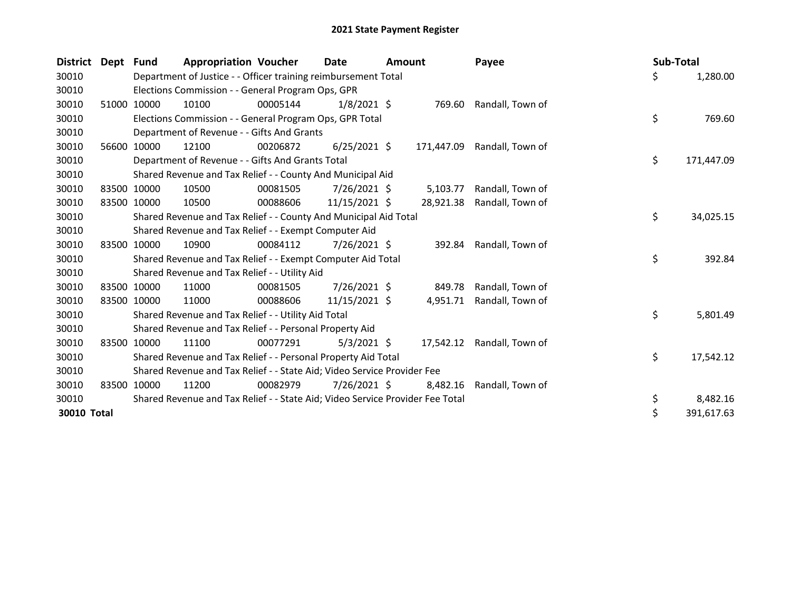| <b>District</b> | Dept Fund   |             | <b>Appropriation Voucher</b>                                                  |          | <b>Date</b>    | <b>Amount</b> |            | Payee            | Sub-Total |            |
|-----------------|-------------|-------------|-------------------------------------------------------------------------------|----------|----------------|---------------|------------|------------------|-----------|------------|
| 30010           |             |             | Department of Justice - - Officer training reimbursement Total                |          |                |               |            |                  | \$        | 1,280.00   |
| 30010           |             |             | Elections Commission - - General Program Ops, GPR                             |          |                |               |            |                  |           |            |
| 30010           |             | 51000 10000 | 10100                                                                         | 00005144 | $1/8/2021$ \$  |               | 769.60     | Randall, Town of |           |            |
| 30010           |             |             | Elections Commission - - General Program Ops, GPR Total                       |          |                |               |            |                  | \$        | 769.60     |
| 30010           |             |             | Department of Revenue - - Gifts And Grants                                    |          |                |               |            |                  |           |            |
| 30010           |             | 56600 10000 | 12100                                                                         | 00206872 | $6/25/2021$ \$ |               | 171,447.09 | Randall, Town of |           |            |
| 30010           |             |             | Department of Revenue - - Gifts And Grants Total                              |          |                |               |            |                  | \$        | 171,447.09 |
| 30010           |             |             | Shared Revenue and Tax Relief - - County And Municipal Aid                    |          |                |               |            |                  |           |            |
| 30010           |             | 83500 10000 | 10500                                                                         | 00081505 | 7/26/2021 \$   |               | 5,103.77   | Randall, Town of |           |            |
| 30010           |             | 83500 10000 | 10500                                                                         | 00088606 | 11/15/2021 \$  |               | 28,921.38  | Randall, Town of |           |            |
| 30010           |             |             | Shared Revenue and Tax Relief - - County And Municipal Aid Total              |          |                |               |            |                  | \$        | 34,025.15  |
| 30010           |             |             | Shared Revenue and Tax Relief - - Exempt Computer Aid                         |          |                |               |            |                  |           |            |
| 30010           |             | 83500 10000 | 10900                                                                         | 00084112 | $7/26/2021$ \$ |               | 392.84     | Randall, Town of |           |            |
| 30010           |             |             | Shared Revenue and Tax Relief - - Exempt Computer Aid Total                   |          |                |               |            |                  | \$        | 392.84     |
| 30010           |             |             | Shared Revenue and Tax Relief - - Utility Aid                                 |          |                |               |            |                  |           |            |
| 30010           | 83500       | 10000       | 11000                                                                         | 00081505 | 7/26/2021 \$   |               | 849.78     | Randall, Town of |           |            |
| 30010           | 83500 10000 |             | 11000                                                                         | 00088606 | 11/15/2021 \$  |               | 4,951.71   | Randall, Town of |           |            |
| 30010           |             |             | Shared Revenue and Tax Relief - - Utility Aid Total                           |          |                |               |            |                  | \$        | 5,801.49   |
| 30010           |             |             | Shared Revenue and Tax Relief - - Personal Property Aid                       |          |                |               |            |                  |           |            |
| 30010           |             | 83500 10000 | 11100                                                                         | 00077291 | $5/3/2021$ \$  |               | 17,542.12  | Randall, Town of |           |            |
| 30010           |             |             | Shared Revenue and Tax Relief - - Personal Property Aid Total                 |          |                |               |            |                  | \$        | 17,542.12  |
| 30010           |             |             | Shared Revenue and Tax Relief - - State Aid; Video Service Provider Fee       |          |                |               |            |                  |           |            |
| 30010           | 83500       | 10000       | 11200                                                                         | 00082979 | 7/26/2021 \$   |               | 8,482.16   | Randall, Town of |           |            |
| 30010           |             |             | Shared Revenue and Tax Relief - - State Aid; Video Service Provider Fee Total |          |                |               |            |                  | \$        | 8,482.16   |
| 30010 Total     |             |             |                                                                               |          |                |               |            |                  | \$        | 391,617.63 |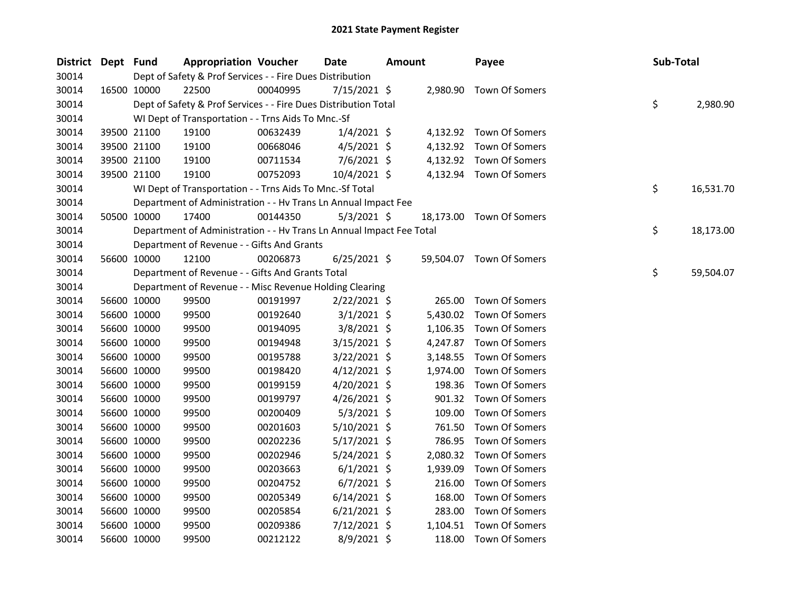| District Dept Fund |             | <b>Appropriation Voucher</b>                                         |          | <b>Date</b>    | <b>Amount</b> |           | Payee                   | Sub-Total |           |
|--------------------|-------------|----------------------------------------------------------------------|----------|----------------|---------------|-----------|-------------------------|-----------|-----------|
| 30014              |             | Dept of Safety & Prof Services - - Fire Dues Distribution            |          |                |               |           |                         |           |           |
| 30014              | 16500 10000 | 22500                                                                | 00040995 | 7/15/2021 \$   |               |           | 2,980.90 Town Of Somers |           |           |
| 30014              |             | Dept of Safety & Prof Services - - Fire Dues Distribution Total      |          |                |               |           |                         | \$        | 2,980.90  |
| 30014              |             | WI Dept of Transportation - - Trns Aids To Mnc.-Sf                   |          |                |               |           |                         |           |           |
| 30014              | 39500 21100 | 19100                                                                | 00632439 | $1/4/2021$ \$  |               |           | 4,132.92 Town Of Somers |           |           |
| 30014              | 39500 21100 | 19100                                                                | 00668046 | $4/5/2021$ \$  |               |           | 4,132.92 Town Of Somers |           |           |
| 30014              | 39500 21100 | 19100                                                                | 00711534 | $7/6/2021$ \$  |               | 4,132.92  | Town Of Somers          |           |           |
| 30014              | 39500 21100 | 19100                                                                | 00752093 | 10/4/2021 \$   |               |           | 4,132.94 Town Of Somers |           |           |
| 30014              |             | WI Dept of Transportation - - Trns Aids To Mnc.-Sf Total             |          |                |               |           |                         | \$        | 16,531.70 |
| 30014              |             | Department of Administration - - Hv Trans Ln Annual Impact Fee       |          |                |               |           |                         |           |           |
| 30014              | 50500 10000 | 17400                                                                | 00144350 | $5/3/2021$ \$  |               | 18,173.00 | Town Of Somers          |           |           |
| 30014              |             | Department of Administration - - Hv Trans Ln Annual Impact Fee Total |          |                |               |           |                         | \$        | 18,173.00 |
| 30014              |             | Department of Revenue - - Gifts And Grants                           |          |                |               |           |                         |           |           |
| 30014              | 56600 10000 | 12100                                                                | 00206873 | $6/25/2021$ \$ |               | 59,504.07 | Town Of Somers          |           |           |
| 30014              |             | Department of Revenue - - Gifts And Grants Total                     |          |                |               |           |                         | \$        | 59,504.07 |
| 30014              |             | Department of Revenue - - Misc Revenue Holding Clearing              |          |                |               |           |                         |           |           |
| 30014              | 56600 10000 | 99500                                                                | 00191997 | $2/22/2021$ \$ |               | 265.00    | Town Of Somers          |           |           |
| 30014              | 56600 10000 | 99500                                                                | 00192640 | $3/1/2021$ \$  |               | 5,430.02  | Town Of Somers          |           |           |
| 30014              | 56600 10000 | 99500                                                                | 00194095 | 3/8/2021 \$    |               | 1,106.35  | Town Of Somers          |           |           |
| 30014              | 56600 10000 | 99500                                                                | 00194948 | $3/15/2021$ \$ |               | 4,247.87  | Town Of Somers          |           |           |
| 30014              | 56600 10000 | 99500                                                                | 00195788 | 3/22/2021 \$   |               | 3,148.55  | Town Of Somers          |           |           |
| 30014              | 56600 10000 | 99500                                                                | 00198420 | $4/12/2021$ \$ |               | 1,974.00  | Town Of Somers          |           |           |
| 30014              | 56600 10000 | 99500                                                                | 00199159 | 4/20/2021 \$   |               | 198.36    | Town Of Somers          |           |           |
| 30014              | 56600 10000 | 99500                                                                | 00199797 | $4/26/2021$ \$ |               | 901.32    | Town Of Somers          |           |           |
| 30014              | 56600 10000 | 99500                                                                | 00200409 | $5/3/2021$ \$  |               | 109.00    | Town Of Somers          |           |           |
| 30014              | 56600 10000 | 99500                                                                | 00201603 | 5/10/2021 \$   |               | 761.50    | Town Of Somers          |           |           |
| 30014              | 56600 10000 | 99500                                                                | 00202236 | 5/17/2021 \$   |               | 786.95    | <b>Town Of Somers</b>   |           |           |
| 30014              | 56600 10000 | 99500                                                                | 00202946 | 5/24/2021 \$   |               | 2,080.32  | Town Of Somers          |           |           |
| 30014              | 56600 10000 | 99500                                                                | 00203663 | $6/1/2021$ \$  |               | 1,939.09  | Town Of Somers          |           |           |
| 30014              | 56600 10000 | 99500                                                                | 00204752 | $6/7/2021$ \$  |               | 216.00    | Town Of Somers          |           |           |
| 30014              | 56600 10000 | 99500                                                                | 00205349 | $6/14/2021$ \$ |               | 168.00    | Town Of Somers          |           |           |
| 30014              | 56600 10000 | 99500                                                                | 00205854 | $6/21/2021$ \$ |               | 283.00    | Town Of Somers          |           |           |
| 30014              | 56600 10000 | 99500                                                                | 00209386 | 7/12/2021 \$   |               | 1,104.51  | Town Of Somers          |           |           |
| 30014              | 56600 10000 | 99500                                                                | 00212122 | 8/9/2021 \$    |               | 118.00    | Town Of Somers          |           |           |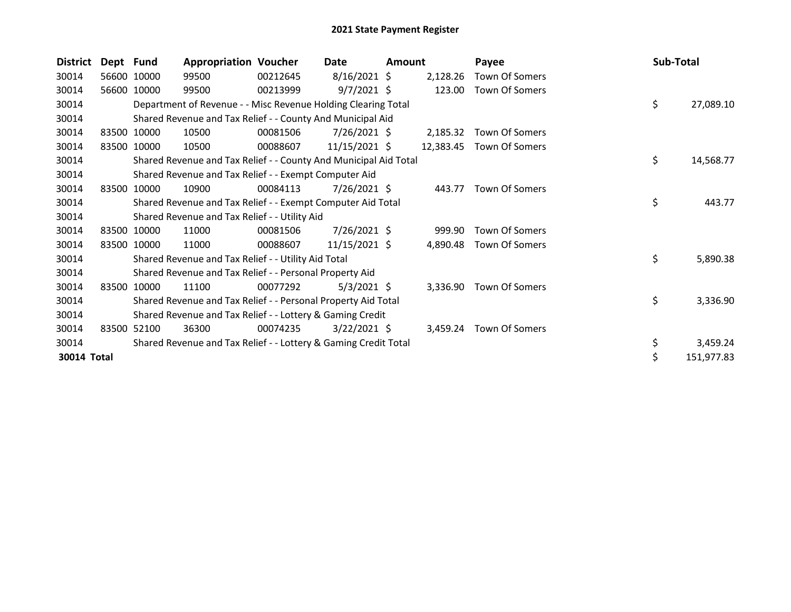| <b>District</b> | Dept Fund |             | <b>Appropriation Voucher</b>                                     |          | Date            | Amount |           | Payee          | Sub-Total |            |
|-----------------|-----------|-------------|------------------------------------------------------------------|----------|-----------------|--------|-----------|----------------|-----------|------------|
| 30014           |           | 56600 10000 | 99500                                                            | 00212645 | $8/16/2021$ \$  |        | 2,128.26  | Town Of Somers |           |            |
| 30014           |           | 56600 10000 | 99500                                                            | 00213999 | $9/7/2021$ \$   |        | 123.00    | Town Of Somers |           |            |
| 30014           |           |             | Department of Revenue - - Misc Revenue Holding Clearing Total    |          |                 |        |           |                | \$        | 27,089.10  |
| 30014           |           |             | Shared Revenue and Tax Relief - - County And Municipal Aid       |          |                 |        |           |                |           |            |
| 30014           |           | 83500 10000 | 10500                                                            | 00081506 | $7/26/2021$ \$  |        | 2,185.32  | Town Of Somers |           |            |
| 30014           |           | 83500 10000 | 10500                                                            | 00088607 | $11/15/2021$ \$ |        | 12,383.45 | Town Of Somers |           |            |
| 30014           |           |             | Shared Revenue and Tax Relief - - County And Municipal Aid Total |          |                 |        |           |                | \$        | 14,568.77  |
| 30014           |           |             | Shared Revenue and Tax Relief - - Exempt Computer Aid            |          |                 |        |           |                |           |            |
| 30014           |           | 83500 10000 | 10900                                                            | 00084113 | 7/26/2021 \$    |        | 443.77    | Town Of Somers |           |            |
| 30014           |           |             | Shared Revenue and Tax Relief - - Exempt Computer Aid Total      |          |                 |        |           |                | \$        | 443.77     |
| 30014           |           |             | Shared Revenue and Tax Relief - - Utility Aid                    |          |                 |        |           |                |           |            |
| 30014           |           | 83500 10000 | 11000                                                            | 00081506 | 7/26/2021 \$    |        | 999.90    | Town Of Somers |           |            |
| 30014           |           | 83500 10000 | 11000                                                            | 00088607 | 11/15/2021 \$   |        | 4,890.48  | Town Of Somers |           |            |
| 30014           |           |             | Shared Revenue and Tax Relief - - Utility Aid Total              |          |                 |        |           |                | \$        | 5,890.38   |
| 30014           |           |             | Shared Revenue and Tax Relief - - Personal Property Aid          |          |                 |        |           |                |           |            |
| 30014           |           | 83500 10000 | 11100                                                            | 00077292 | $5/3/2021$ \$   |        | 3,336.90  | Town Of Somers |           |            |
| 30014           |           |             | Shared Revenue and Tax Relief - - Personal Property Aid Total    |          |                 |        |           |                | \$        | 3,336.90   |
| 30014           |           |             | Shared Revenue and Tax Relief - - Lottery & Gaming Credit        |          |                 |        |           |                |           |            |
| 30014           | 83500     | 52100       | 36300                                                            | 00074235 | $3/22/2021$ \$  |        | 3,459.24  | Town Of Somers |           |            |
| 30014           |           |             | Shared Revenue and Tax Relief - - Lottery & Gaming Credit Total  |          |                 |        |           |                | \$        | 3,459.24   |
| 30014 Total     |           |             |                                                                  |          |                 |        |           |                | \$        | 151,977.83 |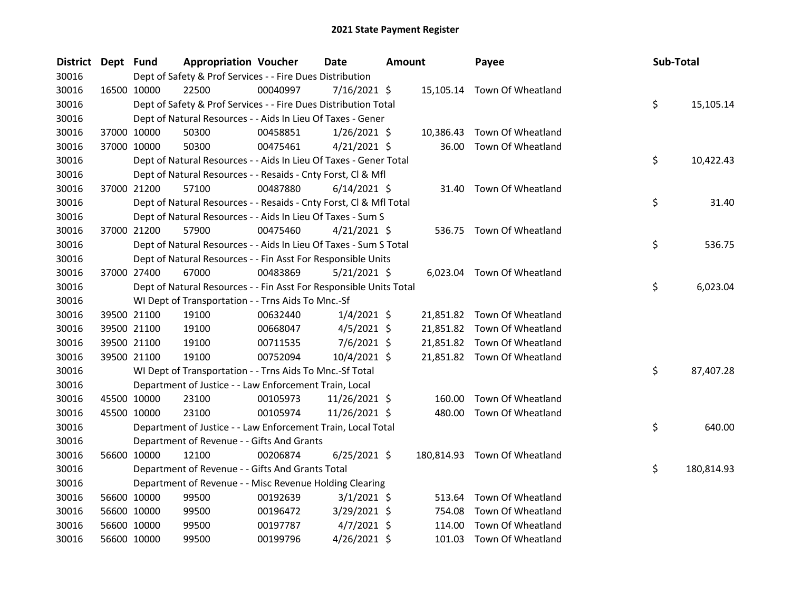| District Dept Fund |             |             | <b>Appropriation Voucher</b>                                       |          | <b>Date</b>    | <b>Amount</b> |           | Payee                        | Sub-Total |            |
|--------------------|-------------|-------------|--------------------------------------------------------------------|----------|----------------|---------------|-----------|------------------------------|-----------|------------|
| 30016              |             |             | Dept of Safety & Prof Services - - Fire Dues Distribution          |          |                |               |           |                              |           |            |
| 30016              | 16500 10000 |             | 22500                                                              | 00040997 | $7/16/2021$ \$ |               |           | 15,105.14 Town Of Wheatland  |           |            |
| 30016              |             |             | Dept of Safety & Prof Services - - Fire Dues Distribution Total    |          |                |               |           |                              | \$        | 15,105.14  |
| 30016              |             |             | Dept of Natural Resources - - Aids In Lieu Of Taxes - Gener        |          |                |               |           |                              |           |            |
| 30016              |             | 37000 10000 | 50300                                                              | 00458851 | $1/26/2021$ \$ |               | 10,386.43 | Town Of Wheatland            |           |            |
| 30016              | 37000 10000 |             | 50300                                                              | 00475461 | $4/21/2021$ \$ |               | 36.00     | Town Of Wheatland            |           |            |
| 30016              |             |             | Dept of Natural Resources - - Aids In Lieu Of Taxes - Gener Total  |          |                |               |           |                              | \$        | 10,422.43  |
| 30016              |             |             | Dept of Natural Resources - - Resaids - Cnty Forst, Cl & Mfl       |          |                |               |           |                              |           |            |
| 30016              |             | 37000 21200 | 57100                                                              | 00487880 | $6/14/2021$ \$ |               | 31.40     | Town Of Wheatland            |           |            |
| 30016              |             |             | Dept of Natural Resources - - Resaids - Cnty Forst, Cl & Mfl Total |          |                |               |           |                              | \$        | 31.40      |
| 30016              |             |             | Dept of Natural Resources - - Aids In Lieu Of Taxes - Sum S        |          |                |               |           |                              |           |            |
| 30016              |             | 37000 21200 | 57900                                                              | 00475460 | $4/21/2021$ \$ |               |           | 536.75 Town Of Wheatland     |           |            |
| 30016              |             |             | Dept of Natural Resources - - Aids In Lieu Of Taxes - Sum S Total  |          |                |               |           |                              | \$        | 536.75     |
| 30016              |             |             | Dept of Natural Resources - - Fin Asst For Responsible Units       |          |                |               |           |                              |           |            |
| 30016              |             | 37000 27400 | 67000                                                              | 00483869 | $5/21/2021$ \$ |               |           | 6,023.04 Town Of Wheatland   |           |            |
| 30016              |             |             | Dept of Natural Resources - - Fin Asst For Responsible Units Total |          |                |               |           |                              | \$        | 6,023.04   |
| 30016              |             |             | WI Dept of Transportation - - Trns Aids To Mnc.-Sf                 |          |                |               |           |                              |           |            |
| 30016              |             | 39500 21100 | 19100                                                              | 00632440 | $1/4/2021$ \$  |               |           | 21,851.82 Town Of Wheatland  |           |            |
| 30016              |             | 39500 21100 | 19100                                                              | 00668047 | $4/5/2021$ \$  |               |           | 21,851.82 Town Of Wheatland  |           |            |
| 30016              |             | 39500 21100 | 19100                                                              | 00711535 | $7/6/2021$ \$  |               |           | 21,851.82 Town Of Wheatland  |           |            |
| 30016              |             | 39500 21100 | 19100                                                              | 00752094 | 10/4/2021 \$   |               |           | 21,851.82 Town Of Wheatland  |           |            |
| 30016              |             |             | WI Dept of Transportation - - Trns Aids To Mnc.-Sf Total           |          |                |               |           |                              | \$        | 87,407.28  |
| 30016              |             |             | Department of Justice - - Law Enforcement Train, Local             |          |                |               |           |                              |           |            |
| 30016              |             | 45500 10000 | 23100                                                              | 00105973 | 11/26/2021 \$  |               | 160.00    | Town Of Wheatland            |           |            |
| 30016              |             | 45500 10000 | 23100                                                              | 00105974 | 11/26/2021 \$  |               | 480.00    | Town Of Wheatland            |           |            |
| 30016              |             |             | Department of Justice - - Law Enforcement Train, Local Total       |          |                |               |           |                              | \$        | 640.00     |
| 30016              |             |             | Department of Revenue - - Gifts And Grants                         |          |                |               |           |                              |           |            |
| 30016              | 56600 10000 |             | 12100                                                              | 00206874 | $6/25/2021$ \$ |               |           | 180,814.93 Town Of Wheatland |           |            |
| 30016              |             |             | Department of Revenue - - Gifts And Grants Total                   |          |                |               |           |                              | \$        | 180,814.93 |
| 30016              |             |             | Department of Revenue - - Misc Revenue Holding Clearing            |          |                |               |           |                              |           |            |
| 30016              |             | 56600 10000 | 99500                                                              | 00192639 | $3/1/2021$ \$  |               | 513.64    | Town Of Wheatland            |           |            |
| 30016              |             | 56600 10000 | 99500                                                              | 00196472 | $3/29/2021$ \$ |               | 754.08    | Town Of Wheatland            |           |            |
| 30016              | 56600 10000 |             | 99500                                                              | 00197787 | $4/7/2021$ \$  |               | 114.00    | Town Of Wheatland            |           |            |
| 30016              | 56600 10000 |             | 99500                                                              | 00199796 | 4/26/2021 \$   |               | 101.03    | Town Of Wheatland            |           |            |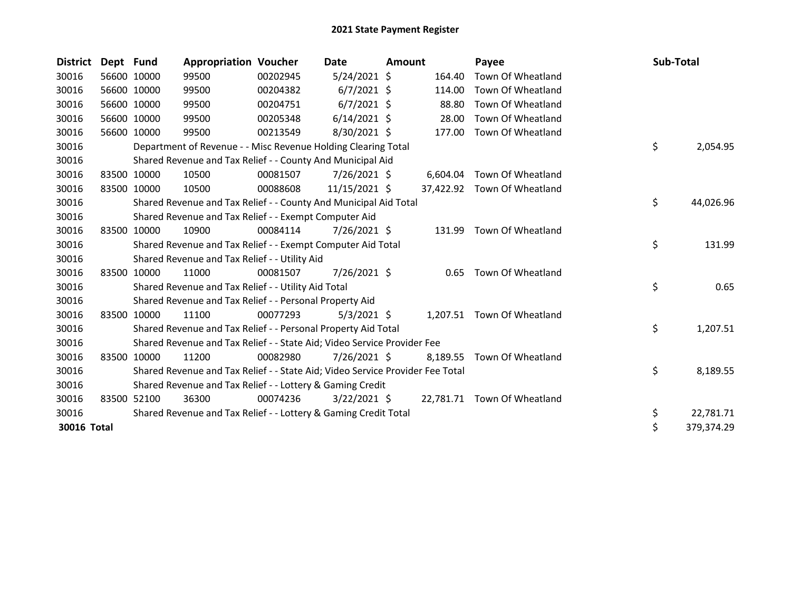| <b>District</b> | Dept Fund |             | <b>Appropriation Voucher</b>                                                  |          | Date           | <b>Amount</b> |          | Payee                       | Sub-Total |            |
|-----------------|-----------|-------------|-------------------------------------------------------------------------------|----------|----------------|---------------|----------|-----------------------------|-----------|------------|
| 30016           |           | 56600 10000 | 99500                                                                         | 00202945 | $5/24/2021$ \$ |               | 164.40   | Town Of Wheatland           |           |            |
| 30016           |           | 56600 10000 | 99500                                                                         | 00204382 | $6/7/2021$ \$  |               | 114.00   | Town Of Wheatland           |           |            |
| 30016           |           | 56600 10000 | 99500                                                                         | 00204751 | $6/7/2021$ \$  |               | 88.80    | Town Of Wheatland           |           |            |
| 30016           |           | 56600 10000 | 99500                                                                         | 00205348 | $6/14/2021$ \$ |               | 28.00    | Town Of Wheatland           |           |            |
| 30016           |           | 56600 10000 | 99500                                                                         | 00213549 | 8/30/2021 \$   |               | 177.00   | Town Of Wheatland           |           |            |
| 30016           |           |             | Department of Revenue - - Misc Revenue Holding Clearing Total                 |          |                |               |          |                             | \$        | 2,054.95   |
| 30016           |           |             | Shared Revenue and Tax Relief - - County And Municipal Aid                    |          |                |               |          |                             |           |            |
| 30016           |           | 83500 10000 | 10500                                                                         | 00081507 | 7/26/2021 \$   |               | 6,604.04 | Town Of Wheatland           |           |            |
| 30016           |           | 83500 10000 | 10500                                                                         | 00088608 | 11/15/2021 \$  |               |          | 37,422.92 Town Of Wheatland |           |            |
| 30016           |           |             | Shared Revenue and Tax Relief - - County And Municipal Aid Total              |          |                |               |          |                             | \$        | 44,026.96  |
| 30016           |           |             | Shared Revenue and Tax Relief - - Exempt Computer Aid                         |          |                |               |          |                             |           |            |
| 30016           |           | 83500 10000 | 10900                                                                         | 00084114 | 7/26/2021 \$   |               | 131.99   | Town Of Wheatland           |           |            |
| 30016           |           |             | Shared Revenue and Tax Relief - - Exempt Computer Aid Total                   |          |                |               |          |                             | \$        | 131.99     |
| 30016           |           |             | Shared Revenue and Tax Relief - - Utility Aid                                 |          |                |               |          |                             |           |            |
| 30016           | 83500     | 10000       | 11000                                                                         | 00081507 | 7/26/2021 \$   |               | 0.65     | Town Of Wheatland           |           |            |
| 30016           |           |             | Shared Revenue and Tax Relief - - Utility Aid Total                           |          |                |               |          |                             | \$        | 0.65       |
| 30016           |           |             | Shared Revenue and Tax Relief - - Personal Property Aid                       |          |                |               |          |                             |           |            |
| 30016           |           | 83500 10000 | 11100                                                                         | 00077293 | $5/3/2021$ \$  |               |          | 1,207.51 Town Of Wheatland  |           |            |
| 30016           |           |             | Shared Revenue and Tax Relief - - Personal Property Aid Total                 |          |                |               |          |                             | \$        | 1,207.51   |
| 30016           |           |             | Shared Revenue and Tax Relief - - State Aid; Video Service Provider Fee       |          |                |               |          |                             |           |            |
| 30016           |           | 83500 10000 | 11200                                                                         | 00082980 | 7/26/2021 \$   |               | 8,189.55 | Town Of Wheatland           |           |            |
| 30016           |           |             | Shared Revenue and Tax Relief - - State Aid; Video Service Provider Fee Total |          |                |               |          |                             | \$        | 8,189.55   |
| 30016           |           |             | Shared Revenue and Tax Relief - - Lottery & Gaming Credit                     |          |                |               |          |                             |           |            |
| 30016           |           | 83500 52100 | 36300                                                                         | 00074236 | $3/22/2021$ \$ |               |          | 22,781.71 Town Of Wheatland |           |            |
| 30016           |           |             | Shared Revenue and Tax Relief - - Lottery & Gaming Credit Total               |          |                |               |          |                             | \$        | 22,781.71  |
| 30016 Total     |           |             |                                                                               |          |                |               |          |                             | \$        | 379,374.29 |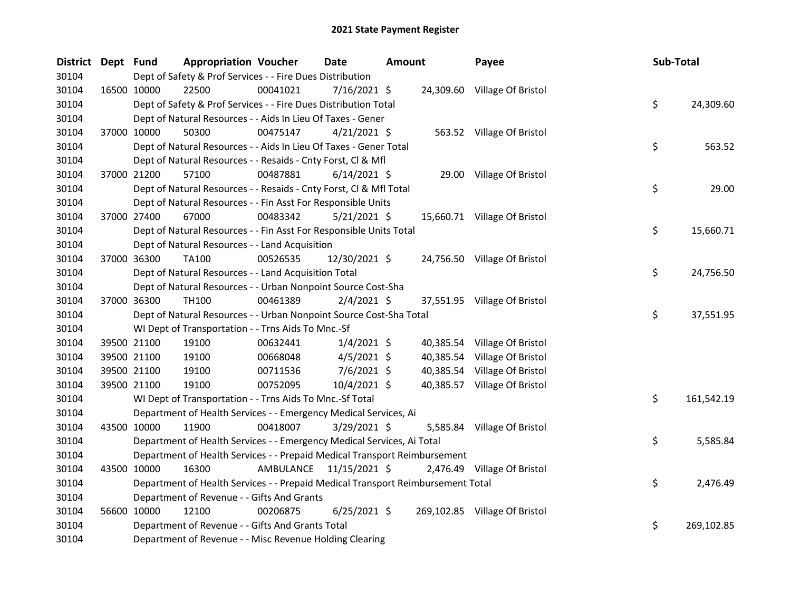| District Dept Fund |             | <b>Appropriation Voucher</b>                                                    |          | <b>Date</b>             | <b>Amount</b> |           | Payee                         | Sub-Total |            |
|--------------------|-------------|---------------------------------------------------------------------------------|----------|-------------------------|---------------|-----------|-------------------------------|-----------|------------|
| 30104              |             | Dept of Safety & Prof Services - - Fire Dues Distribution                       |          |                         |               |           |                               |           |            |
| 30104              |             | 22500<br>16500 10000                                                            | 00041021 | 7/16/2021 \$            |               |           | 24,309.60 Village Of Bristol  |           |            |
| 30104              |             | Dept of Safety & Prof Services - - Fire Dues Distribution Total                 |          |                         |               |           |                               | \$        | 24,309.60  |
| 30104              |             | Dept of Natural Resources - - Aids In Lieu Of Taxes - Gener                     |          |                         |               |           |                               |           |            |
| 30104              |             | 37000 10000<br>50300                                                            | 00475147 | $4/21/2021$ \$          |               |           | 563.52 Village Of Bristol     |           |            |
| 30104              |             | Dept of Natural Resources - - Aids In Lieu Of Taxes - Gener Total               |          |                         |               |           |                               | \$        | 563.52     |
| 30104              |             | Dept of Natural Resources - - Resaids - Cnty Forst, Cl & Mfl                    |          |                         |               |           |                               |           |            |
| 30104              |             | 37000 21200<br>57100                                                            | 00487881 | $6/14/2021$ \$          |               |           | 29.00 Village Of Bristol      |           |            |
| 30104              |             | Dept of Natural Resources - - Resaids - Cnty Forst, Cl & Mfl Total              |          |                         |               |           |                               | \$        | 29.00      |
| 30104              |             | Dept of Natural Resources - - Fin Asst For Responsible Units                    |          |                         |               |           |                               |           |            |
| 30104              |             | 37000 27400<br>67000                                                            | 00483342 | $5/21/2021$ \$          |               |           | 15,660.71 Village Of Bristol  |           |            |
| 30104              |             | Dept of Natural Resources - - Fin Asst For Responsible Units Total              |          |                         |               |           |                               | \$        | 15,660.71  |
| 30104              |             | Dept of Natural Resources - - Land Acquisition                                  |          |                         |               |           |                               |           |            |
| 30104              |             | 37000 36300<br>TA100                                                            | 00526535 | 12/30/2021 \$           |               |           | 24,756.50 Village Of Bristol  |           |            |
| 30104              |             | Dept of Natural Resources - - Land Acquisition Total                            |          |                         |               |           |                               | \$        | 24,756.50  |
| 30104              |             | Dept of Natural Resources - - Urban Nonpoint Source Cost-Sha                    |          |                         |               |           |                               |           |            |
| 30104              |             | 37000 36300<br>TH100                                                            | 00461389 | $2/4/2021$ \$           |               |           | 37,551.95 Village Of Bristol  |           |            |
| 30104              |             | Dept of Natural Resources - - Urban Nonpoint Source Cost-Sha Total              |          |                         |               |           |                               | \$        | 37,551.95  |
| 30104              |             | WI Dept of Transportation - - Trns Aids To Mnc.-Sf                              |          |                         |               |           |                               |           |            |
| 30104              |             | 39500 21100<br>19100                                                            | 00632441 | $1/4/2021$ \$           |               |           | 40,385.54 Village Of Bristol  |           |            |
| 30104              |             | 39500 21100<br>19100                                                            | 00668048 | $4/5/2021$ \$           |               | 40,385.54 | Village Of Bristol            |           |            |
| 30104              |             | 39500 21100<br>19100                                                            | 00711536 | $7/6/2021$ \$           |               | 40,385.54 | Village Of Bristol            |           |            |
| 30104              |             | 19100<br>39500 21100                                                            | 00752095 | 10/4/2021 \$            |               |           | 40,385.57 Village Of Bristol  |           |            |
| 30104              |             | WI Dept of Transportation - - Trns Aids To Mnc.-Sf Total                        |          |                         |               |           |                               | \$        | 161,542.19 |
| 30104              |             | Department of Health Services - - Emergency Medical Services, Ai                |          |                         |               |           |                               |           |            |
| 30104              |             | 43500 10000<br>11900                                                            | 00418007 | $3/29/2021$ \$          |               |           | 5,585.84 Village Of Bristol   |           |            |
| 30104              |             | Department of Health Services - - Emergency Medical Services, Ai Total          |          |                         |               |           |                               | \$        | 5,585.84   |
| 30104              |             | Department of Health Services - - Prepaid Medical Transport Reimbursement       |          |                         |               |           |                               |           |            |
| 30104              | 43500 10000 | 16300                                                                           |          | AMBULANCE 11/15/2021 \$ |               |           | 2,476.49 Village Of Bristol   |           |            |
| 30104              |             | Department of Health Services - - Prepaid Medical Transport Reimbursement Total |          |                         |               |           |                               | \$        | 2,476.49   |
| 30104              |             | Department of Revenue - - Gifts And Grants                                      |          |                         |               |           |                               |           |            |
| 30104              |             | 56600 10000<br>12100                                                            | 00206875 | $6/25/2021$ \$          |               |           | 269,102.85 Village Of Bristol |           |            |
| 30104              |             | Department of Revenue - - Gifts And Grants Total                                |          |                         |               |           |                               | \$        | 269,102.85 |
| 30104              |             | Department of Revenue - - Misc Revenue Holding Clearing                         |          |                         |               |           |                               |           |            |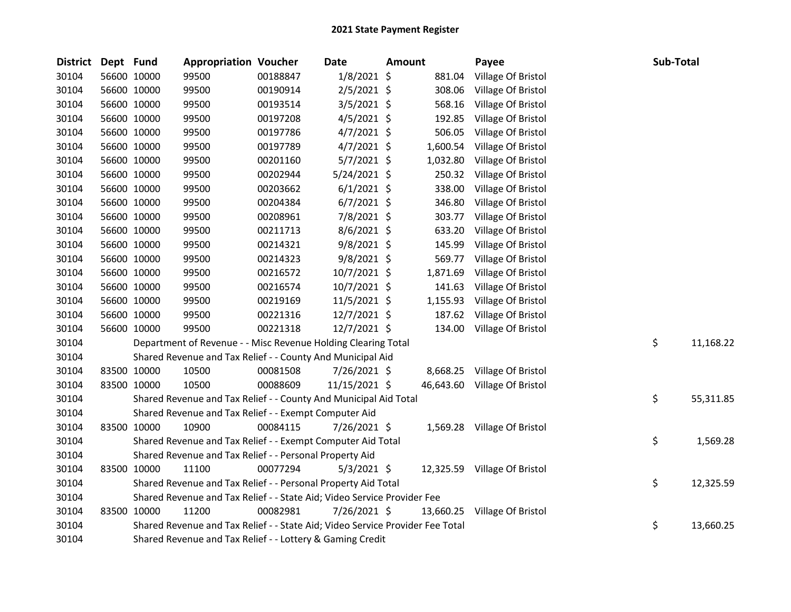| <b>District</b> | Dept Fund   |             | <b>Appropriation Voucher</b>                                                  |          | Date          | Amount |           | Payee                        | Sub-Total |           |
|-----------------|-------------|-------------|-------------------------------------------------------------------------------|----------|---------------|--------|-----------|------------------------------|-----------|-----------|
| 30104           |             | 56600 10000 | 99500                                                                         | 00188847 | $1/8/2021$ \$ |        | 881.04    | Village Of Bristol           |           |           |
| 30104           |             | 56600 10000 | 99500                                                                         | 00190914 | $2/5/2021$ \$ |        | 308.06    | Village Of Bristol           |           |           |
| 30104           |             | 56600 10000 | 99500                                                                         | 00193514 | $3/5/2021$ \$ |        | 568.16    | Village Of Bristol           |           |           |
| 30104           |             | 56600 10000 | 99500                                                                         | 00197208 | $4/5/2021$ \$ |        | 192.85    | Village Of Bristol           |           |           |
| 30104           | 56600 10000 |             | 99500                                                                         | 00197786 | $4/7/2021$ \$ |        | 506.05    | Village Of Bristol           |           |           |
| 30104           | 56600 10000 |             | 99500                                                                         | 00197789 | $4/7/2021$ \$ |        | 1,600.54  | Village Of Bristol           |           |           |
| 30104           | 56600 10000 |             | 99500                                                                         | 00201160 | 5/7/2021 \$   |        | 1,032.80  | Village Of Bristol           |           |           |
| 30104           |             | 56600 10000 | 99500                                                                         | 00202944 | 5/24/2021 \$  |        | 250.32    | Village Of Bristol           |           |           |
| 30104           |             | 56600 10000 | 99500                                                                         | 00203662 | $6/1/2021$ \$ |        | 338.00    | Village Of Bristol           |           |           |
| 30104           | 56600 10000 |             | 99500                                                                         | 00204384 | $6/7/2021$ \$ |        | 346.80    | Village Of Bristol           |           |           |
| 30104           |             | 56600 10000 | 99500                                                                         | 00208961 | 7/8/2021 \$   |        | 303.77    | Village Of Bristol           |           |           |
| 30104           | 56600 10000 |             | 99500                                                                         | 00211713 | $8/6/2021$ \$ |        | 633.20    | Village Of Bristol           |           |           |
| 30104           |             | 56600 10000 | 99500                                                                         | 00214321 | $9/8/2021$ \$ |        | 145.99    | Village Of Bristol           |           |           |
| 30104           |             | 56600 10000 | 99500                                                                         | 00214323 | 9/8/2021 \$   |        | 569.77    | Village Of Bristol           |           |           |
| 30104           |             | 56600 10000 | 99500                                                                         | 00216572 | 10/7/2021 \$  |        | 1,871.69  | Village Of Bristol           |           |           |
| 30104           |             | 56600 10000 | 99500                                                                         | 00216574 | 10/7/2021 \$  |        | 141.63    | Village Of Bristol           |           |           |
| 30104           |             | 56600 10000 | 99500                                                                         | 00219169 | 11/5/2021 \$  |        | 1,155.93  | Village Of Bristol           |           |           |
| 30104           |             | 56600 10000 | 99500                                                                         | 00221316 | 12/7/2021 \$  |        | 187.62    | Village Of Bristol           |           |           |
| 30104           |             | 56600 10000 | 99500                                                                         | 00221318 | 12/7/2021 \$  |        | 134.00    | Village Of Bristol           |           |           |
| 30104           |             |             | Department of Revenue - - Misc Revenue Holding Clearing Total                 |          |               |        |           |                              | \$        | 11,168.22 |
| 30104           |             |             | Shared Revenue and Tax Relief - - County And Municipal Aid                    |          |               |        |           |                              |           |           |
| 30104           | 83500 10000 |             | 10500                                                                         | 00081508 | 7/26/2021 \$  |        |           | 8,668.25 Village Of Bristol  |           |           |
| 30104           |             | 83500 10000 | 10500                                                                         | 00088609 | 11/15/2021 \$ |        |           | 46,643.60 Village Of Bristol |           |           |
| 30104           |             |             | Shared Revenue and Tax Relief - - County And Municipal Aid Total              |          |               |        |           |                              | \$        | 55,311.85 |
| 30104           |             |             | Shared Revenue and Tax Relief - - Exempt Computer Aid                         |          |               |        |           |                              |           |           |
| 30104           | 83500 10000 |             | 10900                                                                         | 00084115 | 7/26/2021 \$  |        |           | 1,569.28 Village Of Bristol  |           |           |
| 30104           |             |             | Shared Revenue and Tax Relief - - Exempt Computer Aid Total                   |          |               |        |           |                              | \$        | 1,569.28  |
| 30104           |             |             | Shared Revenue and Tax Relief - - Personal Property Aid                       |          |               |        |           |                              |           |           |
| 30104           | 83500 10000 |             | 11100                                                                         | 00077294 | $5/3/2021$ \$ |        |           | 12,325.59 Village Of Bristol |           |           |
| 30104           |             |             | Shared Revenue and Tax Relief - - Personal Property Aid Total                 |          |               |        |           |                              | \$        | 12,325.59 |
| 30104           |             |             | Shared Revenue and Tax Relief - - State Aid; Video Service Provider Fee       |          |               |        |           |                              |           |           |
| 30104           | 83500 10000 |             | 11200                                                                         | 00082981 | 7/26/2021 \$  |        | 13,660.25 | Village Of Bristol           |           |           |
| 30104           |             |             | Shared Revenue and Tax Relief - - State Aid; Video Service Provider Fee Total |          |               |        |           |                              | \$        | 13,660.25 |
| 30104           |             |             | Shared Revenue and Tax Relief - - Lottery & Gaming Credit                     |          |               |        |           |                              |           |           |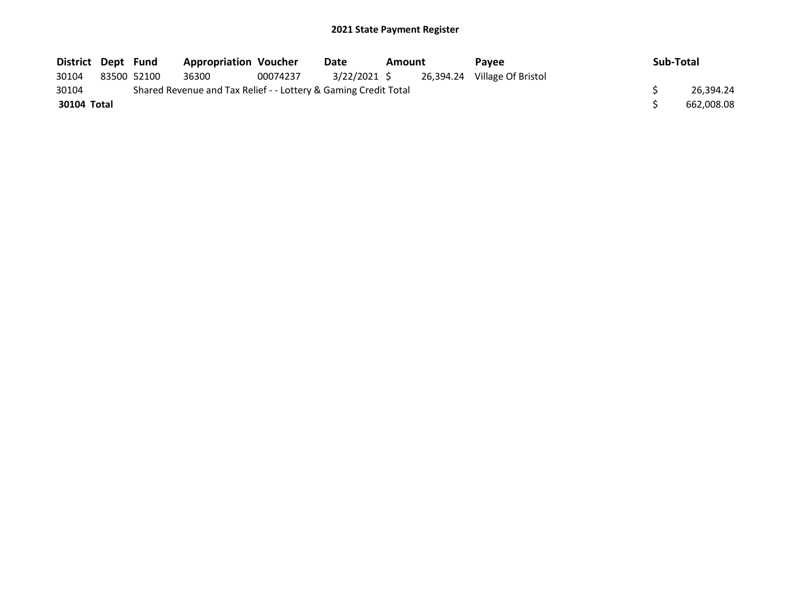| District Dept Fund |             | <b>Appropriation Voucher</b>                                    |          | Date         | Amount |  | Pavee                        | Sub-Total |            |
|--------------------|-------------|-----------------------------------------------------------------|----------|--------------|--------|--|------------------------------|-----------|------------|
| 30104              | 83500 52100 | 36300                                                           | 00074237 | 3/22/2021 \$ |        |  | 26,394.24 Village Of Bristol |           |            |
| 30104              |             | Shared Revenue and Tax Relief - - Lottery & Gaming Credit Total |          |              |        |  |                              |           | 26.394.24  |
| 30104 Total        |             |                                                                 |          |              |        |  |                              |           | 662.008.08 |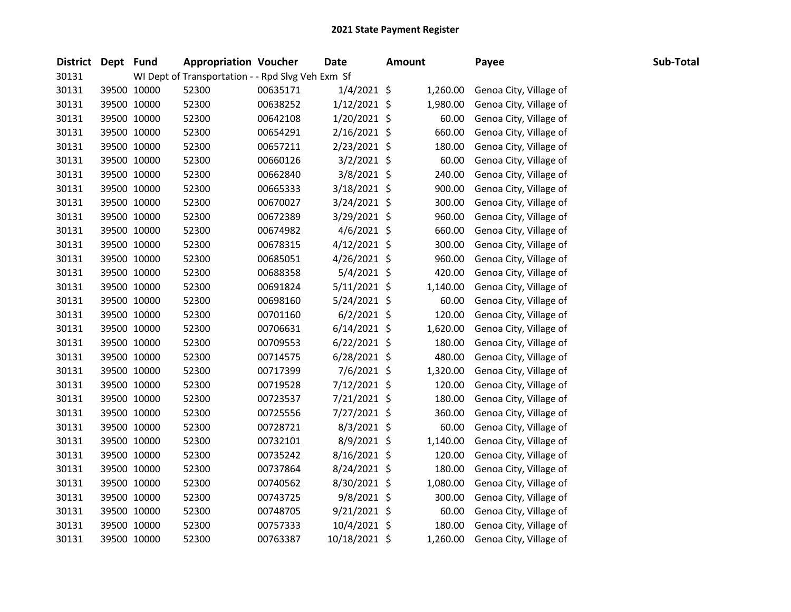| District Dept Fund |             | <b>Appropriation Voucher</b>                      |          | <b>Date</b>    | <b>Amount</b> | Payee                  | Sub-Total |
|--------------------|-------------|---------------------------------------------------|----------|----------------|---------------|------------------------|-----------|
| 30131              |             | WI Dept of Transportation - - Rpd Slvg Veh Exm Sf |          |                |               |                        |           |
| 30131              | 39500 10000 | 52300                                             | 00635171 | $1/4/2021$ \$  | 1,260.00      | Genoa City, Village of |           |
| 30131              | 39500 10000 | 52300                                             | 00638252 | $1/12/2021$ \$ | 1,980.00      | Genoa City, Village of |           |
| 30131              | 39500 10000 | 52300                                             | 00642108 | $1/20/2021$ \$ | 60.00         | Genoa City, Village of |           |
| 30131              | 39500 10000 | 52300                                             | 00654291 | $2/16/2021$ \$ | 660.00        | Genoa City, Village of |           |
| 30131              | 39500 10000 | 52300                                             | 00657211 | $2/23/2021$ \$ | 180.00        | Genoa City, Village of |           |
| 30131              | 39500 10000 | 52300                                             | 00660126 | $3/2/2021$ \$  | 60.00         | Genoa City, Village of |           |
| 30131              | 39500 10000 | 52300                                             | 00662840 | 3/8/2021 \$    | 240.00        | Genoa City, Village of |           |
| 30131              | 39500 10000 | 52300                                             | 00665333 | 3/18/2021 \$   | 900.00        | Genoa City, Village of |           |
| 30131              | 39500 10000 | 52300                                             | 00670027 | 3/24/2021 \$   | 300.00        | Genoa City, Village of |           |
| 30131              | 39500 10000 | 52300                                             | 00672389 | 3/29/2021 \$   | 960.00        | Genoa City, Village of |           |
| 30131              | 39500 10000 | 52300                                             | 00674982 | 4/6/2021 \$    | 660.00        | Genoa City, Village of |           |
| 30131              | 39500 10000 | 52300                                             | 00678315 | $4/12/2021$ \$ | 300.00        | Genoa City, Village of |           |
| 30131              | 39500 10000 | 52300                                             | 00685051 | $4/26/2021$ \$ | 960.00        | Genoa City, Village of |           |
| 30131              | 39500 10000 | 52300                                             | 00688358 | $5/4/2021$ \$  | 420.00        | Genoa City, Village of |           |
| 30131              | 39500 10000 | 52300                                             | 00691824 | $5/11/2021$ \$ | 1,140.00      | Genoa City, Village of |           |
| 30131              | 39500 10000 | 52300                                             | 00698160 | 5/24/2021 \$   | 60.00         | Genoa City, Village of |           |
| 30131              | 39500 10000 | 52300                                             | 00701160 | $6/2/2021$ \$  | 120.00        | Genoa City, Village of |           |
| 30131              | 39500 10000 | 52300                                             | 00706631 | $6/14/2021$ \$ | 1,620.00      | Genoa City, Village of |           |
| 30131              | 39500 10000 | 52300                                             | 00709553 | $6/22/2021$ \$ | 180.00        | Genoa City, Village of |           |
| 30131              | 39500 10000 | 52300                                             | 00714575 | $6/28/2021$ \$ | 480.00        | Genoa City, Village of |           |
| 30131              | 39500 10000 | 52300                                             | 00717399 | 7/6/2021 \$    | 1,320.00      | Genoa City, Village of |           |
| 30131              | 39500 10000 | 52300                                             | 00719528 | 7/12/2021 \$   | 120.00        | Genoa City, Village of |           |
| 30131              | 39500 10000 | 52300                                             | 00723537 | $7/21/2021$ \$ | 180.00        | Genoa City, Village of |           |
| 30131              | 39500 10000 | 52300                                             | 00725556 | 7/27/2021 \$   | 360.00        | Genoa City, Village of |           |
| 30131              | 39500 10000 | 52300                                             | 00728721 | 8/3/2021 \$    | 60.00         | Genoa City, Village of |           |
| 30131              | 39500 10000 | 52300                                             | 00732101 | 8/9/2021 \$    | 1,140.00      | Genoa City, Village of |           |
| 30131              | 39500 10000 | 52300                                             | 00735242 | 8/16/2021 \$   | 120.00        | Genoa City, Village of |           |
| 30131              | 39500 10000 | 52300                                             | 00737864 | $8/24/2021$ \$ | 180.00        | Genoa City, Village of |           |
| 30131              | 39500 10000 | 52300                                             | 00740562 | 8/30/2021 \$   | 1,080.00      | Genoa City, Village of |           |
| 30131              | 39500 10000 | 52300                                             | 00743725 | 9/8/2021 \$    | 300.00        | Genoa City, Village of |           |
| 30131              | 39500 10000 | 52300                                             | 00748705 | 9/21/2021 \$   | 60.00         | Genoa City, Village of |           |
| 30131              | 39500 10000 | 52300                                             | 00757333 | $10/4/2021$ \$ | 180.00        | Genoa City, Village of |           |
| 30131              | 39500 10000 | 52300                                             | 00763387 | 10/18/2021 \$  | 1,260.00      | Genoa City, Village of |           |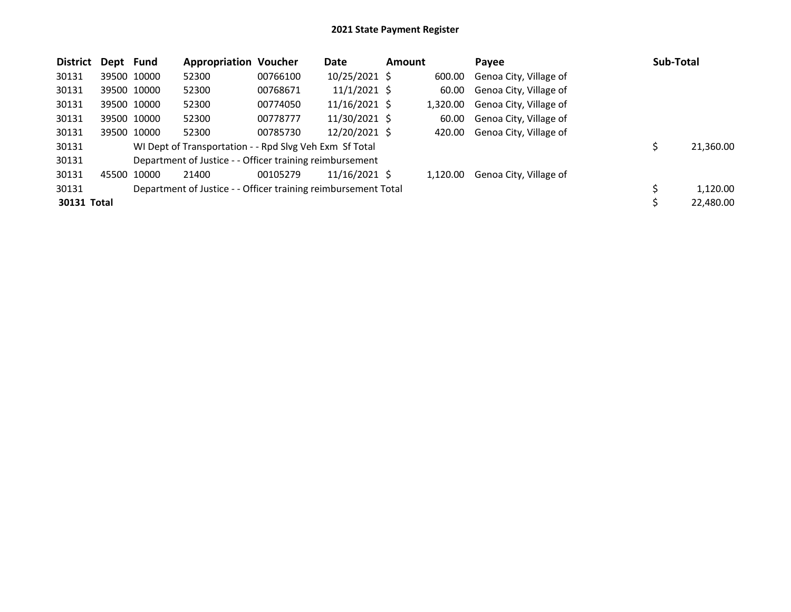| <b>District</b> | Dept Fund |             | <b>Appropriation Voucher</b>                                   |          | Date            | <b>Amount</b> |          | Payee                  | Sub-Total      |
|-----------------|-----------|-------------|----------------------------------------------------------------|----------|-----------------|---------------|----------|------------------------|----------------|
| 30131           |           | 39500 10000 | 52300                                                          | 00766100 | 10/25/2021 \$   |               | 600.00   | Genoa City, Village of |                |
| 30131           |           | 39500 10000 | 52300                                                          | 00768671 | $11/1/2021$ \$  |               | 60.00    | Genoa City, Village of |                |
| 30131           |           | 39500 10000 | 52300                                                          | 00774050 | $11/16/2021$ \$ |               | 1,320.00 | Genoa City, Village of |                |
| 30131           |           | 39500 10000 | 52300                                                          | 00778777 | 11/30/2021 \$   |               | 60.00    | Genoa City, Village of |                |
| 30131           |           | 39500 10000 | 52300                                                          | 00785730 | 12/20/2021 \$   |               | 420.00   | Genoa City, Village of |                |
| 30131           |           |             | WI Dept of Transportation - - Rpd Slvg Veh Exm Sf Total        |          |                 |               |          |                        | 21,360.00      |
| 30131           |           |             | Department of Justice - - Officer training reimbursement       |          |                 |               |          |                        |                |
| 30131           | 45500     | 10000       | 21400                                                          | 00105279 | $11/16/2021$ \$ |               | 1.120.00 | Genoa City, Village of |                |
| 30131           |           |             | Department of Justice - - Officer training reimbursement Total |          |                 |               |          |                        | \$<br>1,120.00 |
| 30131 Total     |           |             |                                                                |          |                 |               |          |                        | 22,480.00      |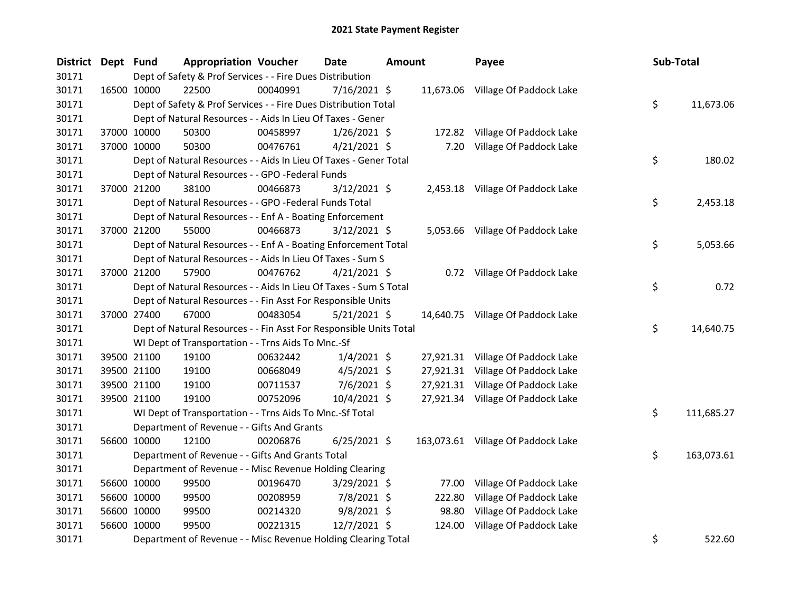| District Dept Fund | <b>Appropriation Voucher</b>                                       |          | <b>Date</b>    | <b>Amount</b> | Payee                              | Sub-Total |            |
|--------------------|--------------------------------------------------------------------|----------|----------------|---------------|------------------------------------|-----------|------------|
| 30171              | Dept of Safety & Prof Services - - Fire Dues Distribution          |          |                |               |                                    |           |            |
| 30171              | 16500 10000<br>22500                                               | 00040991 | 7/16/2021 \$   |               | 11,673.06 Village Of Paddock Lake  |           |            |
| 30171              | Dept of Safety & Prof Services - - Fire Dues Distribution Total    |          |                |               |                                    | \$        | 11,673.06  |
| 30171              | Dept of Natural Resources - - Aids In Lieu Of Taxes - Gener        |          |                |               |                                    |           |            |
| 30171              | 37000 10000<br>50300                                               | 00458997 | $1/26/2021$ \$ |               | 172.82 Village Of Paddock Lake     |           |            |
| 30171              | 37000 10000<br>50300                                               | 00476761 | $4/21/2021$ \$ | 7.20          | Village Of Paddock Lake            |           |            |
| 30171              | Dept of Natural Resources - - Aids In Lieu Of Taxes - Gener Total  |          |                |               |                                    | \$        | 180.02     |
| 30171              | Dept of Natural Resources - - GPO -Federal Funds                   |          |                |               |                                    |           |            |
| 30171              | 37000 21200<br>38100                                               | 00466873 | $3/12/2021$ \$ |               | 2,453.18 Village Of Paddock Lake   |           |            |
| 30171              | Dept of Natural Resources - - GPO -Federal Funds Total             |          |                |               |                                    | \$        | 2,453.18   |
| 30171              | Dept of Natural Resources - - Enf A - Boating Enforcement          |          |                |               |                                    |           |            |
| 30171              | 55000<br>37000 21200                                               | 00466873 | 3/12/2021 \$   |               | 5,053.66 Village Of Paddock Lake   |           |            |
| 30171              | Dept of Natural Resources - - Enf A - Boating Enforcement Total    |          |                |               |                                    | \$        | 5,053.66   |
| 30171              | Dept of Natural Resources - - Aids In Lieu Of Taxes - Sum S        |          |                |               |                                    |           |            |
| 30171              | 37000 21200<br>57900                                               | 00476762 | $4/21/2021$ \$ |               | 0.72 Village Of Paddock Lake       |           |            |
| 30171              | Dept of Natural Resources - - Aids In Lieu Of Taxes - Sum S Total  |          |                |               |                                    | \$        | 0.72       |
| 30171              | Dept of Natural Resources - - Fin Asst For Responsible Units       |          |                |               |                                    |           |            |
| 30171              | 37000 27400<br>67000                                               | 00483054 | $5/21/2021$ \$ |               | 14,640.75 Village Of Paddock Lake  |           |            |
| 30171              | Dept of Natural Resources - - Fin Asst For Responsible Units Total |          |                |               |                                    | \$        | 14,640.75  |
| 30171              | WI Dept of Transportation - - Trns Aids To Mnc.-Sf                 |          |                |               |                                    |           |            |
| 30171              | 39500 21100<br>19100                                               | 00632442 | $1/4/2021$ \$  |               | 27,921.31 Village Of Paddock Lake  |           |            |
| 30171              | 39500 21100<br>19100                                               | 00668049 | $4/5/2021$ \$  |               | 27,921.31 Village Of Paddock Lake  |           |            |
| 30171              | 39500 21100<br>19100                                               | 00711537 | $7/6/2021$ \$  |               | 27,921.31 Village Of Paddock Lake  |           |            |
| 30171              | 39500 21100<br>19100                                               | 00752096 | 10/4/2021 \$   |               | 27,921.34 Village Of Paddock Lake  |           |            |
| 30171              | WI Dept of Transportation - - Trns Aids To Mnc.-Sf Total           |          |                |               |                                    | \$        | 111,685.27 |
| 30171              | Department of Revenue - - Gifts And Grants                         |          |                |               |                                    |           |            |
| 30171              | 56600 10000<br>12100                                               | 00206876 | $6/25/2021$ \$ |               | 163,073.61 Village Of Paddock Lake |           |            |
| 30171              | Department of Revenue - - Gifts And Grants Total                   |          |                |               |                                    | \$        | 163,073.61 |
| 30171              | Department of Revenue - - Misc Revenue Holding Clearing            |          |                |               |                                    |           |            |
| 30171              | 56600 10000<br>99500                                               | 00196470 | $3/29/2021$ \$ | 77.00         | Village Of Paddock Lake            |           |            |
| 30171              | 56600 10000<br>99500                                               | 00208959 | 7/8/2021 \$    | 222.80        | Village Of Paddock Lake            |           |            |
| 30171              | 56600 10000<br>99500                                               | 00214320 | $9/8/2021$ \$  | 98.80         | Village Of Paddock Lake            |           |            |
| 30171              | 56600 10000<br>99500                                               | 00221315 | 12/7/2021 \$   | 124.00        | Village Of Paddock Lake            |           |            |
| 30171              | Department of Revenue - - Misc Revenue Holding Clearing Total      |          |                |               |                                    | \$        | 522.60     |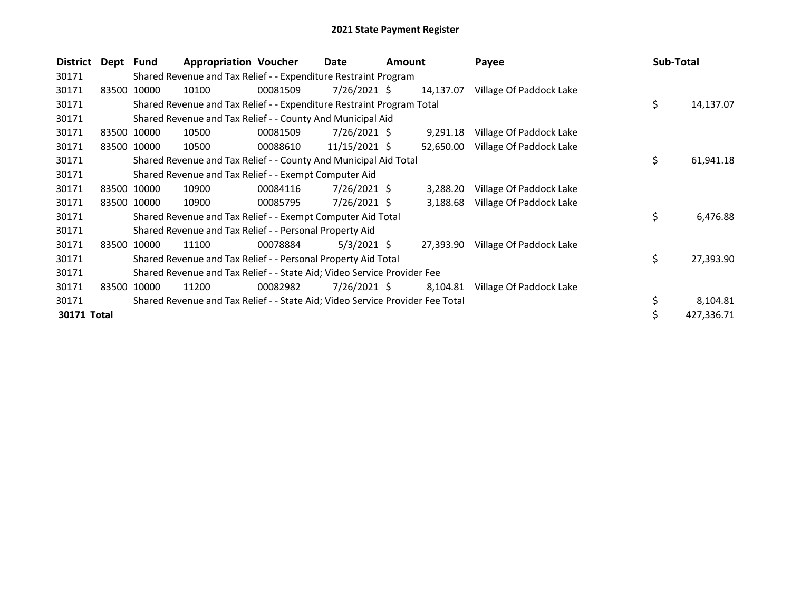| District    | Dept  | Fund        | <b>Appropriation Voucher</b>                                                  |          | Date            | <b>Amount</b> |           | Payee                             | Sub-Total |            |
|-------------|-------|-------------|-------------------------------------------------------------------------------|----------|-----------------|---------------|-----------|-----------------------------------|-----------|------------|
| 30171       |       |             | Shared Revenue and Tax Relief - - Expenditure Restraint Program               |          |                 |               |           |                                   |           |            |
| 30171       |       | 83500 10000 | 10100                                                                         | 00081509 | 7/26/2021 \$    |               | 14,137.07 | Village Of Paddock Lake           |           |            |
| 30171       |       |             | Shared Revenue and Tax Relief - - Expenditure Restraint Program Total         |          |                 |               |           |                                   | \$        | 14,137.07  |
| 30171       |       |             | Shared Revenue and Tax Relief - - County And Municipal Aid                    |          |                 |               |           |                                   |           |            |
| 30171       |       | 83500 10000 | 10500                                                                         | 00081509 | 7/26/2021 \$    |               | 9,291.18  | Village Of Paddock Lake           |           |            |
| 30171       |       | 83500 10000 | 10500                                                                         | 00088610 | $11/15/2021$ \$ |               | 52,650.00 | Village Of Paddock Lake           |           |            |
| 30171       |       |             | Shared Revenue and Tax Relief - - County And Municipal Aid Total              |          |                 |               |           |                                   | \$        | 61,941.18  |
| 30171       |       |             | Shared Revenue and Tax Relief - - Exempt Computer Aid                         |          |                 |               |           |                                   |           |            |
| 30171       |       | 83500 10000 | 10900                                                                         | 00084116 | $7/26/2021$ \$  |               | 3,288.20  | Village Of Paddock Lake           |           |            |
| 30171       |       | 83500 10000 | 10900                                                                         | 00085795 | $7/26/2021$ \$  |               | 3,188.68  | Village Of Paddock Lake           |           |            |
| 30171       |       |             | Shared Revenue and Tax Relief - - Exempt Computer Aid Total                   |          |                 |               |           |                                   | \$        | 6,476.88   |
| 30171       |       |             | Shared Revenue and Tax Relief - - Personal Property Aid                       |          |                 |               |           |                                   |           |            |
| 30171       |       | 83500 10000 | 11100                                                                         | 00078884 | $5/3/2021$ \$   |               |           | 27,393.90 Village Of Paddock Lake |           |            |
| 30171       |       |             | Shared Revenue and Tax Relief - - Personal Property Aid Total                 |          |                 |               |           |                                   | \$        | 27,393.90  |
| 30171       |       |             | Shared Revenue and Tax Relief - - State Aid; Video Service Provider Fee       |          |                 |               |           |                                   |           |            |
| 30171       | 83500 | 10000       | 11200                                                                         | 00082982 | $7/26/2021$ \$  |               | 8,104.81  | Village Of Paddock Lake           |           |            |
| 30171       |       |             | Shared Revenue and Tax Relief - - State Aid; Video Service Provider Fee Total |          |                 |               |           |                                   | \$        | 8,104.81   |
| 30171 Total |       |             |                                                                               |          |                 |               |           |                                   |           | 427,336.71 |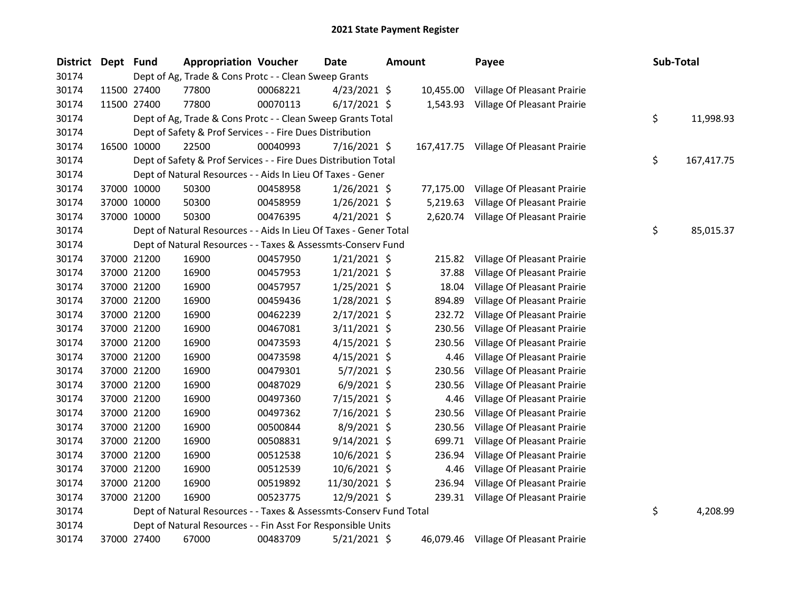| <b>District</b> | Dept Fund |             | <b>Appropriation Voucher</b>                                       |          | Date           | Amount |           | Payee                                  | Sub-Total        |
|-----------------|-----------|-------------|--------------------------------------------------------------------|----------|----------------|--------|-----------|----------------------------------------|------------------|
| 30174           |           |             | Dept of Ag, Trade & Cons Protc - - Clean Sweep Grants              |          |                |        |           |                                        |                  |
| 30174           |           | 11500 27400 | 77800                                                              | 00068221 | $4/23/2021$ \$ |        | 10,455.00 | Village Of Pleasant Prairie            |                  |
| 30174           |           | 11500 27400 | 77800                                                              | 00070113 | $6/17/2021$ \$ |        | 1,543.93  | Village Of Pleasant Prairie            |                  |
| 30174           |           |             | Dept of Ag, Trade & Cons Protc - - Clean Sweep Grants Total        |          |                |        |           |                                        | \$<br>11,998.93  |
| 30174           |           |             | Dept of Safety & Prof Services - - Fire Dues Distribution          |          |                |        |           |                                        |                  |
| 30174           |           | 16500 10000 | 22500                                                              | 00040993 | $7/16/2021$ \$ |        |           | 167,417.75 Village Of Pleasant Prairie |                  |
| 30174           |           |             | Dept of Safety & Prof Services - - Fire Dues Distribution Total    |          |                |        |           |                                        | \$<br>167,417.75 |
| 30174           |           |             | Dept of Natural Resources - - Aids In Lieu Of Taxes - Gener        |          |                |        |           |                                        |                  |
| 30174           |           | 37000 10000 | 50300                                                              | 00458958 | $1/26/2021$ \$ |        | 77,175.00 | Village Of Pleasant Prairie            |                  |
| 30174           |           | 37000 10000 | 50300                                                              | 00458959 | 1/26/2021 \$   |        | 5,219.63  | Village Of Pleasant Prairie            |                  |
| 30174           |           | 37000 10000 | 50300                                                              | 00476395 | $4/21/2021$ \$ |        |           | 2,620.74 Village Of Pleasant Prairie   |                  |
| 30174           |           |             | Dept of Natural Resources - - Aids In Lieu Of Taxes - Gener Total  |          |                |        |           |                                        | \$<br>85,015.37  |
| 30174           |           |             | Dept of Natural Resources - - Taxes & Assessmts-Conserv Fund       |          |                |        |           |                                        |                  |
| 30174           |           | 37000 21200 | 16900                                                              | 00457950 | $1/21/2021$ \$ |        | 215.82    | Village Of Pleasant Prairie            |                  |
| 30174           |           | 37000 21200 | 16900                                                              | 00457953 | $1/21/2021$ \$ |        | 37.88     | Village Of Pleasant Prairie            |                  |
| 30174           |           | 37000 21200 | 16900                                                              | 00457957 | $1/25/2021$ \$ |        | 18.04     | Village Of Pleasant Prairie            |                  |
| 30174           |           | 37000 21200 | 16900                                                              | 00459436 | 1/28/2021 \$   |        | 894.89    | Village Of Pleasant Prairie            |                  |
| 30174           |           | 37000 21200 | 16900                                                              | 00462239 | 2/17/2021 \$   |        | 232.72    | Village Of Pleasant Prairie            |                  |
| 30174           |           | 37000 21200 | 16900                                                              | 00467081 | 3/11/2021 \$   |        | 230.56    | Village Of Pleasant Prairie            |                  |
| 30174           |           | 37000 21200 | 16900                                                              | 00473593 | $4/15/2021$ \$ |        | 230.56    | Village Of Pleasant Prairie            |                  |
| 30174           |           | 37000 21200 | 16900                                                              | 00473598 | $4/15/2021$ \$ |        | 4.46      | Village Of Pleasant Prairie            |                  |
| 30174           |           | 37000 21200 | 16900                                                              | 00479301 | $5/7/2021$ \$  |        | 230.56    | Village Of Pleasant Prairie            |                  |
| 30174           |           | 37000 21200 | 16900                                                              | 00487029 | $6/9/2021$ \$  |        | 230.56    | Village Of Pleasant Prairie            |                  |
| 30174           |           | 37000 21200 | 16900                                                              | 00497360 | 7/15/2021 \$   |        | 4.46      | Village Of Pleasant Prairie            |                  |
| 30174           |           | 37000 21200 | 16900                                                              | 00497362 | 7/16/2021 \$   |        | 230.56    | Village Of Pleasant Prairie            |                  |
| 30174           |           | 37000 21200 | 16900                                                              | 00500844 | 8/9/2021 \$    |        | 230.56    | Village Of Pleasant Prairie            |                  |
| 30174           |           | 37000 21200 | 16900                                                              | 00508831 | $9/14/2021$ \$ |        | 699.71    | Village Of Pleasant Prairie            |                  |
| 30174           |           | 37000 21200 | 16900                                                              | 00512538 | 10/6/2021 \$   |        | 236.94    | Village Of Pleasant Prairie            |                  |
| 30174           |           | 37000 21200 | 16900                                                              | 00512539 | 10/6/2021 \$   |        | 4.46      | Village Of Pleasant Prairie            |                  |
| 30174           |           | 37000 21200 | 16900                                                              | 00519892 | 11/30/2021 \$  |        | 236.94    | Village Of Pleasant Prairie            |                  |
| 30174           |           | 37000 21200 | 16900                                                              | 00523775 | 12/9/2021 \$   |        | 239.31    | Village Of Pleasant Prairie            |                  |
| 30174           |           |             | Dept of Natural Resources - - Taxes & Assessmts-Conserv Fund Total |          |                |        |           |                                        | \$<br>4,208.99   |
| 30174           |           |             | Dept of Natural Resources - - Fin Asst For Responsible Units       |          |                |        |           |                                        |                  |
| 30174           |           | 37000 27400 | 67000                                                              | 00483709 | 5/21/2021 \$   |        |           | 46,079.46 Village Of Pleasant Prairie  |                  |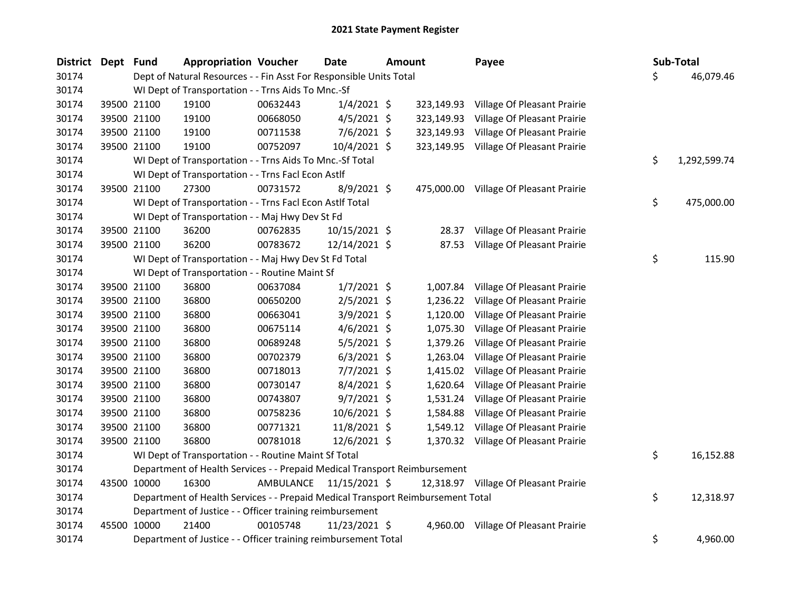| <b>District</b> | Dept Fund |             | <b>Appropriation Voucher</b>                                                    |           | Date          | <b>Amount</b> |            | Payee                                  | <b>Sub-Total</b>   |
|-----------------|-----------|-------------|---------------------------------------------------------------------------------|-----------|---------------|---------------|------------|----------------------------------------|--------------------|
| 30174           |           |             | Dept of Natural Resources - - Fin Asst For Responsible Units Total              |           |               |               |            |                                        | \$<br>46,079.46    |
| 30174           |           |             | WI Dept of Transportation - - Trns Aids To Mnc.-Sf                              |           |               |               |            |                                        |                    |
| 30174           |           | 39500 21100 | 19100                                                                           | 00632443  | $1/4/2021$ \$ |               |            | 323,149.93 Village Of Pleasant Prairie |                    |
| 30174           |           | 39500 21100 | 19100                                                                           | 00668050  | $4/5/2021$ \$ |               | 323,149.93 | Village Of Pleasant Prairie            |                    |
| 30174           |           | 39500 21100 | 19100                                                                           | 00711538  | $7/6/2021$ \$ |               | 323,149.93 | Village Of Pleasant Prairie            |                    |
| 30174           |           | 39500 21100 | 19100                                                                           | 00752097  | 10/4/2021 \$  |               |            | 323,149.95 Village Of Pleasant Prairie |                    |
| 30174           |           |             | WI Dept of Transportation - - Trns Aids To Mnc.-Sf Total                        |           |               |               |            |                                        | \$<br>1,292,599.74 |
| 30174           |           |             | WI Dept of Transportation - - Trns Facl Econ Astlf                              |           |               |               |            |                                        |                    |
| 30174           |           | 39500 21100 | 27300                                                                           | 00731572  | 8/9/2021 \$   |               | 475,000.00 | Village Of Pleasant Prairie            |                    |
| 30174           |           |             | WI Dept of Transportation - - Trns Facl Econ Astlf Total                        |           |               |               |            |                                        | \$<br>475,000.00   |
| 30174           |           |             | WI Dept of Transportation - - Maj Hwy Dev St Fd                                 |           |               |               |            |                                        |                    |
| 30174           |           | 39500 21100 | 36200                                                                           | 00762835  | 10/15/2021 \$ |               | 28.37      | Village Of Pleasant Prairie            |                    |
| 30174           |           | 39500 21100 | 36200                                                                           | 00783672  | 12/14/2021 \$ |               |            | 87.53 Village Of Pleasant Prairie      |                    |
| 30174           |           |             | WI Dept of Transportation - - Maj Hwy Dev St Fd Total                           |           |               |               |            |                                        | \$<br>115.90       |
| 30174           |           |             | WI Dept of Transportation - - Routine Maint Sf                                  |           |               |               |            |                                        |                    |
| 30174           |           | 39500 21100 | 36800                                                                           | 00637084  | $1/7/2021$ \$ |               | 1,007.84   | Village Of Pleasant Prairie            |                    |
| 30174           |           | 39500 21100 | 36800                                                                           | 00650200  | $2/5/2021$ \$ |               | 1,236.22   | Village Of Pleasant Prairie            |                    |
| 30174           |           | 39500 21100 | 36800                                                                           | 00663041  | $3/9/2021$ \$ |               | 1,120.00   | Village Of Pleasant Prairie            |                    |
| 30174           |           | 39500 21100 | 36800                                                                           | 00675114  | $4/6/2021$ \$ |               | 1,075.30   | Village Of Pleasant Prairie            |                    |
| 30174           |           | 39500 21100 | 36800                                                                           | 00689248  | $5/5/2021$ \$ |               | 1,379.26   | Village Of Pleasant Prairie            |                    |
| 30174           |           | 39500 21100 | 36800                                                                           | 00702379  | $6/3/2021$ \$ |               | 1,263.04   | Village Of Pleasant Prairie            |                    |
| 30174           |           | 39500 21100 | 36800                                                                           | 00718013  | $7/7/2021$ \$ |               | 1,415.02   | Village Of Pleasant Prairie            |                    |
| 30174           |           | 39500 21100 | 36800                                                                           | 00730147  | 8/4/2021 \$   |               | 1,620.64   | Village Of Pleasant Prairie            |                    |
| 30174           |           | 39500 21100 | 36800                                                                           | 00743807  | $9/7/2021$ \$ |               | 1,531.24   | Village Of Pleasant Prairie            |                    |
| 30174           |           | 39500 21100 | 36800                                                                           | 00758236  | 10/6/2021 \$  |               | 1,584.88   | Village Of Pleasant Prairie            |                    |
| 30174           |           | 39500 21100 | 36800                                                                           | 00771321  | 11/8/2021 \$  |               | 1,549.12   | Village Of Pleasant Prairie            |                    |
| 30174           |           | 39500 21100 | 36800                                                                           | 00781018  | 12/6/2021 \$  |               |            | 1,370.32 Village Of Pleasant Prairie   |                    |
| 30174           |           |             | WI Dept of Transportation - - Routine Maint Sf Total                            |           |               |               |            |                                        | \$<br>16,152.88    |
| 30174           |           |             | Department of Health Services - - Prepaid Medical Transport Reimbursement       |           |               |               |            |                                        |                    |
| 30174           |           | 43500 10000 | 16300                                                                           | AMBULANCE | 11/15/2021 \$ |               |            | 12,318.97 Village Of Pleasant Prairie  |                    |
| 30174           |           |             | Department of Health Services - - Prepaid Medical Transport Reimbursement Total |           |               |               |            |                                        | \$<br>12,318.97    |
| 30174           |           |             | Department of Justice - - Officer training reimbursement                        |           |               |               |            |                                        |                    |
| 30174           |           | 45500 10000 | 21400                                                                           | 00105748  | 11/23/2021 \$ |               | 4,960.00   | Village Of Pleasant Prairie            |                    |
| 30174           |           |             | Department of Justice - - Officer training reimbursement Total                  |           |               |               |            |                                        | \$<br>4,960.00     |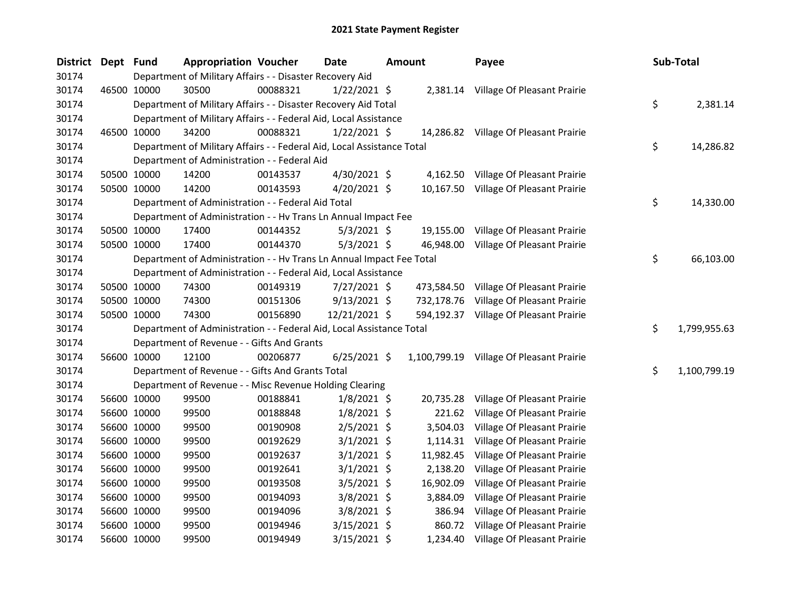| District Dept Fund |             |             | <b>Appropriation Voucher</b>                                           |          | Date           | <b>Amount</b> | Payee                                    | Sub-Total          |
|--------------------|-------------|-------------|------------------------------------------------------------------------|----------|----------------|---------------|------------------------------------------|--------------------|
| 30174              |             |             | Department of Military Affairs - - Disaster Recovery Aid               |          |                |               |                                          |                    |
| 30174              | 46500 10000 |             | 30500                                                                  | 00088321 | $1/22/2021$ \$ |               | 2,381.14 Village Of Pleasant Prairie     |                    |
| 30174              |             |             | Department of Military Affairs - - Disaster Recovery Aid Total         |          |                |               |                                          | \$<br>2,381.14     |
| 30174              |             |             | Department of Military Affairs - - Federal Aid, Local Assistance       |          |                |               |                                          |                    |
| 30174              |             | 46500 10000 | 34200                                                                  | 00088321 | $1/22/2021$ \$ |               | 14,286.82 Village Of Pleasant Prairie    |                    |
| 30174              |             |             | Department of Military Affairs - - Federal Aid, Local Assistance Total |          |                |               |                                          | \$<br>14,286.82    |
| 30174              |             |             | Department of Administration - - Federal Aid                           |          |                |               |                                          |                    |
| 30174              |             | 50500 10000 | 14200                                                                  | 00143537 | 4/30/2021 \$   | 4,162.50      | Village Of Pleasant Prairie              |                    |
| 30174              |             | 50500 10000 | 14200                                                                  | 00143593 | 4/20/2021 \$   | 10,167.50     | Village Of Pleasant Prairie              |                    |
| 30174              |             |             | Department of Administration - - Federal Aid Total                     |          |                |               |                                          | \$<br>14,330.00    |
| 30174              |             |             | Department of Administration - - Hv Trans Ln Annual Impact Fee         |          |                |               |                                          |                    |
| 30174              |             | 50500 10000 | 17400                                                                  | 00144352 | $5/3/2021$ \$  | 19,155.00     | Village Of Pleasant Prairie              |                    |
| 30174              |             | 50500 10000 | 17400                                                                  | 00144370 | $5/3/2021$ \$  | 46,948.00     | Village Of Pleasant Prairie              |                    |
| 30174              |             |             | Department of Administration - - Hv Trans Ln Annual Impact Fee Total   |          |                |               |                                          | \$<br>66,103.00    |
| 30174              |             |             | Department of Administration - - Federal Aid, Local Assistance         |          |                |               |                                          |                    |
| 30174              |             | 50500 10000 | 74300                                                                  | 00149319 | $7/27/2021$ \$ | 473,584.50    | Village Of Pleasant Prairie              |                    |
| 30174              |             | 50500 10000 | 74300                                                                  | 00151306 | 9/13/2021 \$   | 732,178.76    | Village Of Pleasant Prairie              |                    |
| 30174              |             | 50500 10000 | 74300                                                                  | 00156890 | 12/21/2021 \$  |               | 594,192.37 Village Of Pleasant Prairie   |                    |
| 30174              |             |             | Department of Administration - - Federal Aid, Local Assistance Total   |          |                |               |                                          | \$<br>1,799,955.63 |
| 30174              |             |             | Department of Revenue - - Gifts And Grants                             |          |                |               |                                          |                    |
| 30174              |             | 56600 10000 | 12100                                                                  | 00206877 | $6/25/2021$ \$ |               | 1,100,799.19 Village Of Pleasant Prairie |                    |
| 30174              |             |             | Department of Revenue - - Gifts And Grants Total                       |          |                |               |                                          | \$<br>1,100,799.19 |
| 30174              |             |             | Department of Revenue - - Misc Revenue Holding Clearing                |          |                |               |                                          |                    |
| 30174              |             | 56600 10000 | 99500                                                                  | 00188841 | $1/8/2021$ \$  | 20,735.28     | Village Of Pleasant Prairie              |                    |
| 30174              |             | 56600 10000 | 99500                                                                  | 00188848 | $1/8/2021$ \$  | 221.62        | Village Of Pleasant Prairie              |                    |
| 30174              |             | 56600 10000 | 99500                                                                  | 00190908 | $2/5/2021$ \$  | 3,504.03      | Village Of Pleasant Prairie              |                    |
| 30174              | 56600 10000 |             | 99500                                                                  | 00192629 | $3/1/2021$ \$  | 1,114.31      | Village Of Pleasant Prairie              |                    |
| 30174              |             | 56600 10000 | 99500                                                                  | 00192637 | $3/1/2021$ \$  | 11,982.45     | Village Of Pleasant Prairie              |                    |
| 30174              |             | 56600 10000 | 99500                                                                  | 00192641 | $3/1/2021$ \$  | 2,138.20      | Village Of Pleasant Prairie              |                    |
| 30174              |             | 56600 10000 | 99500                                                                  | 00193508 | $3/5/2021$ \$  | 16,902.09     | Village Of Pleasant Prairie              |                    |
| 30174              |             | 56600 10000 | 99500                                                                  | 00194093 | $3/8/2021$ \$  | 3,884.09      | Village Of Pleasant Prairie              |                    |
| 30174              |             | 56600 10000 | 99500                                                                  | 00194096 | 3/8/2021 \$    | 386.94        | Village Of Pleasant Prairie              |                    |
| 30174              |             | 56600 10000 | 99500                                                                  | 00194946 | $3/15/2021$ \$ | 860.72        | Village Of Pleasant Prairie              |                    |
| 30174              |             | 56600 10000 | 99500                                                                  | 00194949 | 3/15/2021 \$   | 1,234.40      | Village Of Pleasant Prairie              |                    |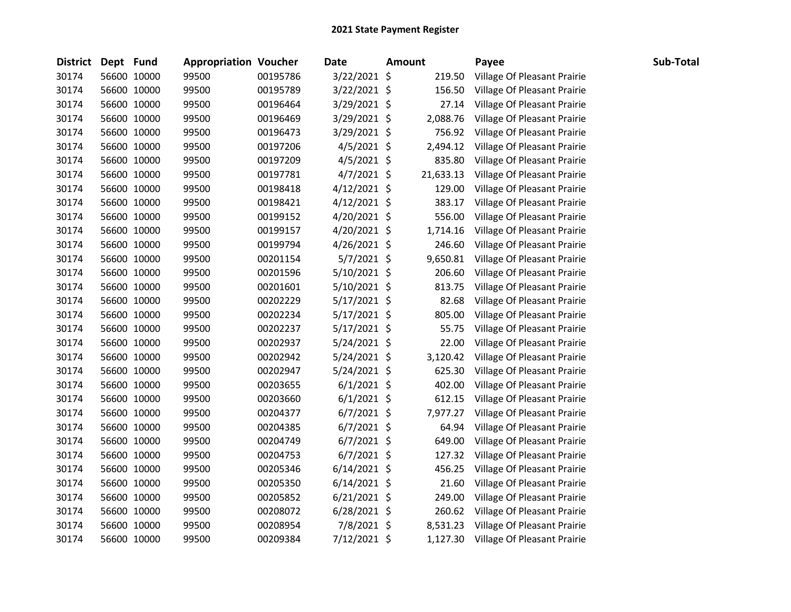| <b>District</b> | Dept Fund |             | <b>Appropriation Voucher</b> |          | <b>Date</b>    | <b>Amount</b> | Payee                       | Sub-Total |
|-----------------|-----------|-------------|------------------------------|----------|----------------|---------------|-----------------------------|-----------|
| 30174           |           | 56600 10000 | 99500                        | 00195786 | 3/22/2021 \$   | 219.50        | Village Of Pleasant Prairie |           |
| 30174           |           | 56600 10000 | 99500                        | 00195789 | 3/22/2021 \$   | 156.50        | Village Of Pleasant Prairie |           |
| 30174           |           | 56600 10000 | 99500                        | 00196464 | 3/29/2021 \$   | 27.14         | Village Of Pleasant Prairie |           |
| 30174           |           | 56600 10000 | 99500                        | 00196469 | 3/29/2021 \$   | 2,088.76      | Village Of Pleasant Prairie |           |
| 30174           |           | 56600 10000 | 99500                        | 00196473 | 3/29/2021 \$   | 756.92        | Village Of Pleasant Prairie |           |
| 30174           |           | 56600 10000 | 99500                        | 00197206 | $4/5/2021$ \$  | 2,494.12      | Village Of Pleasant Prairie |           |
| 30174           |           | 56600 10000 | 99500                        | 00197209 | $4/5/2021$ \$  | 835.80        | Village Of Pleasant Prairie |           |
| 30174           |           | 56600 10000 | 99500                        | 00197781 | $4/7/2021$ \$  | 21,633.13     | Village Of Pleasant Prairie |           |
| 30174           |           | 56600 10000 | 99500                        | 00198418 | 4/12/2021 \$   | 129.00        | Village Of Pleasant Prairie |           |
| 30174           |           | 56600 10000 | 99500                        | 00198421 | 4/12/2021 \$   | 383.17        | Village Of Pleasant Prairie |           |
| 30174           |           | 56600 10000 | 99500                        | 00199152 | 4/20/2021 \$   | 556.00        | Village Of Pleasant Prairie |           |
| 30174           |           | 56600 10000 | 99500                        | 00199157 | 4/20/2021 \$   | 1,714.16      | Village Of Pleasant Prairie |           |
| 30174           |           | 56600 10000 | 99500                        | 00199794 | 4/26/2021 \$   | 246.60        | Village Of Pleasant Prairie |           |
| 30174           |           | 56600 10000 | 99500                        | 00201154 | 5/7/2021 \$    | 9,650.81      | Village Of Pleasant Prairie |           |
| 30174           |           | 56600 10000 | 99500                        | 00201596 | 5/10/2021 \$   | 206.60        | Village Of Pleasant Prairie |           |
| 30174           |           | 56600 10000 | 99500                        | 00201601 | 5/10/2021 \$   | 813.75        | Village Of Pleasant Prairie |           |
| 30174           |           | 56600 10000 | 99500                        | 00202229 | 5/17/2021 \$   | 82.68         | Village Of Pleasant Prairie |           |
| 30174           |           | 56600 10000 | 99500                        | 00202234 | 5/17/2021 \$   | 805.00        | Village Of Pleasant Prairie |           |
| 30174           |           | 56600 10000 | 99500                        | 00202237 | $5/17/2021$ \$ | 55.75         | Village Of Pleasant Prairie |           |
| 30174           |           | 56600 10000 | 99500                        | 00202937 | $5/24/2021$ \$ | 22.00         | Village Of Pleasant Prairie |           |
| 30174           |           | 56600 10000 | 99500                        | 00202942 | $5/24/2021$ \$ | 3,120.42      | Village Of Pleasant Prairie |           |
| 30174           |           | 56600 10000 | 99500                        | 00202947 | 5/24/2021 \$   | 625.30        | Village Of Pleasant Prairie |           |
| 30174           |           | 56600 10000 | 99500                        | 00203655 | $6/1/2021$ \$  | 402.00        | Village Of Pleasant Prairie |           |
| 30174           |           | 56600 10000 | 99500                        | 00203660 | $6/1/2021$ \$  | 612.15        | Village Of Pleasant Prairie |           |
| 30174           |           | 56600 10000 | 99500                        | 00204377 | $6/7/2021$ \$  | 7,977.27      | Village Of Pleasant Prairie |           |
| 30174           |           | 56600 10000 | 99500                        | 00204385 | $6/7/2021$ \$  | 64.94         | Village Of Pleasant Prairie |           |
| 30174           |           | 56600 10000 | 99500                        | 00204749 | $6/7/2021$ \$  | 649.00        | Village Of Pleasant Prairie |           |
| 30174           |           | 56600 10000 | 99500                        | 00204753 | $6/7/2021$ \$  | 127.32        | Village Of Pleasant Prairie |           |
| 30174           |           | 56600 10000 | 99500                        | 00205346 | $6/14/2021$ \$ | 456.25        | Village Of Pleasant Prairie |           |
| 30174           |           | 56600 10000 | 99500                        | 00205350 | $6/14/2021$ \$ | 21.60         | Village Of Pleasant Prairie |           |
| 30174           |           | 56600 10000 | 99500                        | 00205852 | $6/21/2021$ \$ | 249.00        | Village Of Pleasant Prairie |           |
| 30174           |           | 56600 10000 | 99500                        | 00208072 | 6/28/2021 \$   | 260.62        | Village Of Pleasant Prairie |           |
| 30174           |           | 56600 10000 | 99500                        | 00208954 | 7/8/2021 \$    | 8,531.23      | Village Of Pleasant Prairie |           |
| 30174           |           | 56600 10000 | 99500                        | 00209384 | 7/12/2021 \$   | 1,127.30      | Village Of Pleasant Prairie |           |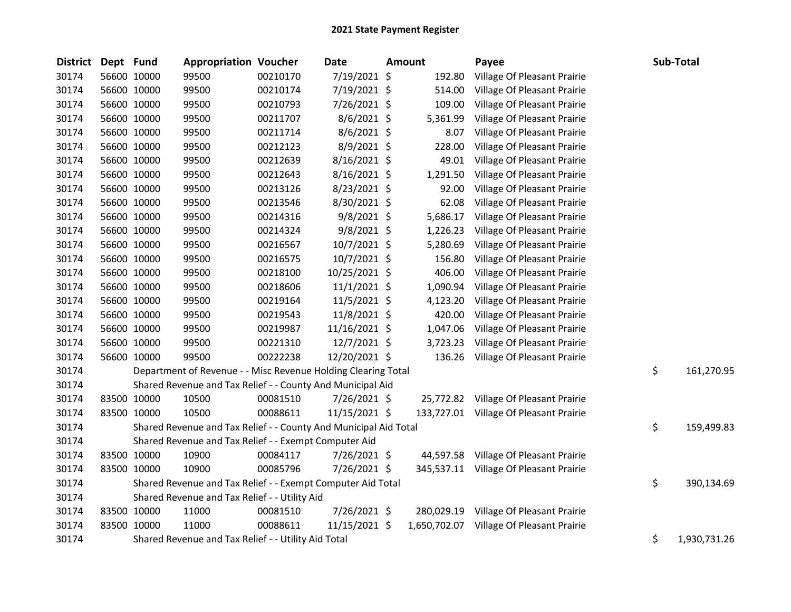| <b>District</b> | Dept Fund |             | <b>Appropriation Voucher</b>                                     |          | Date           | Amount       | Payee                                  | Sub-Total          |
|-----------------|-----------|-------------|------------------------------------------------------------------|----------|----------------|--------------|----------------------------------------|--------------------|
| 30174           |           | 56600 10000 | 99500                                                            | 00210170 | 7/19/2021 \$   | 192.80       | Village Of Pleasant Prairie            |                    |
| 30174           |           | 56600 10000 | 99500                                                            | 00210174 | 7/19/2021 \$   | 514.00       | Village Of Pleasant Prairie            |                    |
| 30174           |           | 56600 10000 | 99500                                                            | 00210793 | 7/26/2021 \$   | 109.00       | Village Of Pleasant Prairie            |                    |
| 30174           |           | 56600 10000 | 99500                                                            | 00211707 | 8/6/2021 \$    | 5,361.99     | Village Of Pleasant Prairie            |                    |
| 30174           |           | 56600 10000 | 99500                                                            | 00211714 | $8/6/2021$ \$  | 8.07         | Village Of Pleasant Prairie            |                    |
| 30174           |           | 56600 10000 | 99500                                                            | 00212123 | 8/9/2021 \$    | 228.00       | Village Of Pleasant Prairie            |                    |
| 30174           |           | 56600 10000 | 99500                                                            | 00212639 | 8/16/2021 \$   | 49.01        | Village Of Pleasant Prairie            |                    |
| 30174           |           | 56600 10000 | 99500                                                            | 00212643 | 8/16/2021 \$   | 1,291.50     | Village Of Pleasant Prairie            |                    |
| 30174           |           | 56600 10000 | 99500                                                            | 00213126 | 8/23/2021 \$   | 92.00        | Village Of Pleasant Prairie            |                    |
| 30174           |           | 56600 10000 | 99500                                                            | 00213546 | 8/30/2021 \$   | 62.08        | Village Of Pleasant Prairie            |                    |
| 30174           |           | 56600 10000 | 99500                                                            | 00214316 | $9/8/2021$ \$  | 5,686.17     | Village Of Pleasant Prairie            |                    |
| 30174           |           | 56600 10000 | 99500                                                            | 00214324 | $9/8/2021$ \$  | 1,226.23     | Village Of Pleasant Prairie            |                    |
| 30174           |           | 56600 10000 | 99500                                                            | 00216567 | $10/7/2021$ \$ | 5,280.69     | Village Of Pleasant Prairie            |                    |
| 30174           |           | 56600 10000 | 99500                                                            | 00216575 | 10/7/2021 \$   | 156.80       | Village Of Pleasant Prairie            |                    |
| 30174           |           | 56600 10000 | 99500                                                            | 00218100 | 10/25/2021 \$  | 406.00       | Village Of Pleasant Prairie            |                    |
| 30174           |           | 56600 10000 | 99500                                                            | 00218606 | $11/1/2021$ \$ | 1,090.94     | Village Of Pleasant Prairie            |                    |
| 30174           |           | 56600 10000 | 99500                                                            | 00219164 | $11/5/2021$ \$ | 4,123.20     | Village Of Pleasant Prairie            |                    |
| 30174           |           | 56600 10000 | 99500                                                            | 00219543 | 11/8/2021 \$   | 420.00       | Village Of Pleasant Prairie            |                    |
| 30174           |           | 56600 10000 | 99500                                                            | 00219987 | 11/16/2021 \$  | 1,047.06     | Village Of Pleasant Prairie            |                    |
| 30174           |           | 56600 10000 | 99500                                                            | 00221310 | $12/7/2021$ \$ | 3,723.23     | Village Of Pleasant Prairie            |                    |
| 30174           |           | 56600 10000 | 99500                                                            | 00222238 | 12/20/2021 \$  | 136.26       | Village Of Pleasant Prairie            |                    |
| 30174           |           |             | Department of Revenue - - Misc Revenue Holding Clearing Total    |          |                |              |                                        | \$<br>161,270.95   |
| 30174           |           |             | Shared Revenue and Tax Relief - - County And Municipal Aid       |          |                |              |                                        |                    |
| 30174           |           | 83500 10000 | 10500                                                            | 00081510 | 7/26/2021 \$   | 25,772.82    | Village Of Pleasant Prairie            |                    |
| 30174           |           | 83500 10000 | 10500                                                            | 00088611 | 11/15/2021 \$  |              | 133,727.01 Village Of Pleasant Prairie |                    |
| 30174           |           |             | Shared Revenue and Tax Relief - - County And Municipal Aid Total |          |                |              |                                        | \$<br>159,499.83   |
| 30174           |           |             | Shared Revenue and Tax Relief - - Exempt Computer Aid            |          |                |              |                                        |                    |
| 30174           |           | 83500 10000 | 10900                                                            | 00084117 | 7/26/2021 \$   | 44,597.58    | Village Of Pleasant Prairie            |                    |
| 30174           |           | 83500 10000 | 10900                                                            | 00085796 | 7/26/2021 \$   |              | 345,537.11 Village Of Pleasant Prairie |                    |
| 30174           |           |             | Shared Revenue and Tax Relief - - Exempt Computer Aid Total      |          |                |              |                                        | \$<br>390,134.69   |
| 30174           |           |             | Shared Revenue and Tax Relief - - Utility Aid                    |          |                |              |                                        |                    |
| 30174           |           | 83500 10000 | 11000                                                            | 00081510 | 7/26/2021 \$   |              | 280,029.19 Village Of Pleasant Prairie |                    |
| 30174           |           | 83500 10000 | 11000                                                            | 00088611 | 11/15/2021 \$  | 1,650,702.07 | Village Of Pleasant Prairie            |                    |
| 30174           |           |             | Shared Revenue and Tax Relief - - Utility Aid Total              |          |                |              |                                        | \$<br>1,930,731.26 |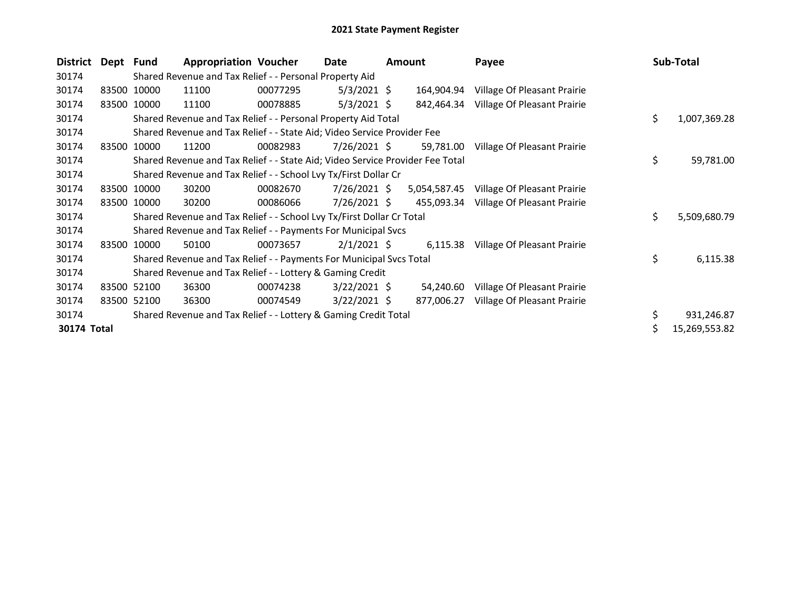| <b>District</b> | Dept Fund |             | <b>Appropriation Voucher</b>                                                  |          | Date<br><b>Amount</b> |           | Payee        |                                        | <b>Sub-Total</b> |               |
|-----------------|-----------|-------------|-------------------------------------------------------------------------------|----------|-----------------------|-----------|--------------|----------------------------------------|------------------|---------------|
| 30174           |           |             | Shared Revenue and Tax Relief - - Personal Property Aid                       |          |                       |           |              |                                        |                  |               |
| 30174           |           | 83500 10000 | 11100                                                                         | 00077295 | $5/3/2021$ \$         |           | 164,904.94   | Village Of Pleasant Prairie            |                  |               |
| 30174           |           | 83500 10000 | 11100                                                                         | 00078885 | $5/3/2021$ \$         |           |              | 842,464.34 Village Of Pleasant Prairie |                  |               |
| 30174           |           |             | Shared Revenue and Tax Relief - - Personal Property Aid Total                 |          |                       |           |              |                                        | \$               | 1,007,369.28  |
| 30174           |           |             | Shared Revenue and Tax Relief - - State Aid; Video Service Provider Fee       |          |                       |           |              |                                        |                  |               |
| 30174           |           | 83500 10000 | 11200                                                                         | 00082983 | 7/26/2021 \$          |           | 59,781.00    | Village Of Pleasant Prairie            |                  |               |
| 30174           |           |             | Shared Revenue and Tax Relief - - State Aid; Video Service Provider Fee Total |          | \$                    | 59,781.00 |              |                                        |                  |               |
| 30174           |           |             | Shared Revenue and Tax Relief - - School Lvy Tx/First Dollar Cr               |          |                       |           |              |                                        |                  |               |
| 30174           |           | 83500 10000 | 30200                                                                         | 00082670 | $7/26/2021$ \$        |           | 5,054,587.45 | Village Of Pleasant Prairie            |                  |               |
| 30174           |           | 83500 10000 | 30200                                                                         | 00086066 | $7/26/2021$ \$        |           | 455,093.34   | Village Of Pleasant Prairie            |                  |               |
| 30174           |           |             | Shared Revenue and Tax Relief - - School Lvy Tx/First Dollar Cr Total         |          |                       |           |              |                                        | \$.              | 5,509,680.79  |
| 30174           |           |             | Shared Revenue and Tax Relief - - Payments For Municipal Svcs                 |          |                       |           |              |                                        |                  |               |
| 30174           |           | 83500 10000 | 50100                                                                         | 00073657 | $2/1/2021$ \$         |           |              | 6,115.38 Village Of Pleasant Prairie   |                  |               |
| 30174           |           |             | Shared Revenue and Tax Relief - - Payments For Municipal Svcs Total           |          |                       |           |              |                                        | \$               | 6,115.38      |
| 30174           |           |             | Shared Revenue and Tax Relief - - Lottery & Gaming Credit                     |          |                       |           |              |                                        |                  |               |
| 30174           |           | 83500 52100 | 36300                                                                         | 00074238 | $3/22/2021$ \$        |           | 54,240.60    | Village Of Pleasant Prairie            |                  |               |
| 30174           |           | 83500 52100 | 36300                                                                         | 00074549 | $3/22/2021$ \$        |           | 877,006.27   | Village Of Pleasant Prairie            |                  |               |
| 30174           |           |             | Shared Revenue and Tax Relief - - Lottery & Gaming Credit Total               |          |                       |           |              |                                        |                  | 931,246.87    |
| 30174 Total     |           |             |                                                                               |          |                       |           |              |                                        |                  | 15,269,553.82 |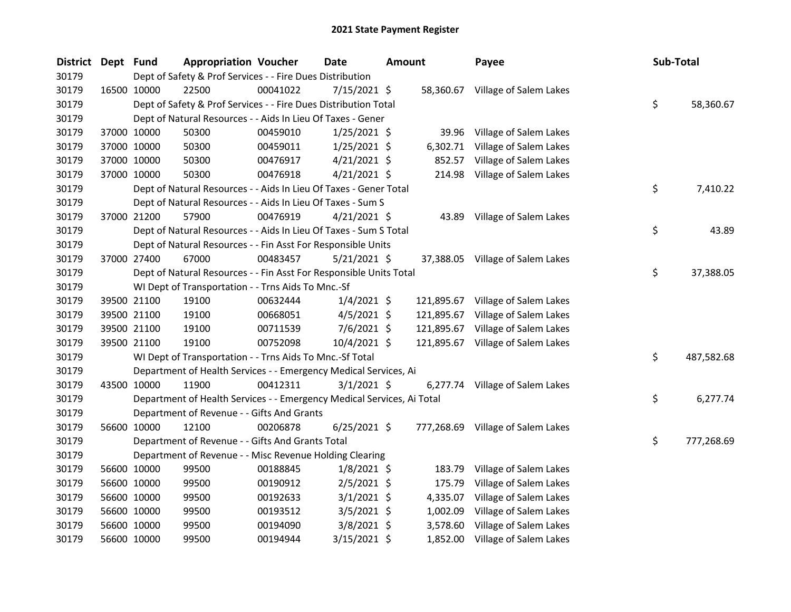| District | Dept Fund |             | <b>Appropriation Voucher</b>                                           |          | <b>Date</b>    | <b>Amount</b> |            | Payee                             | Sub-Total |            |
|----------|-----------|-------------|------------------------------------------------------------------------|----------|----------------|---------------|------------|-----------------------------------|-----------|------------|
| 30179    |           |             | Dept of Safety & Prof Services - - Fire Dues Distribution              |          |                |               |            |                                   |           |            |
| 30179    |           | 16500 10000 | 22500                                                                  | 00041022 | 7/15/2021 \$   |               |            | 58,360.67 Village of Salem Lakes  |           |            |
| 30179    |           |             | Dept of Safety & Prof Services - - Fire Dues Distribution Total        |          |                |               |            |                                   | \$        | 58,360.67  |
| 30179    |           |             | Dept of Natural Resources - - Aids In Lieu Of Taxes - Gener            |          |                |               |            |                                   |           |            |
| 30179    |           | 37000 10000 | 50300                                                                  | 00459010 | $1/25/2021$ \$ |               | 39.96      | Village of Salem Lakes            |           |            |
| 30179    |           | 37000 10000 | 50300                                                                  | 00459011 | $1/25/2021$ \$ |               | 6,302.71   | Village of Salem Lakes            |           |            |
| 30179    |           | 37000 10000 | 50300                                                                  | 00476917 | $4/21/2021$ \$ |               | 852.57     | Village of Salem Lakes            |           |            |
| 30179    |           | 37000 10000 | 50300                                                                  | 00476918 | $4/21/2021$ \$ |               | 214.98     | Village of Salem Lakes            |           |            |
| 30179    |           |             | Dept of Natural Resources - - Aids In Lieu Of Taxes - Gener Total      |          |                |               |            |                                   | \$        | 7,410.22   |
| 30179    |           |             | Dept of Natural Resources - - Aids In Lieu Of Taxes - Sum S            |          |                |               |            |                                   |           |            |
| 30179    |           | 37000 21200 | 57900                                                                  | 00476919 | 4/21/2021 \$   |               | 43.89      | Village of Salem Lakes            |           |            |
| 30179    |           |             | Dept of Natural Resources - - Aids In Lieu Of Taxes - Sum S Total      |          |                |               |            |                                   | \$        | 43.89      |
| 30179    |           |             | Dept of Natural Resources - - Fin Asst For Responsible Units           |          |                |               |            |                                   |           |            |
| 30179    |           | 37000 27400 | 67000                                                                  | 00483457 | $5/21/2021$ \$ |               |            | 37,388.05 Village of Salem Lakes  |           |            |
| 30179    |           |             | Dept of Natural Resources - - Fin Asst For Responsible Units Total     |          |                |               |            |                                   | \$        | 37,388.05  |
| 30179    |           |             | WI Dept of Transportation - - Trns Aids To Mnc.-Sf                     |          |                |               |            |                                   |           |            |
| 30179    |           | 39500 21100 | 19100                                                                  | 00632444 | $1/4/2021$ \$  |               | 121,895.67 | Village of Salem Lakes            |           |            |
| 30179    |           | 39500 21100 | 19100                                                                  | 00668051 | 4/5/2021 \$    |               | 121,895.67 | Village of Salem Lakes            |           |            |
| 30179    |           | 39500 21100 | 19100                                                                  | 00711539 | $7/6/2021$ \$  |               |            | 121,895.67 Village of Salem Lakes |           |            |
| 30179    |           | 39500 21100 | 19100                                                                  | 00752098 | 10/4/2021 \$   |               |            | 121,895.67 Village of Salem Lakes |           |            |
| 30179    |           |             | WI Dept of Transportation - - Trns Aids To Mnc.-Sf Total               |          |                |               |            |                                   | \$        | 487,582.68 |
| 30179    |           |             | Department of Health Services - - Emergency Medical Services, Ai       |          |                |               |            |                                   |           |            |
| 30179    |           | 43500 10000 | 11900                                                                  | 00412311 | $3/1/2021$ \$  |               |            | 6,277.74 Village of Salem Lakes   |           |            |
| 30179    |           |             | Department of Health Services - - Emergency Medical Services, Ai Total |          |                |               |            |                                   | \$        | 6,277.74   |
| 30179    |           |             | Department of Revenue - - Gifts And Grants                             |          |                |               |            |                                   |           |            |
| 30179    |           | 56600 10000 | 12100                                                                  | 00206878 | $6/25/2021$ \$ |               |            | 777,268.69 Village of Salem Lakes |           |            |
| 30179    |           |             | Department of Revenue - - Gifts And Grants Total                       |          |                |               |            |                                   | \$        | 777,268.69 |
| 30179    |           |             | Department of Revenue - - Misc Revenue Holding Clearing                |          |                |               |            |                                   |           |            |
| 30179    |           | 56600 10000 | 99500                                                                  | 00188845 | $1/8/2021$ \$  |               | 183.79     | Village of Salem Lakes            |           |            |
| 30179    |           | 56600 10000 | 99500                                                                  | 00190912 | $2/5/2021$ \$  |               | 175.79     | Village of Salem Lakes            |           |            |
| 30179    |           | 56600 10000 | 99500                                                                  | 00192633 | $3/1/2021$ \$  |               | 4,335.07   | Village of Salem Lakes            |           |            |
| 30179    |           | 56600 10000 | 99500                                                                  | 00193512 | $3/5/2021$ \$  |               | 1,002.09   | Village of Salem Lakes            |           |            |
| 30179    |           | 56600 10000 | 99500                                                                  | 00194090 | $3/8/2021$ \$  |               | 3,578.60   | Village of Salem Lakes            |           |            |
| 30179    |           | 56600 10000 | 99500                                                                  | 00194944 | 3/15/2021 \$   |               | 1,852.00   | Village of Salem Lakes            |           |            |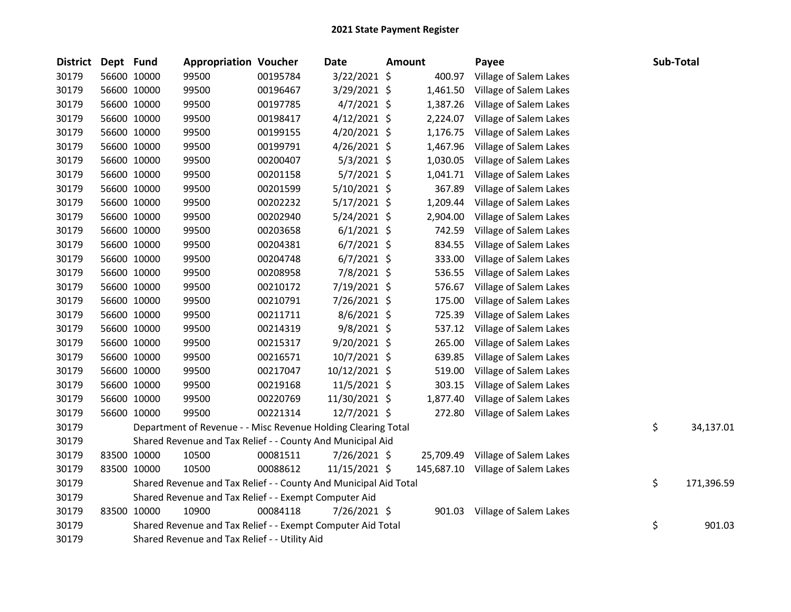| <b>District</b> | Dept Fund |             | <b>Appropriation Voucher</b>                                     |          | <b>Date</b>    | Amount |            | Payee                  | Sub-Total        |
|-----------------|-----------|-------------|------------------------------------------------------------------|----------|----------------|--------|------------|------------------------|------------------|
| 30179           |           | 56600 10000 | 99500                                                            | 00195784 | 3/22/2021 \$   |        | 400.97     | Village of Salem Lakes |                  |
| 30179           |           | 56600 10000 | 99500                                                            | 00196467 | 3/29/2021 \$   |        | 1,461.50   | Village of Salem Lakes |                  |
| 30179           |           | 56600 10000 | 99500                                                            | 00197785 | $4/7/2021$ \$  |        | 1,387.26   | Village of Salem Lakes |                  |
| 30179           |           | 56600 10000 | 99500                                                            | 00198417 | $4/12/2021$ \$ |        | 2,224.07   | Village of Salem Lakes |                  |
| 30179           |           | 56600 10000 | 99500                                                            | 00199155 | $4/20/2021$ \$ |        | 1,176.75   | Village of Salem Lakes |                  |
| 30179           |           | 56600 10000 | 99500                                                            | 00199791 | $4/26/2021$ \$ |        | 1,467.96   | Village of Salem Lakes |                  |
| 30179           |           | 56600 10000 | 99500                                                            | 00200407 | 5/3/2021 \$    |        | 1,030.05   | Village of Salem Lakes |                  |
| 30179           |           | 56600 10000 | 99500                                                            | 00201158 | 5/7/2021 \$    |        | 1,041.71   | Village of Salem Lakes |                  |
| 30179           |           | 56600 10000 | 99500                                                            | 00201599 | 5/10/2021 \$   |        | 367.89     | Village of Salem Lakes |                  |
| 30179           |           | 56600 10000 | 99500                                                            | 00202232 | $5/17/2021$ \$ |        | 1,209.44   | Village of Salem Lakes |                  |
| 30179           |           | 56600 10000 | 99500                                                            | 00202940 | $5/24/2021$ \$ |        | 2,904.00   | Village of Salem Lakes |                  |
| 30179           |           | 56600 10000 | 99500                                                            | 00203658 | $6/1/2021$ \$  |        | 742.59     | Village of Salem Lakes |                  |
| 30179           |           | 56600 10000 | 99500                                                            | 00204381 | $6/7/2021$ \$  |        | 834.55     | Village of Salem Lakes |                  |
| 30179           |           | 56600 10000 | 99500                                                            | 00204748 | $6/7/2021$ \$  |        | 333.00     | Village of Salem Lakes |                  |
| 30179           |           | 56600 10000 | 99500                                                            | 00208958 | 7/8/2021 \$    |        | 536.55     | Village of Salem Lakes |                  |
| 30179           |           | 56600 10000 | 99500                                                            | 00210172 | 7/19/2021 \$   |        | 576.67     | Village of Salem Lakes |                  |
| 30179           |           | 56600 10000 | 99500                                                            | 00210791 | 7/26/2021 \$   |        | 175.00     | Village of Salem Lakes |                  |
| 30179           |           | 56600 10000 | 99500                                                            | 00211711 | $8/6/2021$ \$  |        | 725.39     | Village of Salem Lakes |                  |
| 30179           |           | 56600 10000 | 99500                                                            | 00214319 | 9/8/2021 \$    |        | 537.12     | Village of Salem Lakes |                  |
| 30179           |           | 56600 10000 | 99500                                                            | 00215317 | $9/20/2021$ \$ |        | 265.00     | Village of Salem Lakes |                  |
| 30179           |           | 56600 10000 | 99500                                                            | 00216571 | 10/7/2021 \$   |        | 639.85     | Village of Salem Lakes |                  |
| 30179           |           | 56600 10000 | 99500                                                            | 00217047 | 10/12/2021 \$  |        | 519.00     | Village of Salem Lakes |                  |
| 30179           |           | 56600 10000 | 99500                                                            | 00219168 | 11/5/2021 \$   |        | 303.15     | Village of Salem Lakes |                  |
| 30179           |           | 56600 10000 | 99500                                                            | 00220769 | 11/30/2021 \$  |        | 1,877.40   | Village of Salem Lakes |                  |
| 30179           |           | 56600 10000 | 99500                                                            | 00221314 | 12/7/2021 \$   |        | 272.80     | Village of Salem Lakes |                  |
| 30179           |           |             | Department of Revenue - - Misc Revenue Holding Clearing Total    |          |                |        |            |                        | \$<br>34,137.01  |
| 30179           |           |             | Shared Revenue and Tax Relief - - County And Municipal Aid       |          |                |        |            |                        |                  |
| 30179           |           | 83500 10000 | 10500                                                            | 00081511 | 7/26/2021 \$   |        | 25,709.49  | Village of Salem Lakes |                  |
| 30179           |           | 83500 10000 | 10500                                                            | 00088612 | 11/15/2021 \$  |        | 145,687.10 | Village of Salem Lakes |                  |
| 30179           |           |             | Shared Revenue and Tax Relief - - County And Municipal Aid Total |          |                |        |            |                        | \$<br>171,396.59 |
| 30179           |           |             | Shared Revenue and Tax Relief - - Exempt Computer Aid            |          |                |        |            |                        |                  |
| 30179           |           | 83500 10000 | 10900                                                            | 00084118 | 7/26/2021 \$   |        | 901.03     | Village of Salem Lakes |                  |
| 30179           |           |             | Shared Revenue and Tax Relief - - Exempt Computer Aid Total      |          |                |        |            |                        | \$<br>901.03     |
| 30179           |           |             | Shared Revenue and Tax Relief - - Utility Aid                    |          |                |        |            |                        |                  |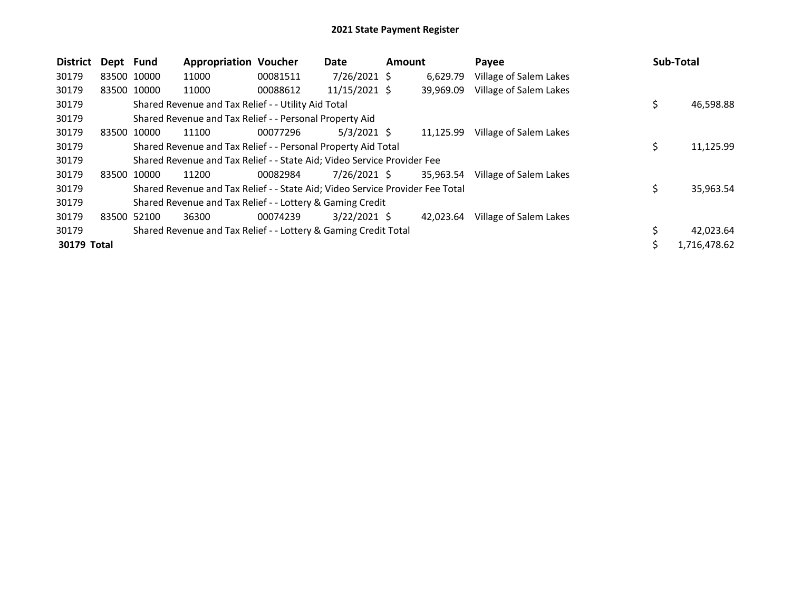| <b>District</b> | Dept Fund   |             | <b>Appropriation Voucher</b>                                                  |          | Date           | Amount |           | Payee                  |    | <b>Sub-Total</b> |
|-----------------|-------------|-------------|-------------------------------------------------------------------------------|----------|----------------|--------|-----------|------------------------|----|------------------|
| 30179           | 83500 10000 |             | 11000                                                                         | 00081511 | $7/26/2021$ \$ |        | 6.629.79  | Village of Salem Lakes |    |                  |
| 30179           |             | 83500 10000 | 11000                                                                         | 00088612 | 11/15/2021 \$  |        | 39,969.09 | Village of Salem Lakes |    |                  |
| 30179           |             |             | Shared Revenue and Tax Relief - - Utility Aid Total                           |          |                |        |           |                        | \$ | 46,598.88        |
| 30179           |             |             | Shared Revenue and Tax Relief - - Personal Property Aid                       |          |                |        |           |                        |    |                  |
| 30179           | 83500 10000 |             | 11100                                                                         | 00077296 | $5/3/2021$ \$  |        | 11,125.99 | Village of Salem Lakes |    |                  |
| 30179           |             |             | Shared Revenue and Tax Relief - - Personal Property Aid Total                 |          |                |        |           |                        | \$ | 11,125.99        |
| 30179           |             |             | Shared Revenue and Tax Relief - - State Aid; Video Service Provider Fee       |          |                |        |           |                        |    |                  |
| 30179           | 83500 10000 |             | 11200                                                                         | 00082984 | 7/26/2021 \$   |        | 35,963.54 | Village of Salem Lakes |    |                  |
| 30179           |             |             | Shared Revenue and Tax Relief - - State Aid; Video Service Provider Fee Total |          |                |        |           |                        | Ś  | 35,963.54        |
| 30179           |             |             | Shared Revenue and Tax Relief - - Lottery & Gaming Credit                     |          |                |        |           |                        |    |                  |
| 30179           | 83500 52100 |             | 36300                                                                         | 00074239 | $3/22/2021$ \$ |        | 42,023.64 | Village of Salem Lakes |    |                  |
| 30179           |             |             | Shared Revenue and Tax Relief - - Lottery & Gaming Credit Total               |          |                |        |           |                        |    | 42,023.64        |
| 30179 Total     |             |             |                                                                               |          |                |        |           |                        | Š. | 1,716,478.62     |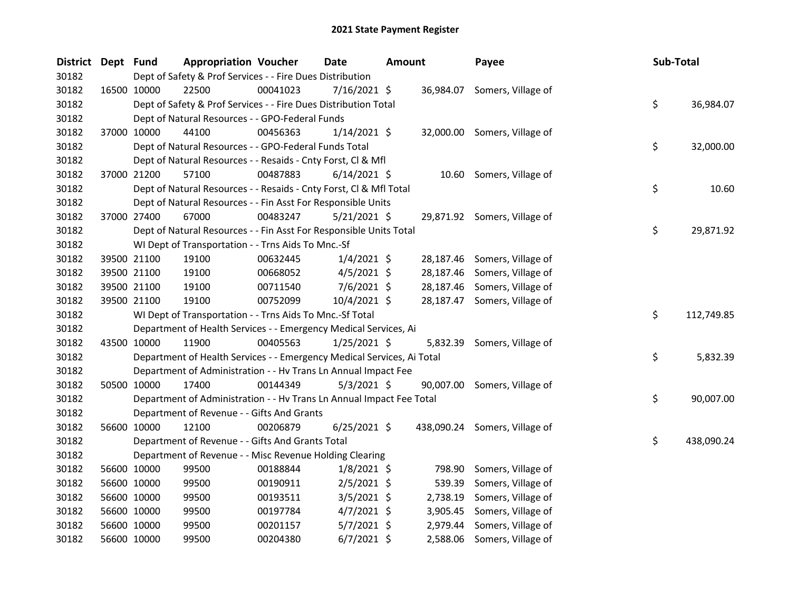| <b>District</b> | Dept Fund |             | <b>Appropriation Voucher</b>                                           |          | Date           | <b>Amount</b> |           | Payee                         | Sub-Total |            |
|-----------------|-----------|-------------|------------------------------------------------------------------------|----------|----------------|---------------|-----------|-------------------------------|-----------|------------|
| 30182           |           |             | Dept of Safety & Prof Services - - Fire Dues Distribution              |          |                |               |           |                               |           |            |
| 30182           |           | 16500 10000 | 22500                                                                  | 00041023 | 7/16/2021 \$   |               |           | 36,984.07 Somers, Village of  |           |            |
| 30182           |           |             | Dept of Safety & Prof Services - - Fire Dues Distribution Total        |          |                |               |           |                               | \$        | 36,984.07  |
| 30182           |           |             | Dept of Natural Resources - - GPO-Federal Funds                        |          |                |               |           |                               |           |            |
| 30182           |           | 37000 10000 | 44100                                                                  | 00456363 | $1/14/2021$ \$ |               |           | 32,000.00 Somers, Village of  |           |            |
| 30182           |           |             | Dept of Natural Resources - - GPO-Federal Funds Total                  |          |                |               |           |                               | \$        | 32,000.00  |
| 30182           |           |             | Dept of Natural Resources - - Resaids - Cnty Forst, Cl & Mfl           |          |                |               |           |                               |           |            |
| 30182           |           | 37000 21200 | 57100                                                                  | 00487883 | $6/14/2021$ \$ |               |           | 10.60 Somers, Village of      |           |            |
| 30182           |           |             | Dept of Natural Resources - - Resaids - Cnty Forst, Cl & Mfl Total     |          |                |               |           |                               | \$        | 10.60      |
| 30182           |           |             | Dept of Natural Resources - - Fin Asst For Responsible Units           |          |                |               |           |                               |           |            |
| 30182           |           | 37000 27400 | 67000                                                                  | 00483247 | $5/21/2021$ \$ |               |           | 29,871.92 Somers, Village of  |           |            |
| 30182           |           |             | Dept of Natural Resources - - Fin Asst For Responsible Units Total     |          |                |               |           |                               | \$        | 29,871.92  |
| 30182           |           |             | WI Dept of Transportation - - Trns Aids To Mnc.-Sf                     |          |                |               |           |                               |           |            |
| 30182           |           | 39500 21100 | 19100                                                                  | 00632445 | $1/4/2021$ \$  |               | 28,187.46 | Somers, Village of            |           |            |
| 30182           |           | 39500 21100 | 19100                                                                  | 00668052 | $4/5/2021$ \$  |               | 28,187.46 | Somers, Village of            |           |            |
| 30182           |           | 39500 21100 | 19100                                                                  | 00711540 | $7/6/2021$ \$  |               | 28,187.46 | Somers, Village of            |           |            |
| 30182           |           | 39500 21100 | 19100                                                                  | 00752099 | 10/4/2021 \$   |               |           | 28,187.47 Somers, Village of  |           |            |
| 30182           |           |             | WI Dept of Transportation - - Trns Aids To Mnc.-Sf Total               |          |                |               |           |                               | \$        | 112,749.85 |
| 30182           |           |             | Department of Health Services - - Emergency Medical Services, Ai       |          |                |               |           |                               |           |            |
| 30182           |           | 43500 10000 | 11900                                                                  | 00405563 | $1/25/2021$ \$ |               |           | 5,832.39 Somers, Village of   |           |            |
| 30182           |           |             | Department of Health Services - - Emergency Medical Services, Ai Total |          |                |               |           |                               | \$        | 5,832.39   |
| 30182           |           |             | Department of Administration - - Hv Trans Ln Annual Impact Fee         |          |                |               |           |                               |           |            |
| 30182           |           | 50500 10000 | 17400                                                                  | 00144349 | $5/3/2021$ \$  |               |           | 90,007.00 Somers, Village of  |           |            |
| 30182           |           |             | Department of Administration - - Hv Trans Ln Annual Impact Fee Total   |          |                |               |           |                               | \$        | 90,007.00  |
| 30182           |           |             | Department of Revenue - - Gifts And Grants                             |          |                |               |           |                               |           |            |
| 30182           |           | 56600 10000 | 12100                                                                  | 00206879 | $6/25/2021$ \$ |               |           | 438,090.24 Somers, Village of |           |            |
| 30182           |           |             | Department of Revenue - - Gifts And Grants Total                       |          |                |               |           |                               | \$        | 438,090.24 |
| 30182           |           |             | Department of Revenue - - Misc Revenue Holding Clearing                |          |                |               |           |                               |           |            |
| 30182           |           | 56600 10000 | 99500                                                                  | 00188844 | 1/8/2021 \$    |               | 798.90    | Somers, Village of            |           |            |
| 30182           |           | 56600 10000 | 99500                                                                  | 00190911 | $2/5/2021$ \$  |               | 539.39    | Somers, Village of            |           |            |
| 30182           |           | 56600 10000 | 99500                                                                  | 00193511 | $3/5/2021$ \$  |               | 2,738.19  | Somers, Village of            |           |            |
| 30182           |           | 56600 10000 | 99500                                                                  | 00197784 | $4/7/2021$ \$  |               | 3,905.45  | Somers, Village of            |           |            |
| 30182           |           | 56600 10000 | 99500                                                                  | 00201157 | 5/7/2021 \$    |               | 2,979.44  | Somers, Village of            |           |            |
| 30182           |           | 56600 10000 | 99500                                                                  | 00204380 | $6/7/2021$ \$  |               | 2,588.06  | Somers, Village of            |           |            |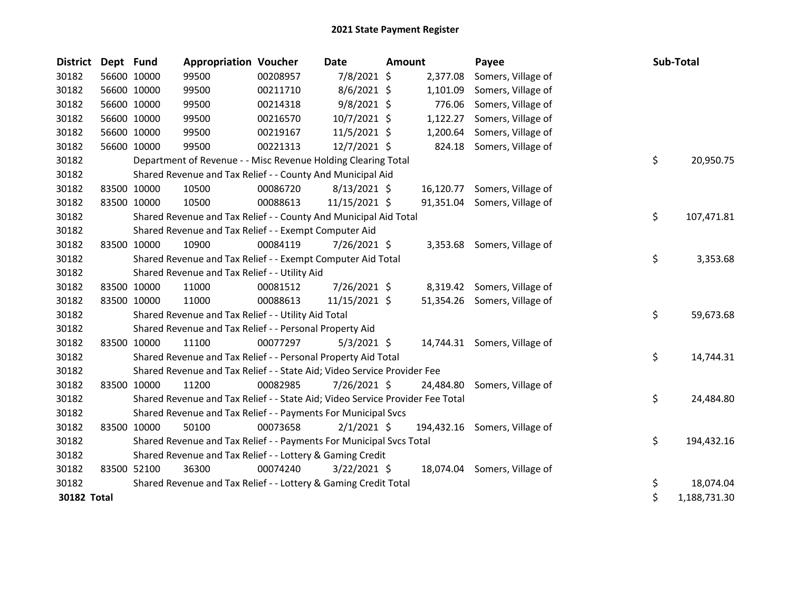| <b>District</b> | Dept Fund |             | <b>Appropriation Voucher</b>                                                  |          | Date           | <b>Amount</b> |           | Payee                         | Sub-Total          |
|-----------------|-----------|-------------|-------------------------------------------------------------------------------|----------|----------------|---------------|-----------|-------------------------------|--------------------|
| 30182           |           | 56600 10000 | 99500                                                                         | 00208957 | 7/8/2021 \$    |               | 2,377.08  | Somers, Village of            |                    |
| 30182           |           | 56600 10000 | 99500                                                                         | 00211710 | 8/6/2021 \$    |               | 1,101.09  | Somers, Village of            |                    |
| 30182           |           | 56600 10000 | 99500                                                                         | 00214318 | $9/8/2021$ \$  |               | 776.06    | Somers, Village of            |                    |
| 30182           |           | 56600 10000 | 99500                                                                         | 00216570 | 10/7/2021 \$   |               | 1,122.27  | Somers, Village of            |                    |
| 30182           |           | 56600 10000 | 99500                                                                         | 00219167 | 11/5/2021 \$   |               | 1,200.64  | Somers, Village of            |                    |
| 30182           |           | 56600 10000 | 99500                                                                         | 00221313 | 12/7/2021 \$   |               | 824.18    | Somers, Village of            |                    |
| 30182           |           |             | Department of Revenue - - Misc Revenue Holding Clearing Total                 |          |                |               |           |                               | \$<br>20,950.75    |
| 30182           |           |             | Shared Revenue and Tax Relief - - County And Municipal Aid                    |          |                |               |           |                               |                    |
| 30182           |           | 83500 10000 | 10500                                                                         | 00086720 | $8/13/2021$ \$ |               |           | 16,120.77 Somers, Village of  |                    |
| 30182           |           | 83500 10000 | 10500                                                                         | 00088613 | 11/15/2021 \$  |               | 91,351.04 | Somers, Village of            |                    |
| 30182           |           |             | Shared Revenue and Tax Relief - - County And Municipal Aid Total              |          |                |               |           |                               | \$<br>107,471.81   |
| 30182           |           |             | Shared Revenue and Tax Relief - - Exempt Computer Aid                         |          |                |               |           |                               |                    |
| 30182           |           | 83500 10000 | 10900                                                                         | 00084119 | 7/26/2021 \$   |               |           | 3,353.68 Somers, Village of   |                    |
| 30182           |           |             | Shared Revenue and Tax Relief - - Exempt Computer Aid Total                   |          |                |               |           |                               | \$<br>3,353.68     |
| 30182           |           |             | Shared Revenue and Tax Relief - - Utility Aid                                 |          |                |               |           |                               |                    |
| 30182           |           | 83500 10000 | 11000                                                                         | 00081512 | 7/26/2021 \$   |               |           | 8,319.42 Somers, Village of   |                    |
| 30182           |           | 83500 10000 | 11000                                                                         | 00088613 | 11/15/2021 \$  |               |           | 51,354.26 Somers, Village of  |                    |
| 30182           |           |             | Shared Revenue and Tax Relief - - Utility Aid Total                           |          |                |               |           |                               | \$<br>59,673.68    |
| 30182           |           |             | Shared Revenue and Tax Relief - - Personal Property Aid                       |          |                |               |           |                               |                    |
| 30182           |           | 83500 10000 | 11100                                                                         | 00077297 | $5/3/2021$ \$  |               |           | 14,744.31 Somers, Village of  |                    |
| 30182           |           |             | Shared Revenue and Tax Relief - - Personal Property Aid Total                 |          |                |               |           |                               | \$<br>14,744.31    |
| 30182           |           |             | Shared Revenue and Tax Relief - - State Aid; Video Service Provider Fee       |          |                |               |           |                               |                    |
| 30182           |           | 83500 10000 | 11200                                                                         | 00082985 | $7/26/2021$ \$ |               | 24,484.80 | Somers, Village of            |                    |
| 30182           |           |             | Shared Revenue and Tax Relief - - State Aid; Video Service Provider Fee Total |          |                |               |           |                               | \$<br>24,484.80    |
| 30182           |           |             | Shared Revenue and Tax Relief - - Payments For Municipal Svcs                 |          |                |               |           |                               |                    |
| 30182           |           | 83500 10000 | 50100                                                                         | 00073658 | $2/1/2021$ \$  |               |           | 194,432.16 Somers, Village of |                    |
| 30182           |           |             | Shared Revenue and Tax Relief - - Payments For Municipal Svcs Total           |          |                |               |           |                               | \$<br>194,432.16   |
| 30182           |           |             | Shared Revenue and Tax Relief - - Lottery & Gaming Credit                     |          |                |               |           |                               |                    |
| 30182           |           | 83500 52100 | 36300                                                                         | 00074240 | $3/22/2021$ \$ |               |           | 18,074.04 Somers, Village of  |                    |
| 30182           |           |             | Shared Revenue and Tax Relief - - Lottery & Gaming Credit Total               |          |                |               |           |                               | \$<br>18,074.04    |
| 30182 Total     |           |             |                                                                               |          |                |               |           |                               | \$<br>1,188,731.30 |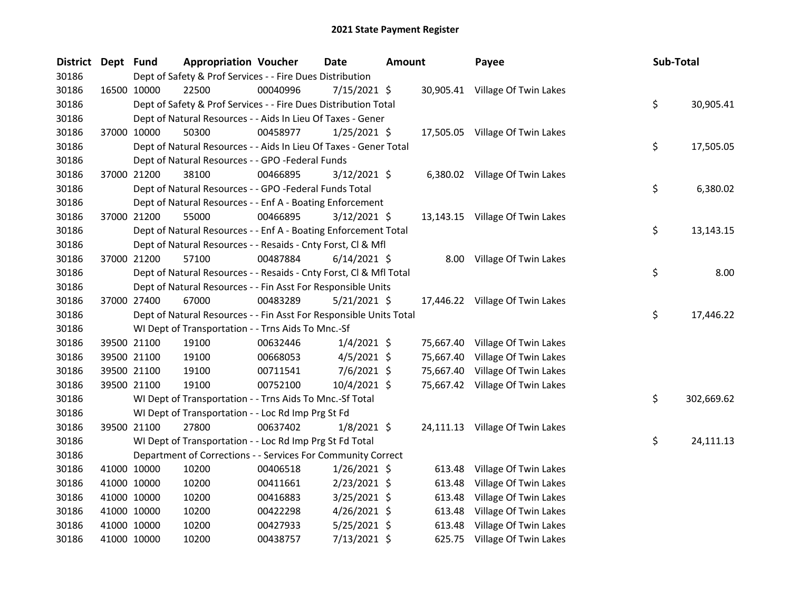| District Dept Fund |             |             | <b>Appropriation Voucher</b>                                       |          | <b>Date</b>    | <b>Amount</b> |           | Payee                           | Sub-Total        |
|--------------------|-------------|-------------|--------------------------------------------------------------------|----------|----------------|---------------|-----------|---------------------------------|------------------|
| 30186              |             |             | Dept of Safety & Prof Services - - Fire Dues Distribution          |          |                |               |           |                                 |                  |
| 30186              | 16500 10000 |             | 22500                                                              | 00040996 | $7/15/2021$ \$ |               |           | 30,905.41 Village Of Twin Lakes |                  |
| 30186              |             |             | Dept of Safety & Prof Services - - Fire Dues Distribution Total    |          |                |               |           |                                 | \$<br>30,905.41  |
| 30186              |             |             | Dept of Natural Resources - - Aids In Lieu Of Taxes - Gener        |          |                |               |           |                                 |                  |
| 30186              |             | 37000 10000 | 50300                                                              | 00458977 | $1/25/2021$ \$ |               |           | 17,505.05 Village Of Twin Lakes |                  |
| 30186              |             |             | Dept of Natural Resources - - Aids In Lieu Of Taxes - Gener Total  |          |                |               |           |                                 | \$<br>17,505.05  |
| 30186              |             |             | Dept of Natural Resources - - GPO -Federal Funds                   |          |                |               |           |                                 |                  |
| 30186              | 37000 21200 |             | 38100                                                              | 00466895 | $3/12/2021$ \$ |               |           | 6,380.02 Village Of Twin Lakes  |                  |
| 30186              |             |             | Dept of Natural Resources - - GPO -Federal Funds Total             |          |                |               |           |                                 | \$<br>6,380.02   |
| 30186              |             |             | Dept of Natural Resources - - Enf A - Boating Enforcement          |          |                |               |           |                                 |                  |
| 30186              |             | 37000 21200 | 55000                                                              | 00466895 | $3/12/2021$ \$ |               |           | 13,143.15 Village Of Twin Lakes |                  |
| 30186              |             |             | Dept of Natural Resources - - Enf A - Boating Enforcement Total    |          |                |               |           |                                 | \$<br>13,143.15  |
| 30186              |             |             | Dept of Natural Resources - - Resaids - Cnty Forst, Cl & Mfl       |          |                |               |           |                                 |                  |
| 30186              |             | 37000 21200 | 57100                                                              | 00487884 | $6/14/2021$ \$ |               |           | 8.00 Village Of Twin Lakes      |                  |
| 30186              |             |             | Dept of Natural Resources - - Resaids - Cnty Forst, Cl & Mfl Total |          |                |               |           |                                 | \$<br>8.00       |
| 30186              |             |             | Dept of Natural Resources - - Fin Asst For Responsible Units       |          |                |               |           |                                 |                  |
| 30186              | 37000 27400 |             | 67000                                                              | 00483289 | $5/21/2021$ \$ |               |           | 17,446.22 Village Of Twin Lakes |                  |
| 30186              |             |             | Dept of Natural Resources - - Fin Asst For Responsible Units Total |          |                |               |           |                                 | \$<br>17,446.22  |
| 30186              |             |             | WI Dept of Transportation - - Trns Aids To Mnc.-Sf                 |          |                |               |           |                                 |                  |
| 30186              |             | 39500 21100 | 19100                                                              | 00632446 | $1/4/2021$ \$  |               |           | 75,667.40 Village Of Twin Lakes |                  |
| 30186              |             | 39500 21100 | 19100                                                              | 00668053 | $4/5/2021$ \$  |               | 75,667.40 | Village Of Twin Lakes           |                  |
| 30186              |             | 39500 21100 | 19100                                                              | 00711541 | $7/6/2021$ \$  |               | 75,667.40 | Village Of Twin Lakes           |                  |
| 30186              |             | 39500 21100 | 19100                                                              | 00752100 | 10/4/2021 \$   |               |           | 75,667.42 Village Of Twin Lakes |                  |
| 30186              |             |             | WI Dept of Transportation - - Trns Aids To Mnc.-Sf Total           |          |                |               |           |                                 | \$<br>302,669.62 |
| 30186              |             |             | WI Dept of Transportation - - Loc Rd Imp Prg St Fd                 |          |                |               |           |                                 |                  |
| 30186              | 39500 21100 |             | 27800                                                              | 00637402 | $1/8/2021$ \$  |               |           | 24,111.13 Village Of Twin Lakes |                  |
| 30186              |             |             | WI Dept of Transportation - - Loc Rd Imp Prg St Fd Total           |          |                |               |           |                                 | \$<br>24,111.13  |
| 30186              |             |             | Department of Corrections - - Services For Community Correct       |          |                |               |           |                                 |                  |
| 30186              |             | 41000 10000 | 10200                                                              | 00406518 | $1/26/2021$ \$ |               | 613.48    | Village Of Twin Lakes           |                  |
| 30186              |             | 41000 10000 | 10200                                                              | 00411661 | $2/23/2021$ \$ |               | 613.48    | Village Of Twin Lakes           |                  |
| 30186              |             | 41000 10000 | 10200                                                              | 00416883 | $3/25/2021$ \$ |               | 613.48    | Village Of Twin Lakes           |                  |
| 30186              |             | 41000 10000 | 10200                                                              | 00422298 | $4/26/2021$ \$ |               | 613.48    | Village Of Twin Lakes           |                  |
| 30186              |             | 41000 10000 | 10200                                                              | 00427933 | 5/25/2021 \$   |               | 613.48    | Village Of Twin Lakes           |                  |
| 30186              | 41000 10000 |             | 10200                                                              | 00438757 | 7/13/2021 \$   |               | 625.75    | Village Of Twin Lakes           |                  |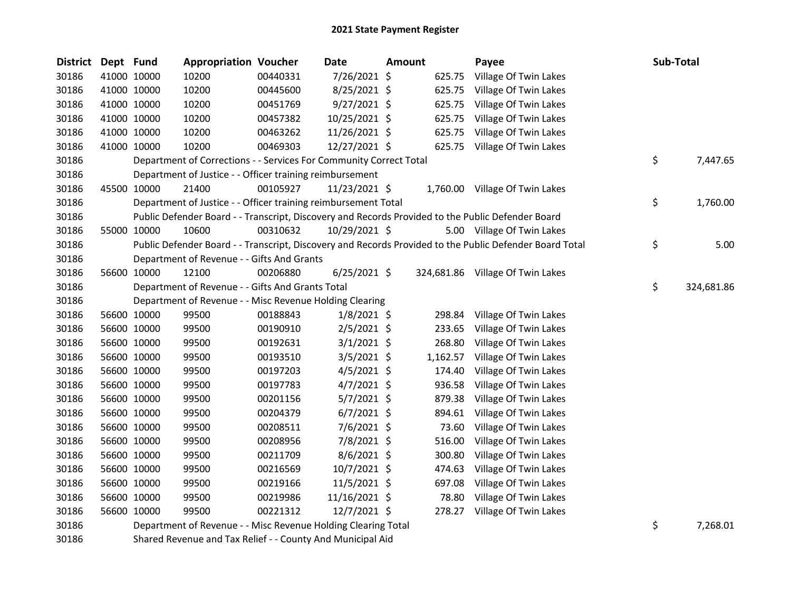| <b>District</b> | Dept Fund |             | <b>Appropriation Voucher</b>                                       |          | <b>Date</b>    | <b>Amount</b> |          | Payee                                                                                                   | Sub-Total        |
|-----------------|-----------|-------------|--------------------------------------------------------------------|----------|----------------|---------------|----------|---------------------------------------------------------------------------------------------------------|------------------|
| 30186           |           | 41000 10000 | 10200                                                              | 00440331 | 7/26/2021 \$   |               | 625.75   | Village Of Twin Lakes                                                                                   |                  |
| 30186           |           | 41000 10000 | 10200                                                              | 00445600 | 8/25/2021 \$   |               | 625.75   | Village Of Twin Lakes                                                                                   |                  |
| 30186           |           | 41000 10000 | 10200                                                              | 00451769 | $9/27/2021$ \$ |               | 625.75   | Village Of Twin Lakes                                                                                   |                  |
| 30186           |           | 41000 10000 | 10200                                                              | 00457382 | 10/25/2021 \$  |               | 625.75   | Village Of Twin Lakes                                                                                   |                  |
| 30186           |           | 41000 10000 | 10200                                                              | 00463262 | 11/26/2021 \$  |               | 625.75   | Village Of Twin Lakes                                                                                   |                  |
| 30186           |           | 41000 10000 | 10200                                                              | 00469303 | 12/27/2021 \$  |               | 625.75   | Village Of Twin Lakes                                                                                   |                  |
| 30186           |           |             | Department of Corrections - - Services For Community Correct Total |          |                |               |          |                                                                                                         | \$<br>7,447.65   |
| 30186           |           |             | Department of Justice - - Officer training reimbursement           |          |                |               |          |                                                                                                         |                  |
| 30186           |           | 45500 10000 | 21400                                                              | 00105927 | 11/23/2021 \$  |               |          | 1,760.00 Village Of Twin Lakes                                                                          |                  |
| 30186           |           |             | Department of Justice - - Officer training reimbursement Total     |          |                |               |          |                                                                                                         | \$<br>1,760.00   |
| 30186           |           |             |                                                                    |          |                |               |          | Public Defender Board - - Transcript, Discovery and Records Provided to the Public Defender Board       |                  |
| 30186           |           | 55000 10000 | 10600                                                              | 00310632 | 10/29/2021 \$  |               |          | 5.00 Village Of Twin Lakes                                                                              |                  |
| 30186           |           |             |                                                                    |          |                |               |          | Public Defender Board - - Transcript, Discovery and Records Provided to the Public Defender Board Total | \$<br>5.00       |
| 30186           |           |             | Department of Revenue - - Gifts And Grants                         |          |                |               |          |                                                                                                         |                  |
| 30186           |           | 56600 10000 | 12100                                                              | 00206880 | $6/25/2021$ \$ |               |          | 324,681.86 Village Of Twin Lakes                                                                        |                  |
| 30186           |           |             | Department of Revenue - - Gifts And Grants Total                   |          |                |               |          |                                                                                                         | \$<br>324,681.86 |
| 30186           |           |             | Department of Revenue - - Misc Revenue Holding Clearing            |          |                |               |          |                                                                                                         |                  |
| 30186           |           | 56600 10000 | 99500                                                              | 00188843 | $1/8/2021$ \$  |               | 298.84   | Village Of Twin Lakes                                                                                   |                  |
| 30186           |           | 56600 10000 | 99500                                                              | 00190910 | $2/5/2021$ \$  |               | 233.65   | Village Of Twin Lakes                                                                                   |                  |
| 30186           |           | 56600 10000 | 99500                                                              | 00192631 | $3/1/2021$ \$  |               | 268.80   | Village Of Twin Lakes                                                                                   |                  |
| 30186           |           | 56600 10000 | 99500                                                              | 00193510 | $3/5/2021$ \$  |               | 1,162.57 | Village Of Twin Lakes                                                                                   |                  |
| 30186           |           | 56600 10000 | 99500                                                              | 00197203 | $4/5/2021$ \$  |               | 174.40   | Village Of Twin Lakes                                                                                   |                  |
| 30186           |           | 56600 10000 | 99500                                                              | 00197783 | $4/7/2021$ \$  |               | 936.58   | Village Of Twin Lakes                                                                                   |                  |
| 30186           |           | 56600 10000 | 99500                                                              | 00201156 | $5/7/2021$ \$  |               | 879.38   | Village Of Twin Lakes                                                                                   |                  |
| 30186           |           | 56600 10000 | 99500                                                              | 00204379 | $6/7/2021$ \$  |               | 894.61   | Village Of Twin Lakes                                                                                   |                  |
| 30186           |           | 56600 10000 | 99500                                                              | 00208511 | $7/6/2021$ \$  |               | 73.60    | Village Of Twin Lakes                                                                                   |                  |
| 30186           |           | 56600 10000 | 99500                                                              | 00208956 | 7/8/2021 \$    |               | 516.00   | Village Of Twin Lakes                                                                                   |                  |
| 30186           |           | 56600 10000 | 99500                                                              | 00211709 | $8/6/2021$ \$  |               | 300.80   | Village Of Twin Lakes                                                                                   |                  |
| 30186           |           | 56600 10000 | 99500                                                              | 00216569 | 10/7/2021 \$   |               | 474.63   | Village Of Twin Lakes                                                                                   |                  |
| 30186           |           | 56600 10000 | 99500                                                              | 00219166 | $11/5/2021$ \$ |               | 697.08   | Village Of Twin Lakes                                                                                   |                  |
| 30186           |           | 56600 10000 | 99500                                                              | 00219986 | 11/16/2021 \$  |               | 78.80    | Village Of Twin Lakes                                                                                   |                  |
| 30186           |           | 56600 10000 | 99500                                                              | 00221312 | 12/7/2021 \$   |               | 278.27   | Village Of Twin Lakes                                                                                   |                  |
| 30186           |           |             | Department of Revenue - - Misc Revenue Holding Clearing Total      |          |                |               |          |                                                                                                         | \$<br>7,268.01   |

Shared Revenue and Tax Relief - - County And Municipal Aid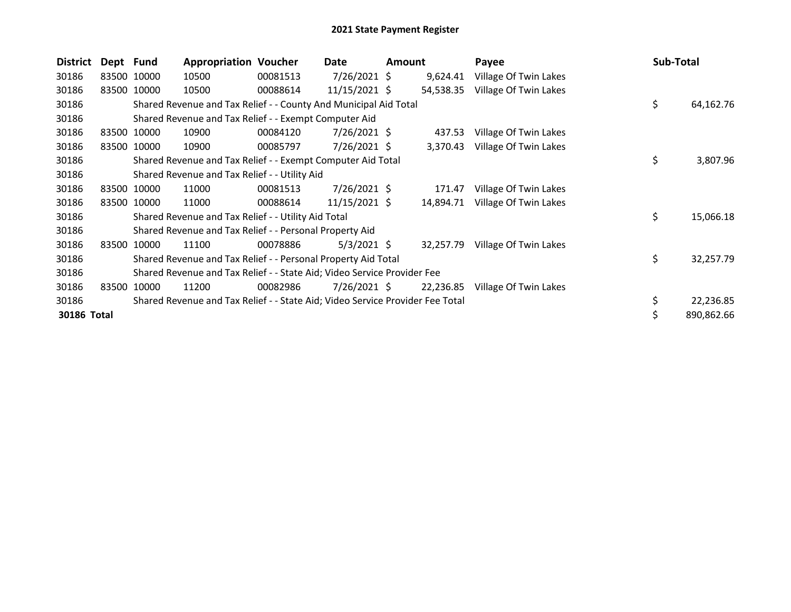| <b>District</b> | Dept Fund |             | <b>Appropriation Voucher</b>                                                  |          | Date           | Amount |           | Payee                 | Sub-Total |            |
|-----------------|-----------|-------------|-------------------------------------------------------------------------------|----------|----------------|--------|-----------|-----------------------|-----------|------------|
| 30186           |           | 83500 10000 | 10500                                                                         | 00081513 | $7/26/2021$ \$ |        | 9,624.41  | Village Of Twin Lakes |           |            |
| 30186           |           | 83500 10000 | 10500                                                                         | 00088614 | 11/15/2021 \$  |        | 54,538.35 | Village Of Twin Lakes |           |            |
| 30186           |           |             | Shared Revenue and Tax Relief - - County And Municipal Aid Total              |          |                |        |           |                       | \$        | 64,162.76  |
| 30186           |           |             | Shared Revenue and Tax Relief - - Exempt Computer Aid                         |          |                |        |           |                       |           |            |
| 30186           |           | 83500 10000 | 10900                                                                         | 00084120 | $7/26/2021$ \$ |        | 437.53    | Village Of Twin Lakes |           |            |
| 30186           |           | 83500 10000 | 10900                                                                         | 00085797 | $7/26/2021$ \$ |        | 3,370.43  | Village Of Twin Lakes |           |            |
| 30186           |           |             | Shared Revenue and Tax Relief - - Exempt Computer Aid Total                   |          |                |        |           |                       | \$        | 3,807.96   |
| 30186           |           |             | Shared Revenue and Tax Relief - - Utility Aid                                 |          |                |        |           |                       |           |            |
| 30186           |           | 83500 10000 | 11000                                                                         | 00081513 | $7/26/2021$ \$ |        | 171.47    | Village Of Twin Lakes |           |            |
| 30186           |           | 83500 10000 | 11000                                                                         | 00088614 | 11/15/2021 \$  |        | 14,894.71 | Village Of Twin Lakes |           |            |
| 30186           |           |             | Shared Revenue and Tax Relief - - Utility Aid Total                           |          |                |        |           |                       | \$        | 15,066.18  |
| 30186           |           |             | Shared Revenue and Tax Relief - - Personal Property Aid                       |          |                |        |           |                       |           |            |
| 30186           | 83500     | 10000       | 11100                                                                         | 00078886 | $5/3/2021$ \$  |        | 32,257.79 | Village Of Twin Lakes |           |            |
| 30186           |           |             | Shared Revenue and Tax Relief - - Personal Property Aid Total                 |          |                |        |           |                       | \$        | 32,257.79  |
| 30186           |           |             | Shared Revenue and Tax Relief - - State Aid; Video Service Provider Fee       |          |                |        |           |                       |           |            |
| 30186           | 83500     | 10000       | 11200                                                                         | 00082986 | $7/26/2021$ \$ |        | 22,236.85 | Village Of Twin Lakes |           |            |
| 30186           |           |             | Shared Revenue and Tax Relief - - State Aid; Video Service Provider Fee Total |          |                |        |           |                       |           | 22,236.85  |
| 30186 Total     |           |             |                                                                               |          |                |        |           |                       |           | 890,862.66 |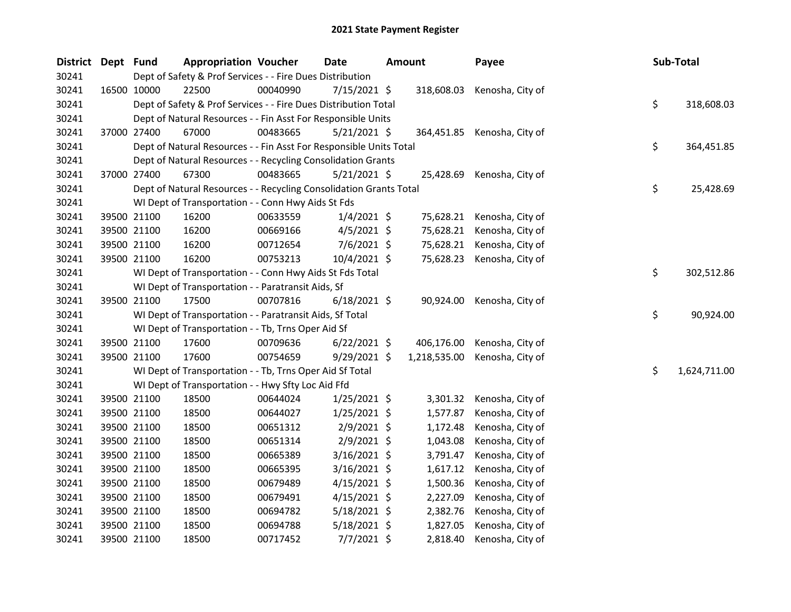| <b>District</b> | Dept Fund |             | <b>Appropriation Voucher</b>                                       |          | Date           | Amount       | Payee                       |    | Sub-Total    |
|-----------------|-----------|-------------|--------------------------------------------------------------------|----------|----------------|--------------|-----------------------------|----|--------------|
| 30241           |           |             | Dept of Safety & Prof Services - - Fire Dues Distribution          |          |                |              |                             |    |              |
| 30241           |           | 16500 10000 | 22500                                                              | 00040990 | $7/15/2021$ \$ | 318,608.03   | Kenosha, City of            |    |              |
| 30241           |           |             | Dept of Safety & Prof Services - - Fire Dues Distribution Total    |          |                |              |                             | \$ | 318,608.03   |
| 30241           |           |             | Dept of Natural Resources - - Fin Asst For Responsible Units       |          |                |              |                             |    |              |
| 30241           |           | 37000 27400 | 67000                                                              | 00483665 | $5/21/2021$ \$ |              | 364,451.85 Kenosha, City of |    |              |
| 30241           |           |             | Dept of Natural Resources - - Fin Asst For Responsible Units Total |          |                |              |                             | \$ | 364,451.85   |
| 30241           |           |             | Dept of Natural Resources - - Recycling Consolidation Grants       |          |                |              |                             |    |              |
| 30241           |           | 37000 27400 | 67300                                                              | 00483665 | $5/21/2021$ \$ | 25,428.69    | Kenosha, City of            |    |              |
| 30241           |           |             | Dept of Natural Resources - - Recycling Consolidation Grants Total |          |                |              |                             | \$ | 25,428.69    |
| 30241           |           |             | WI Dept of Transportation - - Conn Hwy Aids St Fds                 |          |                |              |                             |    |              |
| 30241           |           | 39500 21100 | 16200                                                              | 00633559 | $1/4/2021$ \$  | 75,628.21    | Kenosha, City of            |    |              |
| 30241           |           | 39500 21100 | 16200                                                              | 00669166 | 4/5/2021 \$    | 75,628.21    | Kenosha, City of            |    |              |
| 30241           |           | 39500 21100 | 16200                                                              | 00712654 | 7/6/2021 \$    | 75,628.21    | Kenosha, City of            |    |              |
| 30241           |           | 39500 21100 | 16200                                                              | 00753213 | 10/4/2021 \$   | 75,628.23    | Kenosha, City of            |    |              |
| 30241           |           |             | WI Dept of Transportation - - Conn Hwy Aids St Fds Total           |          |                |              |                             | \$ | 302,512.86   |
| 30241           |           |             | WI Dept of Transportation - - Paratransit Aids, Sf                 |          |                |              |                             |    |              |
| 30241           |           | 39500 21100 | 17500                                                              | 00707816 | $6/18/2021$ \$ | 90,924.00    | Kenosha, City of            |    |              |
| 30241           |           |             | WI Dept of Transportation - - Paratransit Aids, Sf Total           |          |                |              |                             | \$ | 90,924.00    |
| 30241           |           |             | WI Dept of Transportation - - Tb, Trns Oper Aid Sf                 |          |                |              |                             |    |              |
| 30241           |           | 39500 21100 | 17600                                                              | 00709636 | $6/22/2021$ \$ | 406,176.00   | Kenosha, City of            |    |              |
| 30241           |           | 39500 21100 | 17600                                                              | 00754659 | $9/29/2021$ \$ | 1,218,535.00 | Kenosha, City of            |    |              |
| 30241           |           |             | WI Dept of Transportation - - Tb, Trns Oper Aid Sf Total           |          |                |              |                             | \$ | 1,624,711.00 |
| 30241           |           |             | WI Dept of Transportation - - Hwy Sfty Loc Aid Ffd                 |          |                |              |                             |    |              |
| 30241           |           | 39500 21100 | 18500                                                              | 00644024 | $1/25/2021$ \$ | 3,301.32     | Kenosha, City of            |    |              |
| 30241           |           | 39500 21100 | 18500                                                              | 00644027 | $1/25/2021$ \$ | 1,577.87     | Kenosha, City of            |    |              |
| 30241           |           | 39500 21100 | 18500                                                              | 00651312 | $2/9/2021$ \$  | 1,172.48     | Kenosha, City of            |    |              |
| 30241           |           | 39500 21100 | 18500                                                              | 00651314 | 2/9/2021 \$    | 1,043.08     | Kenosha, City of            |    |              |
| 30241           |           | 39500 21100 | 18500                                                              | 00665389 | 3/16/2021 \$   | 3,791.47     | Kenosha, City of            |    |              |
| 30241           |           | 39500 21100 | 18500                                                              | 00665395 | 3/16/2021 \$   | 1,617.12     | Kenosha, City of            |    |              |
| 30241           |           | 39500 21100 | 18500                                                              | 00679489 | $4/15/2021$ \$ | 1,500.36     | Kenosha, City of            |    |              |
| 30241           |           | 39500 21100 | 18500                                                              | 00679491 | $4/15/2021$ \$ | 2,227.09     | Kenosha, City of            |    |              |
| 30241           |           | 39500 21100 | 18500                                                              | 00694782 | $5/18/2021$ \$ | 2,382.76     | Kenosha, City of            |    |              |
| 30241           |           | 39500 21100 | 18500                                                              | 00694788 | 5/18/2021 \$   | 1,827.05     | Kenosha, City of            |    |              |
| 30241           |           | 39500 21100 | 18500                                                              | 00717452 | $7/7/2021$ \$  | 2,818.40     | Kenosha, City of            |    |              |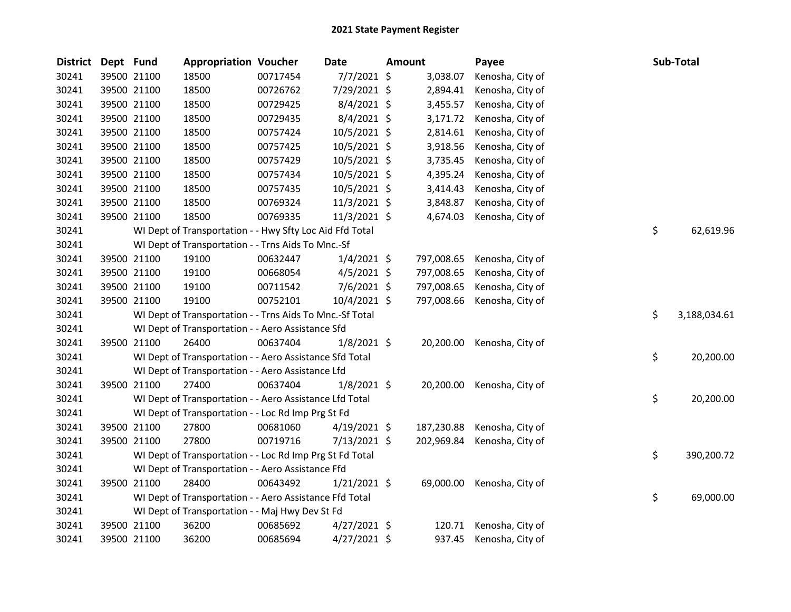| <b>District</b> | Dept Fund |             | <b>Appropriation Voucher</b>                             |          | <b>Date</b>    | <b>Amount</b> | Payee                      | Sub-Total          |
|-----------------|-----------|-------------|----------------------------------------------------------|----------|----------------|---------------|----------------------------|--------------------|
| 30241           |           | 39500 21100 | 18500                                                    | 00717454 | $7/7/2021$ \$  | 3,038.07      | Kenosha, City of           |                    |
| 30241           |           | 39500 21100 | 18500                                                    | 00726762 | 7/29/2021 \$   | 2,894.41      | Kenosha, City of           |                    |
| 30241           |           | 39500 21100 | 18500                                                    | 00729425 | $8/4/2021$ \$  | 3,455.57      | Kenosha, City of           |                    |
| 30241           |           | 39500 21100 | 18500                                                    | 00729435 | $8/4/2021$ \$  | 3,171.72      | Kenosha, City of           |                    |
| 30241           |           | 39500 21100 | 18500                                                    | 00757424 | 10/5/2021 \$   | 2,814.61      | Kenosha, City of           |                    |
| 30241           |           | 39500 21100 | 18500                                                    | 00757425 | 10/5/2021 \$   | 3,918.56      | Kenosha, City of           |                    |
| 30241           |           | 39500 21100 | 18500                                                    | 00757429 | 10/5/2021 \$   | 3,735.45      | Kenosha, City of           |                    |
| 30241           |           | 39500 21100 | 18500                                                    | 00757434 | 10/5/2021 \$   | 4,395.24      | Kenosha, City of           |                    |
| 30241           |           | 39500 21100 | 18500                                                    | 00757435 | 10/5/2021 \$   | 3,414.43      | Kenosha, City of           |                    |
| 30241           |           | 39500 21100 | 18500                                                    | 00769324 | 11/3/2021 \$   | 3,848.87      | Kenosha, City of           |                    |
| 30241           |           | 39500 21100 | 18500                                                    | 00769335 | $11/3/2021$ \$ | 4,674.03      | Kenosha, City of           |                    |
| 30241           |           |             | WI Dept of Transportation - - Hwy Sfty Loc Aid Ffd Total |          |                |               |                            | \$<br>62,619.96    |
| 30241           |           |             | WI Dept of Transportation - - Trns Aids To Mnc.-Sf       |          |                |               |                            |                    |
| 30241           |           | 39500 21100 | 19100                                                    | 00632447 | $1/4/2021$ \$  | 797,008.65    | Kenosha, City of           |                    |
| 30241           |           | 39500 21100 | 19100                                                    | 00668054 | $4/5/2021$ \$  | 797,008.65    | Kenosha, City of           |                    |
| 30241           |           | 39500 21100 | 19100                                                    | 00711542 | $7/6/2021$ \$  | 797,008.65    | Kenosha, City of           |                    |
| 30241           |           | 39500 21100 | 19100                                                    | 00752101 | 10/4/2021 \$   | 797,008.66    | Kenosha, City of           |                    |
| 30241           |           |             | WI Dept of Transportation - - Trns Aids To Mnc.-Sf Total |          |                |               |                            | \$<br>3,188,034.61 |
| 30241           |           |             | WI Dept of Transportation - - Aero Assistance Sfd        |          |                |               |                            |                    |
| 30241           |           | 39500 21100 | 26400                                                    | 00637404 | $1/8/2021$ \$  |               | 20,200.00 Kenosha, City of |                    |
| 30241           |           |             | WI Dept of Transportation - - Aero Assistance Sfd Total  |          |                |               |                            | \$<br>20,200.00    |
| 30241           |           |             | WI Dept of Transportation - - Aero Assistance Lfd        |          |                |               |                            |                    |
| 30241           |           | 39500 21100 | 27400                                                    | 00637404 | $1/8/2021$ \$  | 20,200.00     | Kenosha, City of           |                    |
| 30241           |           |             | WI Dept of Transportation - - Aero Assistance Lfd Total  |          |                |               |                            | \$<br>20,200.00    |
| 30241           |           |             | WI Dept of Transportation - - Loc Rd Imp Prg St Fd       |          |                |               |                            |                    |
| 30241           |           | 39500 21100 | 27800                                                    | 00681060 | $4/19/2021$ \$ | 187,230.88    | Kenosha, City of           |                    |
| 30241           |           | 39500 21100 | 27800                                                    | 00719716 | $7/13/2021$ \$ | 202,969.84    | Kenosha, City of           |                    |
| 30241           |           |             | WI Dept of Transportation - - Loc Rd Imp Prg St Fd Total |          |                |               |                            | \$<br>390,200.72   |
| 30241           |           |             | WI Dept of Transportation - - Aero Assistance Ffd        |          |                |               |                            |                    |
| 30241           |           | 39500 21100 | 28400                                                    | 00643492 | $1/21/2021$ \$ | 69,000.00     | Kenosha, City of           |                    |
| 30241           |           |             | WI Dept of Transportation - - Aero Assistance Ffd Total  |          |                |               |                            | \$<br>69,000.00    |
| 30241           |           |             | WI Dept of Transportation - - Maj Hwy Dev St Fd          |          |                |               |                            |                    |
| 30241           |           | 39500 21100 | 36200                                                    | 00685692 | $4/27/2021$ \$ | 120.71        | Kenosha, City of           |                    |
| 30241           |           | 39500 21100 | 36200                                                    | 00685694 | $4/27/2021$ \$ | 937.45        | Kenosha, City of           |                    |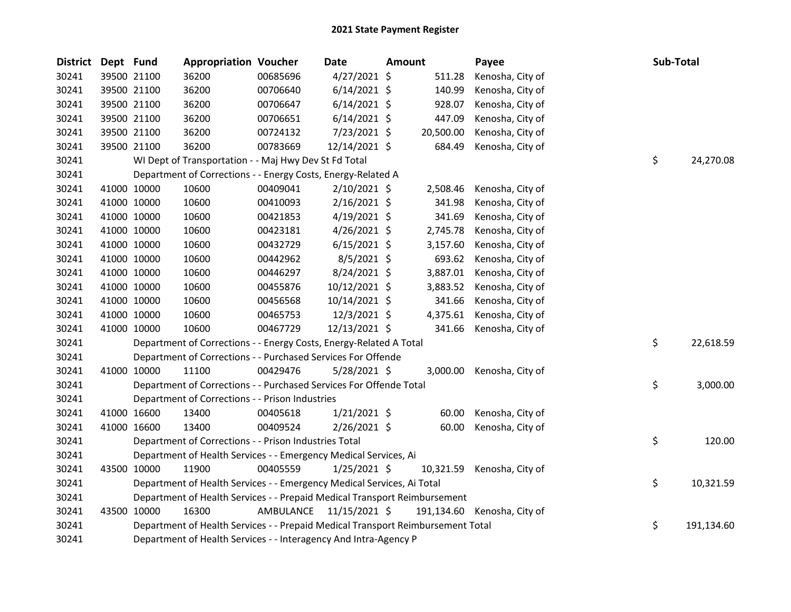| <b>District</b> | Dept Fund |             | <b>Appropriation Voucher</b>                                                    |          | Date                    | Amount |           | Payee                       | Sub-Total |            |
|-----------------|-----------|-------------|---------------------------------------------------------------------------------|----------|-------------------------|--------|-----------|-----------------------------|-----------|------------|
| 30241           |           | 39500 21100 | 36200                                                                           | 00685696 | $4/27/2021$ \$          |        | 511.28    | Kenosha, City of            |           |            |
| 30241           |           | 39500 21100 | 36200                                                                           | 00706640 | $6/14/2021$ \$          |        | 140.99    | Kenosha, City of            |           |            |
| 30241           |           | 39500 21100 | 36200                                                                           | 00706647 | $6/14/2021$ \$          |        | 928.07    | Kenosha, City of            |           |            |
| 30241           |           | 39500 21100 | 36200                                                                           | 00706651 | $6/14/2021$ \$          |        | 447.09    | Kenosha, City of            |           |            |
| 30241           |           | 39500 21100 | 36200                                                                           | 00724132 | 7/23/2021 \$            |        | 20,500.00 | Kenosha, City of            |           |            |
| 30241           |           | 39500 21100 | 36200                                                                           | 00783669 | 12/14/2021 \$           |        | 684.49    | Kenosha, City of            |           |            |
| 30241           |           |             | WI Dept of Transportation - - Maj Hwy Dev St Fd Total                           |          |                         |        |           |                             | \$        | 24,270.08  |
| 30241           |           |             | Department of Corrections - - Energy Costs, Energy-Related A                    |          |                         |        |           |                             |           |            |
| 30241           |           | 41000 10000 | 10600                                                                           | 00409041 | $2/10/2021$ \$          |        | 2,508.46  | Kenosha, City of            |           |            |
| 30241           |           | 41000 10000 | 10600                                                                           | 00410093 | 2/16/2021 \$            |        | 341.98    | Kenosha, City of            |           |            |
| 30241           |           | 41000 10000 | 10600                                                                           | 00421853 | $4/19/2021$ \$          |        | 341.69    | Kenosha, City of            |           |            |
| 30241           |           | 41000 10000 | 10600                                                                           | 00423181 | $4/26/2021$ \$          |        | 2,745.78  | Kenosha, City of            |           |            |
| 30241           |           | 41000 10000 | 10600                                                                           | 00432729 | $6/15/2021$ \$          |        | 3,157.60  | Kenosha, City of            |           |            |
| 30241           |           | 41000 10000 | 10600                                                                           | 00442962 | $8/5/2021$ \$           |        | 693.62    | Kenosha, City of            |           |            |
| 30241           |           | 41000 10000 | 10600                                                                           | 00446297 | 8/24/2021 \$            |        | 3,887.01  | Kenosha, City of            |           |            |
| 30241           |           | 41000 10000 | 10600                                                                           | 00455876 | 10/12/2021 \$           |        | 3,883.52  | Kenosha, City of            |           |            |
| 30241           |           | 41000 10000 | 10600                                                                           | 00456568 | 10/14/2021 \$           |        | 341.66    | Kenosha, City of            |           |            |
| 30241           |           | 41000 10000 | 10600                                                                           | 00465753 | 12/3/2021 \$            |        | 4,375.61  | Kenosha, City of            |           |            |
| 30241           |           | 41000 10000 | 10600                                                                           | 00467729 | 12/13/2021 \$           |        | 341.66    | Kenosha, City of            |           |            |
| 30241           |           |             | Department of Corrections - - Energy Costs, Energy-Related A Total              |          |                         |        |           |                             | \$        | 22,618.59  |
| 30241           |           |             | Department of Corrections - - Purchased Services For Offende                    |          |                         |        |           |                             |           |            |
| 30241           |           | 41000 10000 | 11100                                                                           | 00429476 | 5/28/2021 \$            |        | 3,000.00  | Kenosha, City of            |           |            |
| 30241           |           |             | Department of Corrections - - Purchased Services For Offende Total              |          |                         |        |           |                             | \$        | 3,000.00   |
| 30241           |           |             | Department of Corrections - - Prison Industries                                 |          |                         |        |           |                             |           |            |
| 30241           |           | 41000 16600 | 13400                                                                           | 00405618 | $1/21/2021$ \$          |        | 60.00     | Kenosha, City of            |           |            |
| 30241           |           | 41000 16600 | 13400                                                                           | 00409524 | $2/26/2021$ \$          |        | 60.00     | Kenosha, City of            |           |            |
| 30241           |           |             | Department of Corrections - - Prison Industries Total                           |          |                         |        |           |                             | \$        | 120.00     |
| 30241           |           |             | Department of Health Services - - Emergency Medical Services, Ai                |          |                         |        |           |                             |           |            |
| 30241           |           | 43500 10000 | 11900                                                                           | 00405559 | $1/25/2021$ \$          |        | 10,321.59 | Kenosha, City of            |           |            |
| 30241           |           |             | Department of Health Services - - Emergency Medical Services, Ai Total          |          |                         |        |           |                             | \$        | 10,321.59  |
| 30241           |           |             | Department of Health Services - - Prepaid Medical Transport Reimbursement       |          |                         |        |           |                             |           |            |
| 30241           |           | 43500 10000 | 16300                                                                           |          | AMBULANCE 11/15/2021 \$ |        |           | 191,134.60 Kenosha, City of |           |            |
| 30241           |           |             | Department of Health Services - - Prepaid Medical Transport Reimbursement Total |          |                         |        |           |                             | \$        | 191,134.60 |
| 30241           |           |             | Department of Health Services - - Interagency And Intra-Agency P                |          |                         |        |           |                             |           |            |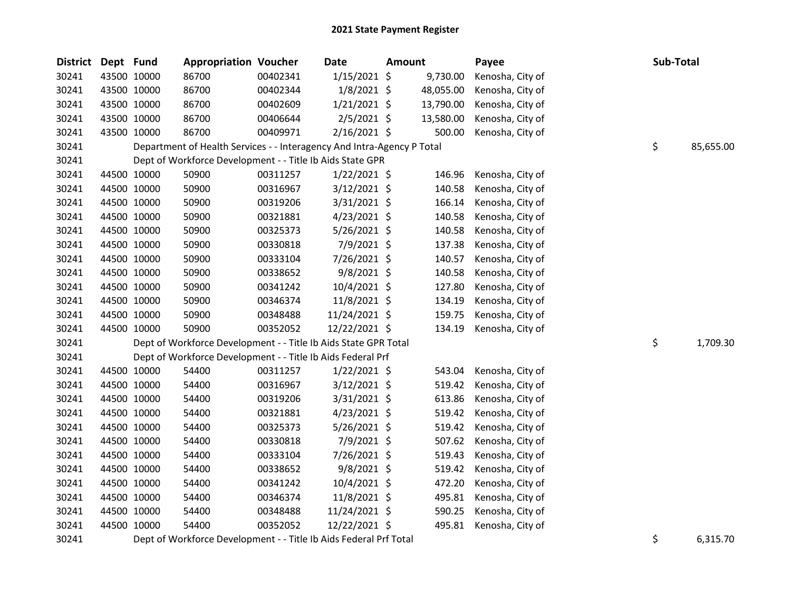| <b>District</b> | Dept Fund   |             | <b>Appropriation Voucher</b>                                           |          | <b>Date</b>    | <b>Amount</b> |           | Payee            | Sub-Total |           |
|-----------------|-------------|-------------|------------------------------------------------------------------------|----------|----------------|---------------|-----------|------------------|-----------|-----------|
| 30241           |             | 43500 10000 | 86700                                                                  | 00402341 | $1/15/2021$ \$ |               | 9,730.00  | Kenosha, City of |           |           |
| 30241           | 43500 10000 |             | 86700                                                                  | 00402344 | $1/8/2021$ \$  |               | 48,055.00 | Kenosha, City of |           |           |
| 30241           | 43500 10000 |             | 86700                                                                  | 00402609 | $1/21/2021$ \$ |               | 13,790.00 | Kenosha, City of |           |           |
| 30241           | 43500 10000 |             | 86700                                                                  | 00406644 | $2/5/2021$ \$  |               | 13,580.00 | Kenosha, City of |           |           |
| 30241           | 43500 10000 |             | 86700                                                                  | 00409971 | $2/16/2021$ \$ |               | 500.00    | Kenosha, City of |           |           |
| 30241           |             |             | Department of Health Services - - Interagency And Intra-Agency P Total |          |                |               |           |                  | \$        | 85,655.00 |
| 30241           |             |             | Dept of Workforce Development - - Title Ib Aids State GPR              |          |                |               |           |                  |           |           |
| 30241           |             | 44500 10000 | 50900                                                                  | 00311257 | 1/22/2021 \$   |               | 146.96    | Kenosha, City of |           |           |
| 30241           | 44500 10000 |             | 50900                                                                  | 00316967 | $3/12/2021$ \$ |               | 140.58    | Kenosha, City of |           |           |
| 30241           | 44500 10000 |             | 50900                                                                  | 00319206 | $3/31/2021$ \$ |               | 166.14    | Kenosha, City of |           |           |
| 30241           | 44500 10000 |             | 50900                                                                  | 00321881 | $4/23/2021$ \$ |               | 140.58    | Kenosha, City of |           |           |
| 30241           | 44500 10000 |             | 50900                                                                  | 00325373 | $5/26/2021$ \$ |               | 140.58    | Kenosha, City of |           |           |
| 30241           | 44500 10000 |             | 50900                                                                  | 00330818 | 7/9/2021 \$    |               | 137.38    | Kenosha, City of |           |           |
| 30241           | 44500 10000 |             | 50900                                                                  | 00333104 | 7/26/2021 \$   |               | 140.57    | Kenosha, City of |           |           |
| 30241           | 44500 10000 |             | 50900                                                                  | 00338652 | $9/8/2021$ \$  |               | 140.58    | Kenosha, City of |           |           |
| 30241           | 44500 10000 |             | 50900                                                                  | 00341242 | $10/4/2021$ \$ |               | 127.80    | Kenosha, City of |           |           |
| 30241           | 44500 10000 |             | 50900                                                                  | 00346374 | 11/8/2021 \$   |               | 134.19    | Kenosha, City of |           |           |
| 30241           |             | 44500 10000 | 50900                                                                  | 00348488 | 11/24/2021 \$  |               | 159.75    | Kenosha, City of |           |           |
| 30241           |             | 44500 10000 | 50900                                                                  | 00352052 | 12/22/2021 \$  |               | 134.19    | Kenosha, City of |           |           |
| 30241           |             |             | Dept of Workforce Development - - Title Ib Aids State GPR Total        |          |                |               |           |                  | \$        | 1,709.30  |
| 30241           |             |             | Dept of Workforce Development - - Title Ib Aids Federal Prf            |          |                |               |           |                  |           |           |
| 30241           | 44500 10000 |             | 54400                                                                  | 00311257 | $1/22/2021$ \$ |               | 543.04    | Kenosha, City of |           |           |
| 30241           | 44500 10000 |             | 54400                                                                  | 00316967 | 3/12/2021 \$   |               | 519.42    | Kenosha, City of |           |           |
| 30241           | 44500 10000 |             | 54400                                                                  | 00319206 | $3/31/2021$ \$ |               | 613.86    | Kenosha, City of |           |           |
| 30241           | 44500 10000 |             | 54400                                                                  | 00321881 | $4/23/2021$ \$ |               | 519.42    | Kenosha, City of |           |           |
| 30241           | 44500 10000 |             | 54400                                                                  | 00325373 | $5/26/2021$ \$ |               | 519.42    | Kenosha, City of |           |           |
| 30241           | 44500 10000 |             | 54400                                                                  | 00330818 | 7/9/2021 \$    |               | 507.62    | Kenosha, City of |           |           |
| 30241           | 44500 10000 |             | 54400                                                                  | 00333104 | 7/26/2021 \$   |               | 519.43    | Kenosha, City of |           |           |
| 30241           | 44500 10000 |             | 54400                                                                  | 00338652 | $9/8/2021$ \$  |               | 519.42    | Kenosha, City of |           |           |
| 30241           | 44500 10000 |             | 54400                                                                  | 00341242 | 10/4/2021 \$   |               | 472.20    | Kenosha, City of |           |           |
| 30241           | 44500 10000 |             | 54400                                                                  | 00346374 | 11/8/2021 \$   |               | 495.81    | Kenosha, City of |           |           |
| 30241           | 44500 10000 |             | 54400                                                                  | 00348488 | 11/24/2021 \$  |               | 590.25    | Kenosha, City of |           |           |
| 30241           | 44500 10000 |             | 54400                                                                  | 00352052 | 12/22/2021 \$  |               | 495.81    | Kenosha, City of |           |           |
|                 |             |             |                                                                        |          |                |               |           |                  |           |           |

30241 Dept of Workforce Development - - Title Ib Aids Federal Prf Total **1994** Contract 10 and 5 6,315.70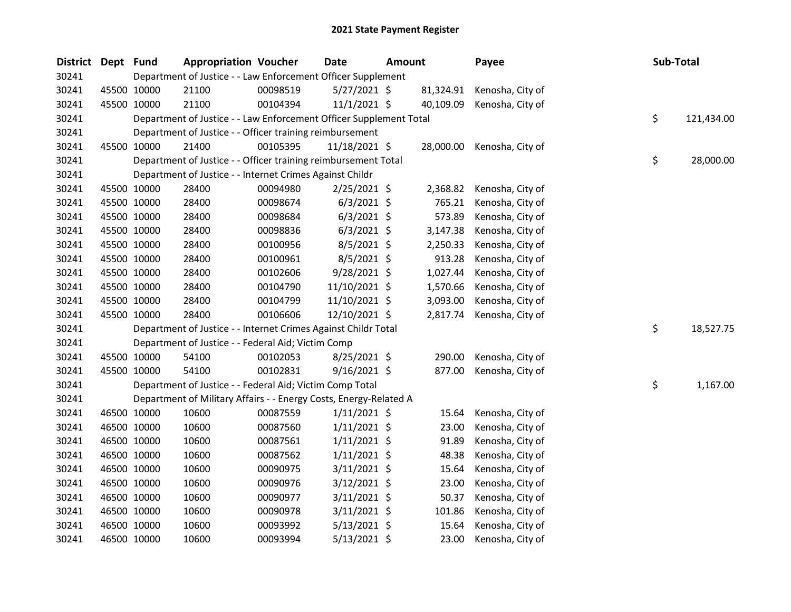| <b>District</b> | Dept Fund |             | <b>Appropriation Voucher</b>                                       |          | <b>Date</b>    | <b>Amount</b> |           | Payee            | Sub-Total |            |
|-----------------|-----------|-------------|--------------------------------------------------------------------|----------|----------------|---------------|-----------|------------------|-----------|------------|
| 30241           |           |             | Department of Justice - - Law Enforcement Officer Supplement       |          |                |               |           |                  |           |            |
| 30241           |           | 45500 10000 | 21100                                                              | 00098519 | $5/27/2021$ \$ |               | 81,324.91 | Kenosha, City of |           |            |
| 30241           |           | 45500 10000 | 21100                                                              | 00104394 | $11/1/2021$ \$ |               | 40,109.09 | Kenosha, City of |           |            |
| 30241           |           |             | Department of Justice - - Law Enforcement Officer Supplement Total |          |                |               |           |                  | \$        | 121,434.00 |
| 30241           |           |             | Department of Justice - - Officer training reimbursement           |          |                |               |           |                  |           |            |
| 30241           |           | 45500 10000 | 21400                                                              | 00105395 | 11/18/2021 \$  |               | 28,000.00 | Kenosha, City of |           |            |
| 30241           |           |             | Department of Justice - - Officer training reimbursement Total     |          |                |               |           |                  | \$        | 28,000.00  |
| 30241           |           |             | Department of Justice - - Internet Crimes Against Childr           |          |                |               |           |                  |           |            |
| 30241           |           | 45500 10000 | 28400                                                              | 00094980 | $2/25/2021$ \$ |               | 2,368.82  | Kenosha, City of |           |            |
| 30241           |           | 45500 10000 | 28400                                                              | 00098674 | $6/3/2021$ \$  |               | 765.21    | Kenosha, City of |           |            |
| 30241           |           | 45500 10000 | 28400                                                              | 00098684 | $6/3/2021$ \$  |               | 573.89    | Kenosha, City of |           |            |
| 30241           |           | 45500 10000 | 28400                                                              | 00098836 | $6/3/2021$ \$  |               | 3,147.38  | Kenosha, City of |           |            |
| 30241           |           | 45500 10000 | 28400                                                              | 00100956 | $8/5/2021$ \$  |               | 2,250.33  | Kenosha, City of |           |            |
| 30241           |           | 45500 10000 | 28400                                                              | 00100961 | 8/5/2021 \$    |               | 913.28    | Kenosha, City of |           |            |
| 30241           |           | 45500 10000 | 28400                                                              | 00102606 | 9/28/2021 \$   |               | 1,027.44  | Kenosha, City of |           |            |
| 30241           |           | 45500 10000 | 28400                                                              | 00104790 | 11/10/2021 \$  |               | 1,570.66  | Kenosha, City of |           |            |
| 30241           |           | 45500 10000 | 28400                                                              | 00104799 | 11/10/2021 \$  |               | 3,093.00  | Kenosha, City of |           |            |
| 30241           |           | 45500 10000 | 28400                                                              | 00106606 | 12/10/2021 \$  |               | 2,817.74  | Kenosha, City of |           |            |
| 30241           |           |             | Department of Justice - - Internet Crimes Against Childr Total     |          |                |               |           |                  | \$        | 18,527.75  |
| 30241           |           |             | Department of Justice - - Federal Aid; Victim Comp                 |          |                |               |           |                  |           |            |
| 30241           |           | 45500 10000 | 54100                                                              | 00102053 | $8/25/2021$ \$ |               | 290.00    | Kenosha, City of |           |            |
| 30241           |           | 45500 10000 | 54100                                                              | 00102831 | $9/16/2021$ \$ |               | 877.00    | Kenosha, City of |           |            |
| 30241           |           |             | Department of Justice - - Federal Aid; Victim Comp Total           |          |                |               |           |                  | \$        | 1,167.00   |
| 30241           |           |             | Department of Military Affairs - - Energy Costs, Energy-Related A  |          |                |               |           |                  |           |            |
| 30241           |           | 46500 10000 | 10600                                                              | 00087559 | $1/11/2021$ \$ |               | 15.64     | Kenosha, City of |           |            |
| 30241           |           | 46500 10000 | 10600                                                              | 00087560 | $1/11/2021$ \$ |               | 23.00     | Kenosha, City of |           |            |
| 30241           |           | 46500 10000 | 10600                                                              | 00087561 | $1/11/2021$ \$ |               | 91.89     | Kenosha, City of |           |            |
| 30241           |           | 46500 10000 | 10600                                                              | 00087562 | $1/11/2021$ \$ |               | 48.38     | Kenosha, City of |           |            |
| 30241           |           | 46500 10000 | 10600                                                              | 00090975 | $3/11/2021$ \$ |               | 15.64     | Kenosha, City of |           |            |
| 30241           |           | 46500 10000 | 10600                                                              | 00090976 | $3/12/2021$ \$ |               | 23.00     | Kenosha, City of |           |            |
| 30241           |           | 46500 10000 | 10600                                                              | 00090977 | $3/11/2021$ \$ |               | 50.37     | Kenosha, City of |           |            |
| 30241           |           | 46500 10000 | 10600                                                              | 00090978 | $3/11/2021$ \$ |               | 101.86    | Kenosha, City of |           |            |
| 30241           |           | 46500 10000 | 10600                                                              | 00093992 | $5/13/2021$ \$ |               | 15.64     | Kenosha, City of |           |            |
| 30241           |           | 46500 10000 | 10600                                                              | 00093994 | 5/13/2021 \$   |               | 23.00     | Kenosha, City of |           |            |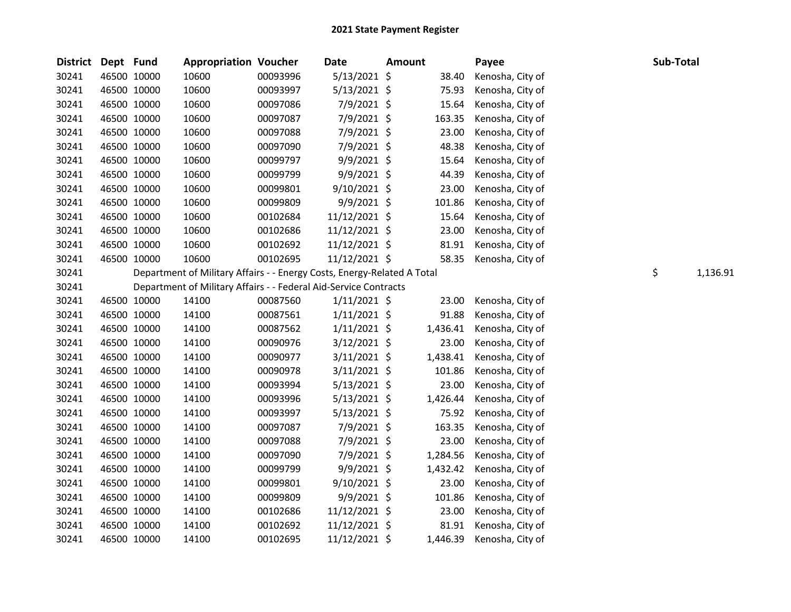| <b>District</b> | Dept Fund   |             | <b>Appropriation Voucher</b>                                            |          | <b>Date</b>    | <b>Amount</b> |          | Payee            | Sub-Total |          |
|-----------------|-------------|-------------|-------------------------------------------------------------------------|----------|----------------|---------------|----------|------------------|-----------|----------|
| 30241           | 46500 10000 |             | 10600                                                                   | 00093996 | 5/13/2021 \$   |               | 38.40    | Kenosha, City of |           |          |
| 30241           |             | 46500 10000 | 10600                                                                   | 00093997 | 5/13/2021 \$   |               | 75.93    | Kenosha, City of |           |          |
| 30241           |             | 46500 10000 | 10600                                                                   | 00097086 | 7/9/2021 \$    |               | 15.64    | Kenosha, City of |           |          |
| 30241           | 46500 10000 |             | 10600                                                                   | 00097087 | 7/9/2021 \$    |               | 163.35   | Kenosha, City of |           |          |
| 30241           | 46500 10000 |             | 10600                                                                   | 00097088 | 7/9/2021 \$    |               | 23.00    | Kenosha, City of |           |          |
| 30241           | 46500 10000 |             | 10600                                                                   | 00097090 | 7/9/2021 \$    |               | 48.38    | Kenosha, City of |           |          |
| 30241           | 46500 10000 |             | 10600                                                                   | 00099797 | $9/9/2021$ \$  |               | 15.64    | Kenosha, City of |           |          |
| 30241           | 46500 10000 |             | 10600                                                                   | 00099799 | $9/9/2021$ \$  |               | 44.39    | Kenosha, City of |           |          |
| 30241           |             | 46500 10000 | 10600                                                                   | 00099801 | 9/10/2021 \$   |               | 23.00    | Kenosha, City of |           |          |
| 30241           |             | 46500 10000 | 10600                                                                   | 00099809 | 9/9/2021 \$    |               | 101.86   | Kenosha, City of |           |          |
| 30241           | 46500 10000 |             | 10600                                                                   | 00102684 | 11/12/2021 \$  |               | 15.64    | Kenosha, City of |           |          |
| 30241           | 46500 10000 |             | 10600                                                                   | 00102686 | 11/12/2021 \$  |               | 23.00    | Kenosha, City of |           |          |
| 30241           | 46500 10000 |             | 10600                                                                   | 00102692 | 11/12/2021 \$  |               | 81.91    | Kenosha, City of |           |          |
| 30241           | 46500 10000 |             | 10600                                                                   | 00102695 | 11/12/2021 \$  |               | 58.35    | Kenosha, City of |           |          |
| 30241           |             |             | Department of Military Affairs - - Energy Costs, Energy-Related A Total |          |                |               |          |                  | \$        | 1,136.91 |
| 30241           |             |             | Department of Military Affairs - - Federal Aid-Service Contracts        |          |                |               |          |                  |           |          |
| 30241           |             | 46500 10000 | 14100                                                                   | 00087560 | $1/11/2021$ \$ |               | 23.00    | Kenosha, City of |           |          |
| 30241           | 46500 10000 |             | 14100                                                                   | 00087561 | $1/11/2021$ \$ |               | 91.88    | Kenosha, City of |           |          |
| 30241           | 46500 10000 |             | 14100                                                                   | 00087562 | $1/11/2021$ \$ |               | 1,436.41 | Kenosha, City of |           |          |
| 30241           | 46500 10000 |             | 14100                                                                   | 00090976 | $3/12/2021$ \$ |               | 23.00    | Kenosha, City of |           |          |
| 30241           | 46500 10000 |             | 14100                                                                   | 00090977 | $3/11/2021$ \$ |               | 1,438.41 | Kenosha, City of |           |          |
| 30241           | 46500 10000 |             | 14100                                                                   | 00090978 | $3/11/2021$ \$ |               | 101.86   | Kenosha, City of |           |          |
| 30241           |             | 46500 10000 | 14100                                                                   | 00093994 | $5/13/2021$ \$ |               | 23.00    | Kenosha, City of |           |          |
| 30241           | 46500 10000 |             | 14100                                                                   | 00093996 | $5/13/2021$ \$ |               | 1,426.44 | Kenosha, City of |           |          |
| 30241           | 46500 10000 |             | 14100                                                                   | 00093997 | $5/13/2021$ \$ |               | 75.92    | Kenosha, City of |           |          |
| 30241           | 46500 10000 |             | 14100                                                                   | 00097087 | 7/9/2021 \$    |               | 163.35   | Kenosha, City of |           |          |
| 30241           | 46500 10000 |             | 14100                                                                   | 00097088 | 7/9/2021 \$    |               | 23.00    | Kenosha, City of |           |          |
| 30241           | 46500 10000 |             | 14100                                                                   | 00097090 | 7/9/2021 \$    |               | 1,284.56 | Kenosha, City of |           |          |
| 30241           | 46500 10000 |             | 14100                                                                   | 00099799 | 9/9/2021 \$    |               | 1,432.42 | Kenosha, City of |           |          |
| 30241           | 46500 10000 |             | 14100                                                                   | 00099801 | 9/10/2021 \$   |               | 23.00    | Kenosha, City of |           |          |
| 30241           |             | 46500 10000 | 14100                                                                   | 00099809 | 9/9/2021 \$    |               | 101.86   | Kenosha, City of |           |          |
| 30241           | 46500 10000 |             | 14100                                                                   | 00102686 | 11/12/2021 \$  |               | 23.00    | Kenosha, City of |           |          |
| 30241           | 46500 10000 |             | 14100                                                                   | 00102692 | 11/12/2021 \$  |               | 81.91    | Kenosha, City of |           |          |
| 30241           | 46500 10000 |             | 14100                                                                   | 00102695 | 11/12/2021 \$  |               | 1,446.39 | Kenosha, City of |           |          |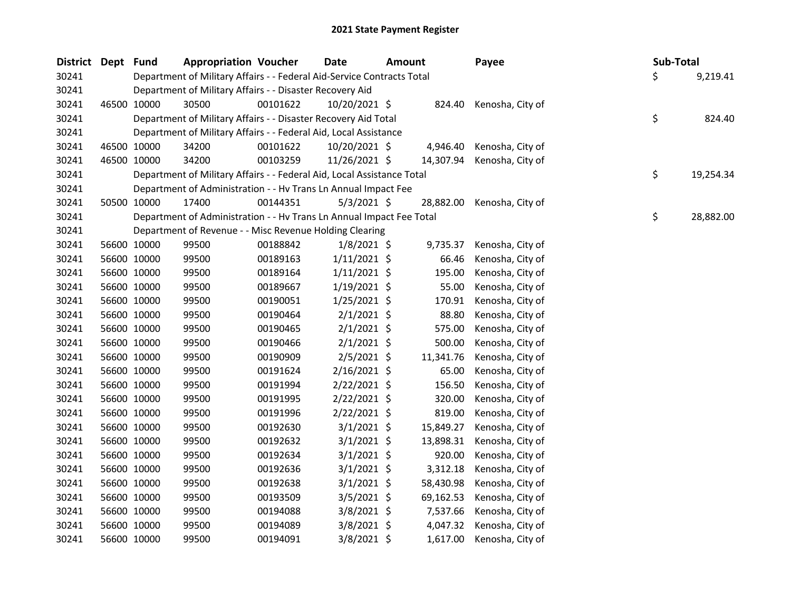| District Dept | Fund        | <b>Appropriation Voucher</b>                                           |          | Date           | <b>Amount</b> |           | Payee            | Sub-Total |           |
|---------------|-------------|------------------------------------------------------------------------|----------|----------------|---------------|-----------|------------------|-----------|-----------|
| 30241         |             | Department of Military Affairs - - Federal Aid-Service Contracts Total |          |                |               |           |                  | \$        | 9,219.41  |
| 30241         |             | Department of Military Affairs - - Disaster Recovery Aid               |          |                |               |           |                  |           |           |
| 30241         | 46500 10000 | 30500                                                                  | 00101622 | 10/20/2021 \$  |               | 824.40    | Kenosha, City of |           |           |
| 30241         |             | Department of Military Affairs - - Disaster Recovery Aid Total         |          |                |               |           |                  | \$        | 824.40    |
| 30241         |             | Department of Military Affairs - - Federal Aid, Local Assistance       |          |                |               |           |                  |           |           |
| 30241         | 46500 10000 | 34200                                                                  | 00101622 | 10/20/2021 \$  |               | 4,946.40  | Kenosha, City of |           |           |
| 30241         | 46500 10000 | 34200                                                                  | 00103259 | 11/26/2021 \$  |               | 14,307.94 | Kenosha, City of |           |           |
| 30241         |             | Department of Military Affairs - - Federal Aid, Local Assistance Total |          |                |               |           |                  | \$        | 19,254.34 |
| 30241         |             | Department of Administration - - Hv Trans Ln Annual Impact Fee         |          |                |               |           |                  |           |           |
| 30241         | 50500 10000 | 17400                                                                  | 00144351 | $5/3/2021$ \$  |               | 28,882.00 | Kenosha, City of |           |           |
| 30241         |             | Department of Administration - - Hv Trans Ln Annual Impact Fee Total   |          |                |               |           |                  | \$        | 28,882.00 |
| 30241         |             | Department of Revenue - - Misc Revenue Holding Clearing                |          |                |               |           |                  |           |           |
| 30241         | 56600 10000 | 99500                                                                  | 00188842 | $1/8/2021$ \$  |               | 9,735.37  | Kenosha, City of |           |           |
| 30241         | 56600 10000 | 99500                                                                  | 00189163 | $1/11/2021$ \$ |               | 66.46     | Kenosha, City of |           |           |
| 30241         | 56600 10000 | 99500                                                                  | 00189164 | $1/11/2021$ \$ |               | 195.00    | Kenosha, City of |           |           |
| 30241         | 56600 10000 | 99500                                                                  | 00189667 | $1/19/2021$ \$ |               | 55.00     | Kenosha, City of |           |           |
| 30241         | 56600 10000 | 99500                                                                  | 00190051 | $1/25/2021$ \$ |               | 170.91    | Kenosha, City of |           |           |
| 30241         | 56600 10000 | 99500                                                                  | 00190464 | $2/1/2021$ \$  |               | 88.80     | Kenosha, City of |           |           |
| 30241         | 56600 10000 | 99500                                                                  | 00190465 | $2/1/2021$ \$  |               | 575.00    | Kenosha, City of |           |           |
| 30241         | 56600 10000 | 99500                                                                  | 00190466 | $2/1/2021$ \$  |               | 500.00    | Kenosha, City of |           |           |
| 30241         | 56600 10000 | 99500                                                                  | 00190909 | 2/5/2021 \$    |               | 11,341.76 | Kenosha, City of |           |           |
| 30241         | 56600 10000 | 99500                                                                  | 00191624 | $2/16/2021$ \$ |               | 65.00     | Kenosha, City of |           |           |
| 30241         | 56600 10000 | 99500                                                                  | 00191994 | 2/22/2021 \$   |               | 156.50    | Kenosha, City of |           |           |
| 30241         | 56600 10000 | 99500                                                                  | 00191995 | $2/22/2021$ \$ |               | 320.00    | Kenosha, City of |           |           |
| 30241         | 56600 10000 | 99500                                                                  | 00191996 | $2/22/2021$ \$ |               | 819.00    | Kenosha, City of |           |           |
| 30241         | 56600 10000 | 99500                                                                  | 00192630 | $3/1/2021$ \$  |               | 15,849.27 | Kenosha, City of |           |           |
| 30241         | 56600 10000 | 99500                                                                  | 00192632 | $3/1/2021$ \$  |               | 13,898.31 | Kenosha, City of |           |           |
| 30241         | 56600 10000 | 99500                                                                  | 00192634 | 3/1/2021 \$    |               | 920.00    | Kenosha, City of |           |           |
| 30241         | 56600 10000 | 99500                                                                  | 00192636 | 3/1/2021 \$    |               | 3,312.18  | Kenosha, City of |           |           |
| 30241         | 56600 10000 | 99500                                                                  | 00192638 | $3/1/2021$ \$  |               | 58,430.98 | Kenosha, City of |           |           |
| 30241         | 56600 10000 | 99500                                                                  | 00193509 | 3/5/2021 \$    |               | 69,162.53 | Kenosha, City of |           |           |
| 30241         | 56600 10000 | 99500                                                                  | 00194088 | 3/8/2021 \$    |               | 7,537.66  | Kenosha, City of |           |           |
| 30241         | 56600 10000 | 99500                                                                  | 00194089 | 3/8/2021 \$    |               | 4,047.32  | Kenosha, City of |           |           |
| 30241         | 56600 10000 | 99500                                                                  | 00194091 | 3/8/2021 \$    |               | 1,617.00  | Kenosha, City of |           |           |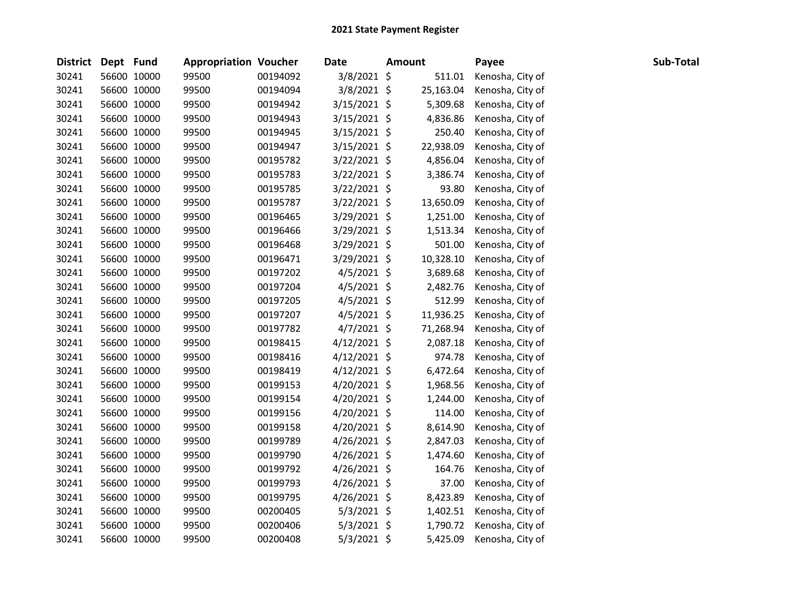| District Dept Fund |             | <b>Appropriation Voucher</b> |          | <b>Date</b>    | <b>Amount</b> | Payee            | Sub-Total |
|--------------------|-------------|------------------------------|----------|----------------|---------------|------------------|-----------|
| 30241              | 56600 10000 | 99500                        | 00194092 | 3/8/2021 \$    | 511.01        | Kenosha, City of |           |
| 30241              | 56600 10000 | 99500                        | 00194094 | 3/8/2021 \$    | 25,163.04     | Kenosha, City of |           |
| 30241              | 56600 10000 | 99500                        | 00194942 | 3/15/2021 \$   | 5,309.68      | Kenosha, City of |           |
| 30241              | 56600 10000 | 99500                        | 00194943 | $3/15/2021$ \$ | 4,836.86      | Kenosha, City of |           |
| 30241              | 56600 10000 | 99500                        | 00194945 | 3/15/2021 \$   | 250.40        | Kenosha, City of |           |
| 30241              | 56600 10000 | 99500                        | 00194947 | 3/15/2021 \$   | 22,938.09     | Kenosha, City of |           |
| 30241              | 56600 10000 | 99500                        | 00195782 | 3/22/2021 \$   | 4,856.04      | Kenosha, City of |           |
| 30241              | 56600 10000 | 99500                        | 00195783 | $3/22/2021$ \$ | 3,386.74      | Kenosha, City of |           |
| 30241              | 56600 10000 | 99500                        | 00195785 | 3/22/2021 \$   | 93.80         | Kenosha, City of |           |
| 30241              | 56600 10000 | 99500                        | 00195787 | 3/22/2021 \$   | 13,650.09     | Kenosha, City of |           |
| 30241              | 56600 10000 | 99500                        | 00196465 | 3/29/2021 \$   | 1,251.00      | Kenosha, City of |           |
| 30241              | 56600 10000 | 99500                        | 00196466 | 3/29/2021 \$   | 1,513.34      | Kenosha, City of |           |
| 30241              | 56600 10000 | 99500                        | 00196468 | 3/29/2021 \$   | 501.00        | Kenosha, City of |           |
| 30241              | 56600 10000 | 99500                        | 00196471 | 3/29/2021 \$   | 10,328.10     | Kenosha, City of |           |
| 30241              | 56600 10000 | 99500                        | 00197202 | 4/5/2021 \$    | 3,689.68      | Kenosha, City of |           |
| 30241              | 56600 10000 | 99500                        | 00197204 | $4/5/2021$ \$  | 2,482.76      | Kenosha, City of |           |
| 30241              | 56600 10000 | 99500                        | 00197205 | $4/5/2021$ \$  | 512.99        | Kenosha, City of |           |
| 30241              | 56600 10000 | 99500                        | 00197207 | 4/5/2021 \$    | 11,936.25     | Kenosha, City of |           |
| 30241              | 56600 10000 | 99500                        | 00197782 | $4/7/2021$ \$  | 71,268.94     | Kenosha, City of |           |
| 30241              | 56600 10000 | 99500                        | 00198415 | $4/12/2021$ \$ | 2,087.18      | Kenosha, City of |           |
| 30241              | 56600 10000 | 99500                        | 00198416 | $4/12/2021$ \$ | 974.78        | Kenosha, City of |           |
| 30241              | 56600 10000 | 99500                        | 00198419 | $4/12/2021$ \$ | 6,472.64      | Kenosha, City of |           |
| 30241              | 56600 10000 | 99500                        | 00199153 | $4/20/2021$ \$ | 1,968.56      | Kenosha, City of |           |
| 30241              | 56600 10000 | 99500                        | 00199154 | 4/20/2021 \$   | 1,244.00      | Kenosha, City of |           |
| 30241              | 56600 10000 | 99500                        | 00199156 | 4/20/2021 \$   | 114.00        | Kenosha, City of |           |
| 30241              | 56600 10000 | 99500                        | 00199158 | $4/20/2021$ \$ | 8,614.90      | Kenosha, City of |           |
| 30241              | 56600 10000 | 99500                        | 00199789 | 4/26/2021 \$   | 2,847.03      | Kenosha, City of |           |
| 30241              | 56600 10000 | 99500                        | 00199790 | $4/26/2021$ \$ | 1,474.60      | Kenosha, City of |           |
| 30241              | 56600 10000 | 99500                        | 00199792 | 4/26/2021 \$   | 164.76        | Kenosha, City of |           |
| 30241              | 56600 10000 | 99500                        | 00199793 | $4/26/2021$ \$ | 37.00         | Kenosha, City of |           |
| 30241              | 56600 10000 | 99500                        | 00199795 | 4/26/2021 \$   | 8,423.89      | Kenosha, City of |           |
| 30241              | 56600 10000 | 99500                        | 00200405 | $5/3/2021$ \$  | 1,402.51      | Kenosha, City of |           |
| 30241              | 56600 10000 | 99500                        | 00200406 | 5/3/2021 \$    | 1,790.72      | Kenosha, City of |           |
| 30241              | 56600 10000 | 99500                        | 00200408 | $5/3/2021$ \$  | 5,425.09      | Kenosha, City of |           |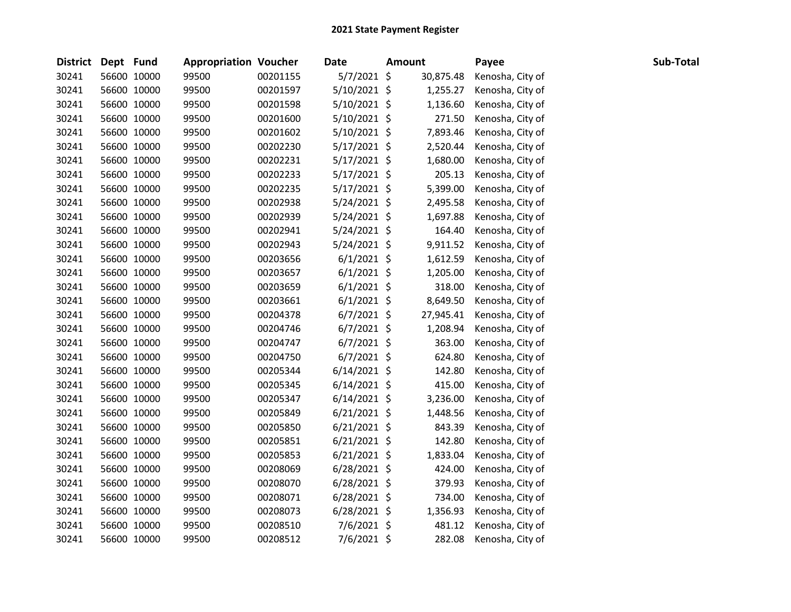| District Dept Fund |             | <b>Appropriation Voucher</b> |          | <b>Date</b>    | <b>Amount</b> | Payee            | Sub-Total |
|--------------------|-------------|------------------------------|----------|----------------|---------------|------------------|-----------|
| 30241              | 56600 10000 | 99500                        | 00201155 | $5/7/2021$ \$  | 30,875.48     | Kenosha, City of |           |
| 30241              | 56600 10000 | 99500                        | 00201597 | 5/10/2021 \$   | 1,255.27      | Kenosha, City of |           |
| 30241              | 56600 10000 | 99500                        | 00201598 | 5/10/2021 \$   | 1,136.60      | Kenosha, City of |           |
| 30241              | 56600 10000 | 99500                        | 00201600 | 5/10/2021 \$   | 271.50        | Kenosha, City of |           |
| 30241              | 56600 10000 | 99500                        | 00201602 | $5/10/2021$ \$ | 7,893.46      | Kenosha, City of |           |
| 30241              | 56600 10000 | 99500                        | 00202230 | $5/17/2021$ \$ | 2,520.44      | Kenosha, City of |           |
| 30241              | 56600 10000 | 99500                        | 00202231 | $5/17/2021$ \$ | 1,680.00      | Kenosha, City of |           |
| 30241              | 56600 10000 | 99500                        | 00202233 | $5/17/2021$ \$ | 205.13        | Kenosha, City of |           |
| 30241              | 56600 10000 | 99500                        | 00202235 | 5/17/2021 \$   | 5,399.00      | Kenosha, City of |           |
| 30241              | 56600 10000 | 99500                        | 00202938 | $5/24/2021$ \$ | 2,495.58      | Kenosha, City of |           |
| 30241              | 56600 10000 | 99500                        | 00202939 | $5/24/2021$ \$ | 1,697.88      | Kenosha, City of |           |
| 30241              | 56600 10000 | 99500                        | 00202941 | $5/24/2021$ \$ | 164.40        | Kenosha, City of |           |
| 30241              | 56600 10000 | 99500                        | 00202943 | $5/24/2021$ \$ | 9,911.52      | Kenosha, City of |           |
| 30241              | 56600 10000 | 99500                        | 00203656 | $6/1/2021$ \$  | 1,612.59      | Kenosha, City of |           |
| 30241              | 56600 10000 | 99500                        | 00203657 | $6/1/2021$ \$  | 1,205.00      | Kenosha, City of |           |
| 30241              | 56600 10000 | 99500                        | 00203659 | $6/1/2021$ \$  | 318.00        | Kenosha, City of |           |
| 30241              | 56600 10000 | 99500                        | 00203661 | $6/1/2021$ \$  | 8,649.50      | Kenosha, City of |           |
| 30241              | 56600 10000 | 99500                        | 00204378 | $6/7/2021$ \$  | 27,945.41     | Kenosha, City of |           |
| 30241              | 56600 10000 | 99500                        | 00204746 | $6/7/2021$ \$  | 1,208.94      | Kenosha, City of |           |
| 30241              | 56600 10000 | 99500                        | 00204747 | $6/7/2021$ \$  | 363.00        | Kenosha, City of |           |
| 30241              | 56600 10000 | 99500                        | 00204750 | $6/7/2021$ \$  | 624.80        | Kenosha, City of |           |
| 30241              | 56600 10000 | 99500                        | 00205344 | $6/14/2021$ \$ | 142.80        | Kenosha, City of |           |
| 30241              | 56600 10000 | 99500                        | 00205345 | $6/14/2021$ \$ | 415.00        | Kenosha, City of |           |
| 30241              | 56600 10000 | 99500                        | 00205347 | $6/14/2021$ \$ | 3,236.00      | Kenosha, City of |           |
| 30241              | 56600 10000 | 99500                        | 00205849 | $6/21/2021$ \$ | 1,448.56      | Kenosha, City of |           |
| 30241              | 56600 10000 | 99500                        | 00205850 | $6/21/2021$ \$ | 843.39        | Kenosha, City of |           |
| 30241              | 56600 10000 | 99500                        | 00205851 | $6/21/2021$ \$ | 142.80        | Kenosha, City of |           |
| 30241              | 56600 10000 | 99500                        | 00205853 | $6/21/2021$ \$ | 1,833.04      | Kenosha, City of |           |
| 30241              | 56600 10000 | 99500                        | 00208069 | $6/28/2021$ \$ | 424.00        | Kenosha, City of |           |
| 30241              | 56600 10000 | 99500                        | 00208070 | $6/28/2021$ \$ | 379.93        | Kenosha, City of |           |
| 30241              | 56600 10000 | 99500                        | 00208071 | $6/28/2021$ \$ | 734.00        | Kenosha, City of |           |
| 30241              | 56600 10000 | 99500                        | 00208073 | $6/28/2021$ \$ | 1,356.93      | Kenosha, City of |           |
| 30241              | 56600 10000 | 99500                        | 00208510 | 7/6/2021 \$    | 481.12        | Kenosha, City of |           |
| 30241              | 56600 10000 | 99500                        | 00208512 | 7/6/2021 \$    | 282.08        | Kenosha, City of |           |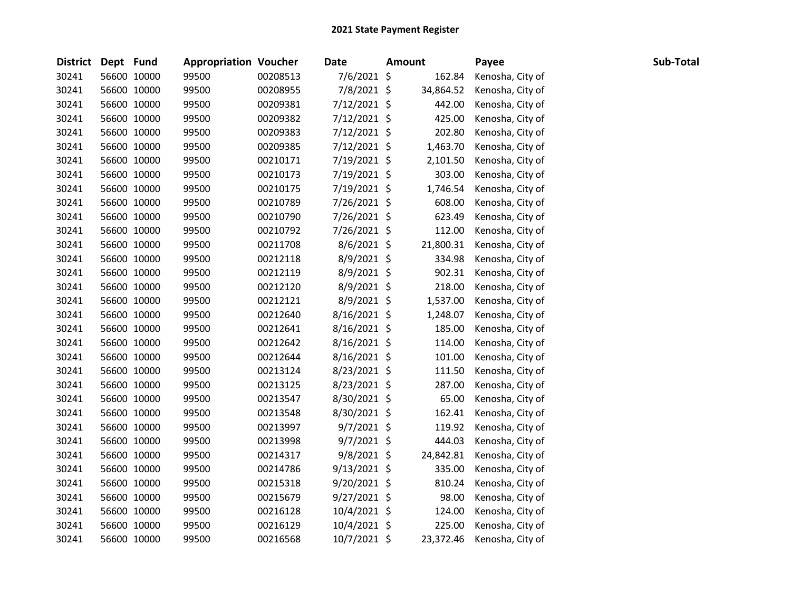| District Dept Fund |             | <b>Appropriation Voucher</b> |          | <b>Date</b>    | <b>Amount</b> | Payee            | Sub-Total |
|--------------------|-------------|------------------------------|----------|----------------|---------------|------------------|-----------|
| 30241              | 56600 10000 | 99500                        | 00208513 | 7/6/2021 \$    | 162.84        | Kenosha, City of |           |
| 30241              | 56600 10000 | 99500                        | 00208955 | 7/8/2021 \$    | 34,864.52     | Kenosha, City of |           |
| 30241              | 56600 10000 | 99500                        | 00209381 | 7/12/2021 \$   | 442.00        | Kenosha, City of |           |
| 30241              | 56600 10000 | 99500                        | 00209382 | 7/12/2021 \$   | 425.00        | Kenosha, City of |           |
| 30241              | 56600 10000 | 99500                        | 00209383 | $7/12/2021$ \$ | 202.80        | Kenosha, City of |           |
| 30241              | 56600 10000 | 99500                        | 00209385 | 7/12/2021 \$   | 1,463.70      | Kenosha, City of |           |
| 30241              | 56600 10000 | 99500                        | 00210171 | 7/19/2021 \$   | 2,101.50      | Kenosha, City of |           |
| 30241              | 56600 10000 | 99500                        | 00210173 | 7/19/2021 \$   | 303.00        | Kenosha, City of |           |
| 30241              | 56600 10000 | 99500                        | 00210175 | 7/19/2021 \$   | 1,746.54      | Kenosha, City of |           |
| 30241              | 56600 10000 | 99500                        | 00210789 | 7/26/2021 \$   | 608.00        | Kenosha, City of |           |
| 30241              | 56600 10000 | 99500                        | 00210790 | 7/26/2021 \$   | 623.49        | Kenosha, City of |           |
| 30241              | 56600 10000 | 99500                        | 00210792 | 7/26/2021 \$   | 112.00        | Kenosha, City of |           |
| 30241              | 56600 10000 | 99500                        | 00211708 | $8/6/2021$ \$  | 21,800.31     | Kenosha, City of |           |
| 30241              | 56600 10000 | 99500                        | 00212118 | 8/9/2021 \$    | 334.98        | Kenosha, City of |           |
| 30241              | 56600 10000 | 99500                        | 00212119 | 8/9/2021 \$    | 902.31        | Kenosha, City of |           |
| 30241              | 56600 10000 | 99500                        | 00212120 | 8/9/2021 \$    | 218.00        | Kenosha, City of |           |
| 30241              | 56600 10000 | 99500                        | 00212121 | 8/9/2021 \$    | 1,537.00      | Kenosha, City of |           |
| 30241              | 56600 10000 | 99500                        | 00212640 | 8/16/2021 \$   | 1,248.07      | Kenosha, City of |           |
| 30241              | 56600 10000 | 99500                        | 00212641 | 8/16/2021 \$   | 185.00        | Kenosha, City of |           |
| 30241              | 56600 10000 | 99500                        | 00212642 | $8/16/2021$ \$ | 114.00        | Kenosha, City of |           |
| 30241              | 56600 10000 | 99500                        | 00212644 | $8/16/2021$ \$ | 101.00        | Kenosha, City of |           |
| 30241              | 56600 10000 | 99500                        | 00213124 | 8/23/2021 \$   | 111.50        | Kenosha, City of |           |
| 30241              | 56600 10000 | 99500                        | 00213125 | 8/23/2021 \$   | 287.00        | Kenosha, City of |           |
| 30241              | 56600 10000 | 99500                        | 00213547 | 8/30/2021 \$   | 65.00         | Kenosha, City of |           |
| 30241              | 56600 10000 | 99500                        | 00213548 | 8/30/2021 \$   | 162.41        | Kenosha, City of |           |
| 30241              | 56600 10000 | 99500                        | 00213997 | $9/7/2021$ \$  | 119.92        | Kenosha, City of |           |
| 30241              | 56600 10000 | 99500                        | 00213998 | 9/7/2021 \$    | 444.03        | Kenosha, City of |           |
| 30241              | 56600 10000 | 99500                        | 00214317 | 9/8/2021 \$    | 24,842.81     | Kenosha, City of |           |
| 30241              | 56600 10000 | 99500                        | 00214786 | $9/13/2021$ \$ | 335.00        | Kenosha, City of |           |
| 30241              | 56600 10000 | 99500                        | 00215318 | 9/20/2021 \$   | 810.24        | Kenosha, City of |           |
| 30241              | 56600 10000 | 99500                        | 00215679 | $9/27/2021$ \$ | 98.00         | Kenosha, City of |           |
| 30241              | 56600 10000 | 99500                        | 00216128 | 10/4/2021 \$   | 124.00        | Kenosha, City of |           |
| 30241              | 56600 10000 | 99500                        | 00216129 | 10/4/2021 \$   | 225.00        | Kenosha, City of |           |
| 30241              | 56600 10000 | 99500                        | 00216568 | 10/7/2021 \$   | 23,372.46     | Kenosha, City of |           |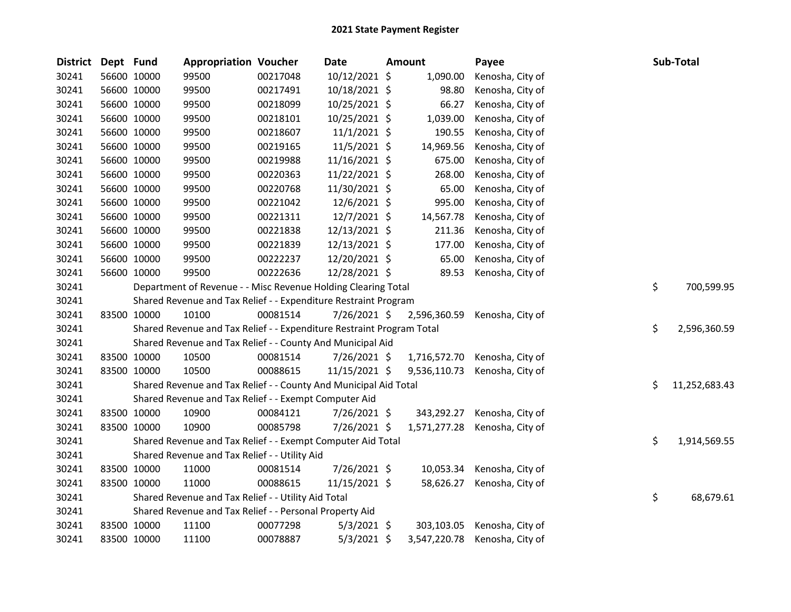| District | Dept Fund   |                                                                       | <b>Appropriation Voucher</b>                                     |              | Date           |  | Amount       | Payee            |    | Sub-Total     |  |
|----------|-------------|-----------------------------------------------------------------------|------------------------------------------------------------------|--------------|----------------|--|--------------|------------------|----|---------------|--|
| 30241    |             | 56600 10000                                                           | 99500                                                            | 00217048     | 10/12/2021 \$  |  | 1,090.00     | Kenosha, City of |    |               |  |
| 30241    |             | 56600 10000                                                           | 99500                                                            | 00217491     | 10/18/2021 \$  |  | 98.80        | Kenosha, City of |    |               |  |
| 30241    |             | 56600 10000                                                           | 99500                                                            | 00218099     | 10/25/2021 \$  |  | 66.27        | Kenosha, City of |    |               |  |
| 30241    |             | 56600 10000                                                           | 99500                                                            | 00218101     | 10/25/2021 \$  |  | 1,039.00     | Kenosha, City of |    |               |  |
| 30241    | 56600 10000 |                                                                       | 99500                                                            | 00218607     | $11/1/2021$ \$ |  | 190.55       | Kenosha, City of |    |               |  |
| 30241    |             | 56600 10000                                                           | 99500                                                            | 00219165     | 11/5/2021 \$   |  | 14,969.56    | Kenosha, City of |    |               |  |
| 30241    |             | 56600 10000                                                           | 99500                                                            | 00219988     | 11/16/2021 \$  |  | 675.00       | Kenosha, City of |    |               |  |
| 30241    |             | 56600 10000                                                           | 99500                                                            | 00220363     | 11/22/2021 \$  |  | 268.00       | Kenosha, City of |    |               |  |
| 30241    |             | 56600 10000                                                           | 99500                                                            | 00220768     | 11/30/2021 \$  |  | 65.00        | Kenosha, City of |    |               |  |
| 30241    |             | 56600 10000                                                           | 99500                                                            | 00221042     | 12/6/2021 \$   |  | 995.00       | Kenosha, City of |    |               |  |
| 30241    |             | 56600 10000                                                           | 99500                                                            | 00221311     | 12/7/2021 \$   |  | 14,567.78    | Kenosha, City of |    |               |  |
| 30241    |             | 56600 10000                                                           | 99500                                                            | 00221838     | 12/13/2021 \$  |  | 211.36       | Kenosha, City of |    |               |  |
| 30241    |             | 56600 10000                                                           | 99500                                                            | 00221839     | 12/13/2021 \$  |  | 177.00       | Kenosha, City of |    |               |  |
| 30241    |             | 56600 10000                                                           | 99500                                                            | 00222237     | 12/20/2021 \$  |  | 65.00        | Kenosha, City of |    |               |  |
| 30241    |             | 56600 10000                                                           | 99500                                                            | 00222636     | 12/28/2021 \$  |  | 89.53        | Kenosha, City of |    |               |  |
| 30241    |             |                                                                       | Department of Revenue - - Misc Revenue Holding Clearing Total    | \$           | 700,599.95     |  |              |                  |    |               |  |
| 30241    |             |                                                                       | Shared Revenue and Tax Relief - - Expenditure Restraint Program  |              |                |  |              |                  |    |               |  |
| 30241    |             | 83500 10000                                                           | 10100                                                            | 00081514     | 7/26/2021 \$   |  | 2,596,360.59 | Kenosha, City of |    |               |  |
| 30241    |             | Shared Revenue and Tax Relief - - Expenditure Restraint Program Total | \$                                                               | 2,596,360.59 |                |  |              |                  |    |               |  |
| 30241    |             |                                                                       | Shared Revenue and Tax Relief - - County And Municipal Aid       |              |                |  |              |                  |    |               |  |
| 30241    |             | 83500 10000                                                           | 10500                                                            | 00081514     | 7/26/2021 \$   |  | 1,716,572.70 | Kenosha, City of |    |               |  |
| 30241    |             | 83500 10000                                                           | 10500                                                            | 00088615     | 11/15/2021 \$  |  | 9,536,110.73 | Kenosha, City of |    |               |  |
| 30241    |             |                                                                       | Shared Revenue and Tax Relief - - County And Municipal Aid Total |              |                |  |              |                  | \$ | 11,252,683.43 |  |
| 30241    |             |                                                                       | Shared Revenue and Tax Relief - - Exempt Computer Aid            |              |                |  |              |                  |    |               |  |
| 30241    |             | 83500 10000                                                           | 10900                                                            | 00084121     | 7/26/2021 \$   |  | 343,292.27   | Kenosha, City of |    |               |  |
| 30241    | 83500 10000 |                                                                       | 10900                                                            | 00085798     | 7/26/2021 \$   |  | 1,571,277.28 | Kenosha, City of |    |               |  |
| 30241    |             |                                                                       | Shared Revenue and Tax Relief - - Exempt Computer Aid Total      |              |                |  |              |                  | \$ | 1,914,569.55  |  |
| 30241    |             | Shared Revenue and Tax Relief - - Utility Aid                         |                                                                  |              |                |  |              |                  |    |               |  |
| 30241    |             | 83500 10000                                                           | 11000                                                            | 00081514     | 7/26/2021 \$   |  | 10,053.34    | Kenosha, City of |    |               |  |
| 30241    |             | 83500 10000                                                           | 11000                                                            | 00088615     | 11/15/2021 \$  |  | 58,626.27    | Kenosha, City of |    |               |  |
| 30241    |             |                                                                       | Shared Revenue and Tax Relief - - Utility Aid Total              |              |                |  |              |                  | \$ | 68,679.61     |  |
| 30241    |             | Shared Revenue and Tax Relief - - Personal Property Aid               |                                                                  |              |                |  |              |                  |    |               |  |
| 30241    |             | 83500 10000                                                           | 11100                                                            | 00077298     | $5/3/2021$ \$  |  | 303,103.05   | Kenosha, City of |    |               |  |
| 30241    | 83500 10000 |                                                                       | 11100                                                            | 00078887     | 5/3/2021 \$    |  | 3,547,220.78 | Kenosha, City of |    |               |  |